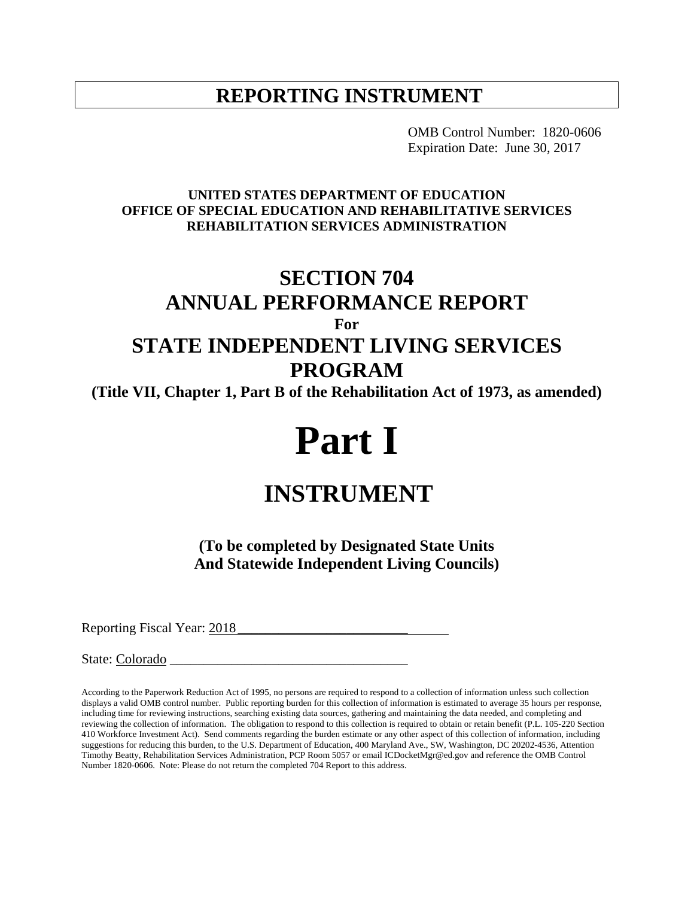# **REPORTING INSTRUMENT**

OMB Control Number: 1820-0606 Expiration Date: June 30, 2017

#### **UNITED STATES DEPARTMENT OF EDUCATION OFFICE OF SPECIAL EDUCATION AND REHABILITATIVE SERVICES REHABILITATION SERVICES ADMINISTRATION**

# **SECTION 704 ANNUAL PERFORMANCE REPORT For STATE INDEPENDENT LIVING SERVICES**

# **PROGRAM**

**(Title VII, Chapter 1, Part B of the Rehabilitation Act of 1973, as amended)**

# **Part I**

# **INSTRUMENT**

**(To be completed by Designated State Units And Statewide Independent Living Councils)**

Reporting Fiscal Year: 2018

State: Colorado \_\_\_\_\_\_\_\_\_\_\_\_\_\_\_\_\_\_\_\_\_\_\_\_\_\_\_\_\_\_\_\_\_\_\_

According to the Paperwork Reduction Act of 1995, no persons are required to respond to a collection of information unless such collection displays a valid OMB control number. Public reporting burden for this collection of information is estimated to average 35 hours per response, including time for reviewing instructions, searching existing data sources, gathering and maintaining the data needed, and completing and reviewing the collection of information. The obligation to respond to this collection is required to obtain or retain benefit (P.L. 105-220 Section 410 Workforce Investment Act). Send comments regarding the burden estimate or any other aspect of this collection of information, including suggestions for reducing this burden, to the U.S. Department of Education, 400 Maryland Ave., SW, Washington, DC 20202-4536, Attention Timothy Beatty, Rehabilitation Services Administration, PCP Room 5057 or email ICDocketMgr@ed.gov and reference the OMB Control Number 1820-0606. Note: Please do not return the completed 704 Report to this address.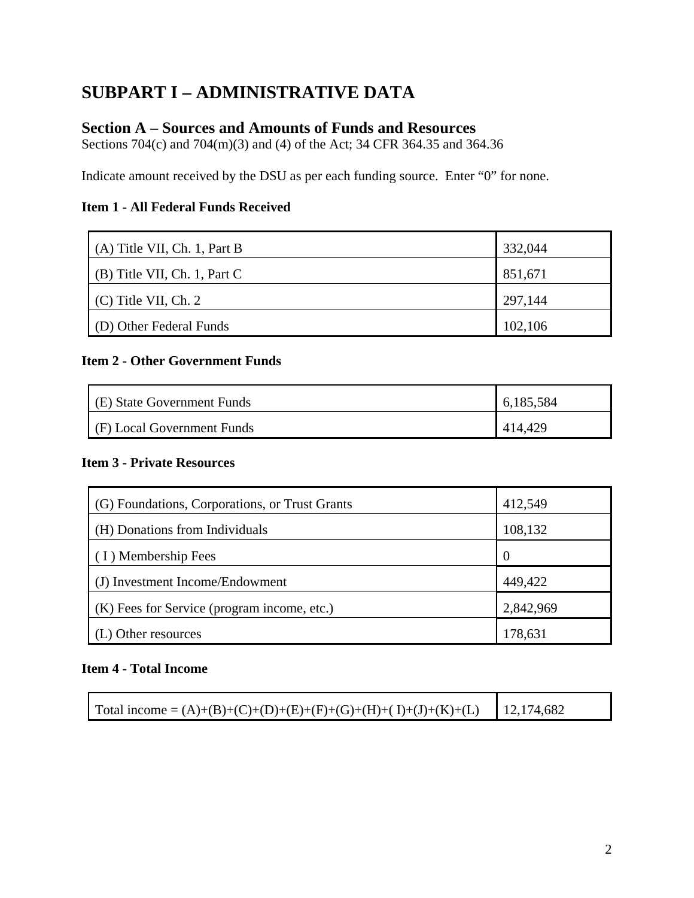# **SUBPART I – ADMINISTRATIVE DATA**

## **Section A – Sources and Amounts of Funds and Resources**

Sections 704(c) and 704(m)(3) and (4) of the Act; 34 CFR 364.35 and 364.36

Indicate amount received by the DSU as per each funding source. Enter "0" for none.

#### **Item 1 - All Federal Funds Received**

| $(A)$ Title VII, Ch. 1, Part B | 332,044 |
|--------------------------------|---------|
| $(B)$ Title VII, Ch. 1, Part C | 851,671 |
| $(C)$ Title VII, Ch. 2         | 297,144 |
| (D) Other Federal Funds        | 102,106 |

#### **Item 2 - Other Government Funds**

| (E) State Government Funds | 6,185,584 |  |
|----------------------------|-----------|--|
| (F) Local Government Funds | 414,429   |  |

#### **Item 3 - Private Resources**

| (G) Foundations, Corporations, or Trust Grants | 412,549        |
|------------------------------------------------|----------------|
| (H) Donations from Individuals                 | 108,132        |
| (I) Membership Fees                            | $\overline{0}$ |
| (J) Investment Income/Endowment                | 449,422        |
| (K) Fees for Service (program income, etc.)    | 2,842,969      |
| ther resources                                 | 178,631        |

#### **Item 4 - Total Income**

| 12,174,682<br>Total income = $(A)+(B)+(C)+(D)+(E)+(F)+(G)+(H)+(I)+(J)+(K)+(L)$ |  |
|--------------------------------------------------------------------------------|--|
|--------------------------------------------------------------------------------|--|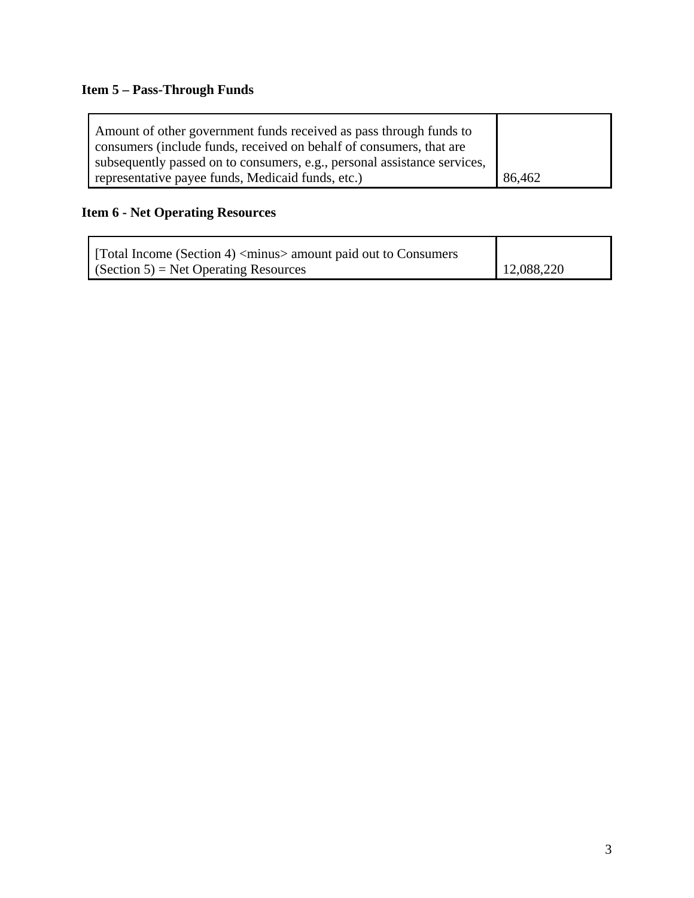# **Item 5 – Pass-Through Funds**

| Amount of other government funds received as pass through funds to       |        |
|--------------------------------------------------------------------------|--------|
| consumers (include funds, received on behalf of consumers, that are      |        |
| subsequently passed on to consumers, e.g., personal assistance services, |        |
| representative payee funds, Medicaid funds, etc.)                        | 86,462 |

# **Item 6 - Net Operating Resources**

| [Total Income (Section 4) <minus> amount paid out to Consumers</minus> |            |
|------------------------------------------------------------------------|------------|
| $\Gamma$ (Section 5) = Net Operating Resources                         | 12,088,220 |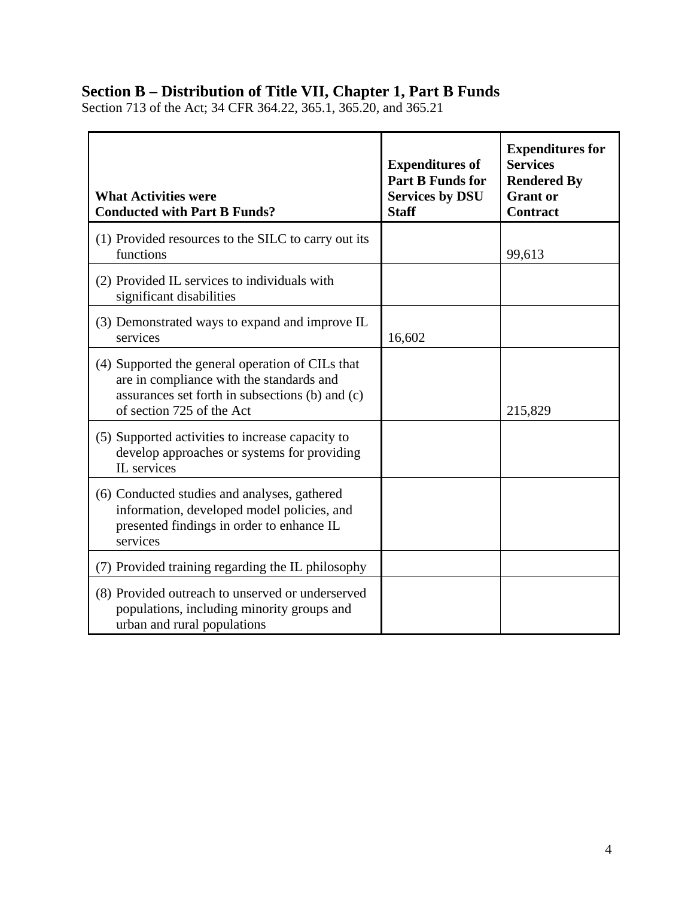# **Section B – Distribution of Title VII, Chapter 1, Part B Funds**

Section 713 of the Act; 34 CFR 364.22, 365.1, 365.20, and 365.21

| <b>What Activities were</b><br><b>Conducted with Part B Funds?</b>                                                                                                           | <b>Expenditures of</b><br><b>Part B Funds for</b><br><b>Services by DSU</b><br><b>Staff</b> | <b>Expenditures for</b><br><b>Services</b><br><b>Rendered By</b><br><b>Grant</b> or<br><b>Contract</b> |
|------------------------------------------------------------------------------------------------------------------------------------------------------------------------------|---------------------------------------------------------------------------------------------|--------------------------------------------------------------------------------------------------------|
| (1) Provided resources to the SILC to carry out its<br>functions                                                                                                             |                                                                                             | 99,613                                                                                                 |
| (2) Provided IL services to individuals with<br>significant disabilities                                                                                                     |                                                                                             |                                                                                                        |
| (3) Demonstrated ways to expand and improve IL<br>services                                                                                                                   | 16,602                                                                                      |                                                                                                        |
| (4) Supported the general operation of CILs that<br>are in compliance with the standards and<br>assurances set forth in subsections (b) and (c)<br>of section 725 of the Act |                                                                                             | 215,829                                                                                                |
| (5) Supported activities to increase capacity to<br>develop approaches or systems for providing<br>IL services                                                               |                                                                                             |                                                                                                        |
| (6) Conducted studies and analyses, gathered<br>information, developed model policies, and<br>presented findings in order to enhance IL<br>services                          |                                                                                             |                                                                                                        |
| (7) Provided training regarding the IL philosophy                                                                                                                            |                                                                                             |                                                                                                        |
| (8) Provided outreach to unserved or underserved<br>populations, including minority groups and<br>urban and rural populations                                                |                                                                                             |                                                                                                        |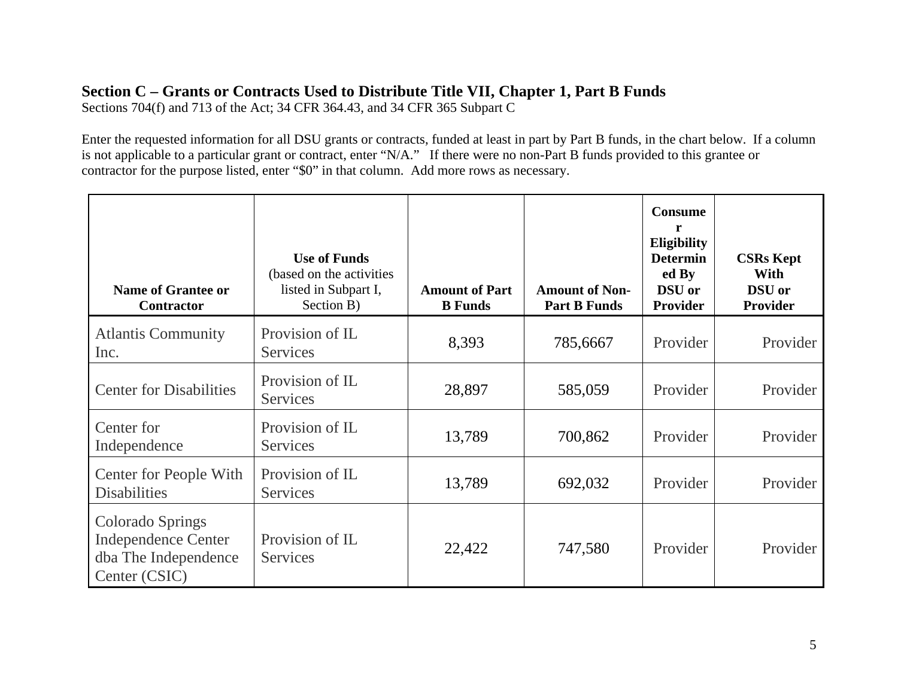# **Section C – Grants or Contracts Used to Distribute Title VII, Chapter 1, Part B Funds**

Sections 704(f) and 713 of the Act; 34 CFR 364.43, and 34 CFR 365 Subpart C

Enter the requested information for all DSU grants or contracts, funded at least in part by Part B funds, in the chart below. If a column is not applicable to a particular grant or contract, enter "N/A." If there were no non-Part B funds provided to this grantee or contractor for the purpose listed, enter "\$0" in that column. Add more rows as necessary.

| <b>Name of Grantee or</b><br><b>Contractor</b>                                                 | <b>Use of Funds</b><br>(based on the activities)<br>listed in Subpart I,<br>Section B) | <b>Amount of Part</b><br><b>B</b> Funds | <b>Amount of Non-</b><br><b>Part B Funds</b> | <b>Consume</b><br>r<br>Eligibility<br><b>Determin</b><br>ed By<br><b>DSU</b> or<br><b>Provider</b> | <b>CSRs Kept</b><br>With<br><b>DSU</b> or<br>Provider |
|------------------------------------------------------------------------------------------------|----------------------------------------------------------------------------------------|-----------------------------------------|----------------------------------------------|----------------------------------------------------------------------------------------------------|-------------------------------------------------------|
| <b>Atlantis Community</b><br>Inc.                                                              | Provision of IL<br><b>Services</b>                                                     | 8,393                                   | 785,6667                                     | Provider                                                                                           | Provider                                              |
| <b>Center for Disabilities</b>                                                                 | Provision of IL<br><b>Services</b>                                                     | 28,897                                  | 585,059                                      | Provider                                                                                           | Provider                                              |
| Center for<br>Independence                                                                     | Provision of IL<br><b>Services</b>                                                     | 13,789                                  | 700,862                                      | Provider                                                                                           | Provider                                              |
| <b>Center for People With</b><br><b>Disabilities</b>                                           | Provision of IL<br><b>Services</b>                                                     | 13,789                                  | 692,032                                      | Provider                                                                                           | Provider                                              |
| <b>Colorado Springs</b><br><b>Independence Center</b><br>dba The Independence<br>Center (CSIC) | Provision of IL<br><b>Services</b>                                                     | 22,422                                  | 747,580                                      | Provider                                                                                           | Provider                                              |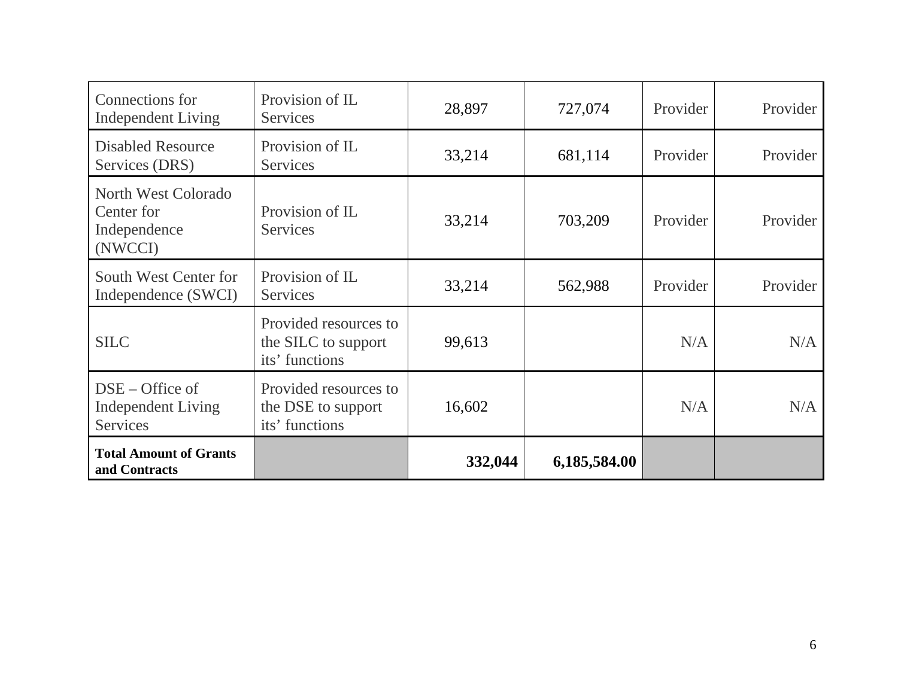| Connections for<br><b>Independent Living</b>                 | Provision of IL<br><b>Services</b>                             | 28,897  | 727,074      | Provider | Provider |
|--------------------------------------------------------------|----------------------------------------------------------------|---------|--------------|----------|----------|
| <b>Disabled Resource</b><br>Services (DRS)                   | Provision of IL<br><b>Services</b>                             | 33,214  | 681,114      | Provider | Provider |
| North West Colorado<br>Center for<br>Independence<br>(NWCCI) | Provision of IL<br><b>Services</b>                             | 33,214  | 703,209      | Provider | Provider |
| South West Center for<br>Independence (SWCI)                 | Provision of IL<br>Services                                    | 33,214  | 562,988      | Provider | Provider |
| <b>SILC</b>                                                  | Provided resources to<br>the SILC to support<br>its' functions | 99,613  |              | N/A      | N/A      |
| $DSE - Office of$<br><b>Independent Living</b><br>Services   | Provided resources to<br>the DSE to support<br>its' functions  | 16,602  |              | N/A      | N/A      |
| <b>Total Amount of Grants</b><br>and Contracts               |                                                                | 332,044 | 6,185,584.00 |          |          |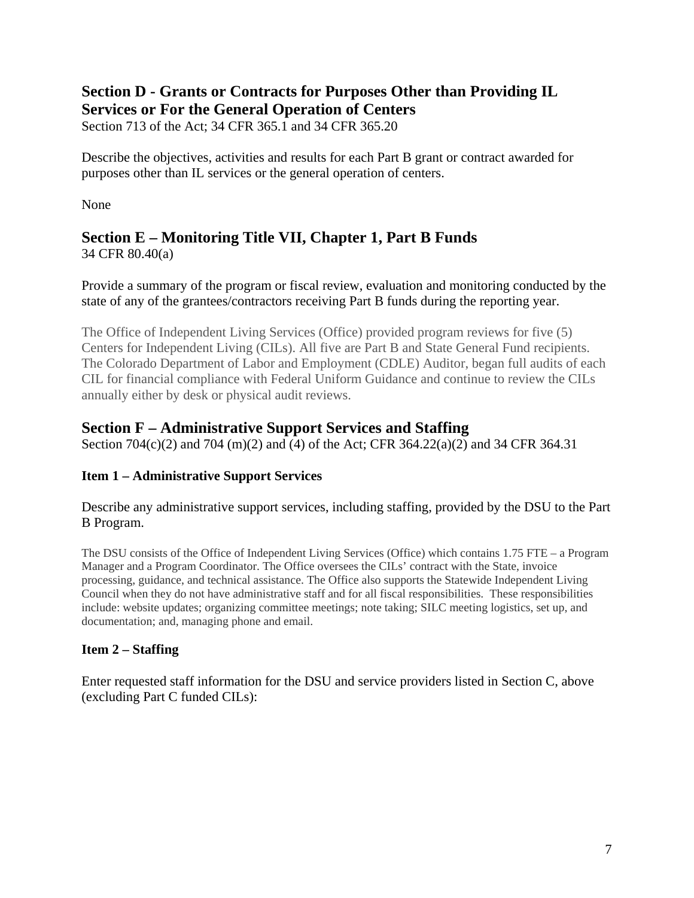## **Section D - Grants or Contracts for Purposes Other than Providing IL Services or For the General Operation of Centers**

Section 713 of the Act; 34 CFR 365.1 and 34 CFR 365.20

Describe the objectives, activities and results for each Part B grant or contract awarded for purposes other than IL services or the general operation of centers.

None

# **Section E – Monitoring Title VII, Chapter 1, Part B Funds**

34 CFR 80.40(a)

Provide a summary of the program or fiscal review, evaluation and monitoring conducted by the state of any of the grantees/contractors receiving Part B funds during the reporting year.

The Office of Independent Living Services (Office) provided program reviews for five (5) Centers for Independent Living (CILs). All five are Part B and State General Fund recipients. The Colorado Department of Labor and Employment (CDLE) Auditor, began full audits of each CIL for financial compliance with Federal Uniform Guidance and continue to review the CILs annually either by desk or physical audit reviews.

# **Section F – Administrative Support Services and Staffing**

Section 704(c)(2) and 704 (m)(2) and (4) of the Act; CFR 364.22(a)(2) and 34 CFR 364.31

# **Item 1 – Administrative Support Services**

Describe any administrative support services, including staffing, provided by the DSU to the Part B Program.

The DSU consists of the Office of Independent Living Services (Office) which contains 1.75 FTE – a Program Manager and a Program Coordinator. The Office oversees the CILs' contract with the State, invoice processing, guidance, and technical assistance. The Office also supports the Statewide Independent Living Council when they do not have administrative staff and for all fiscal responsibilities. These responsibilities include: website updates; organizing committee meetings; note taking; SILC meeting logistics, set up, and documentation; and, managing phone and email.

## **Item 2 – Staffing**

Enter requested staff information for the DSU and service providers listed in Section C, above (excluding Part C funded CILs):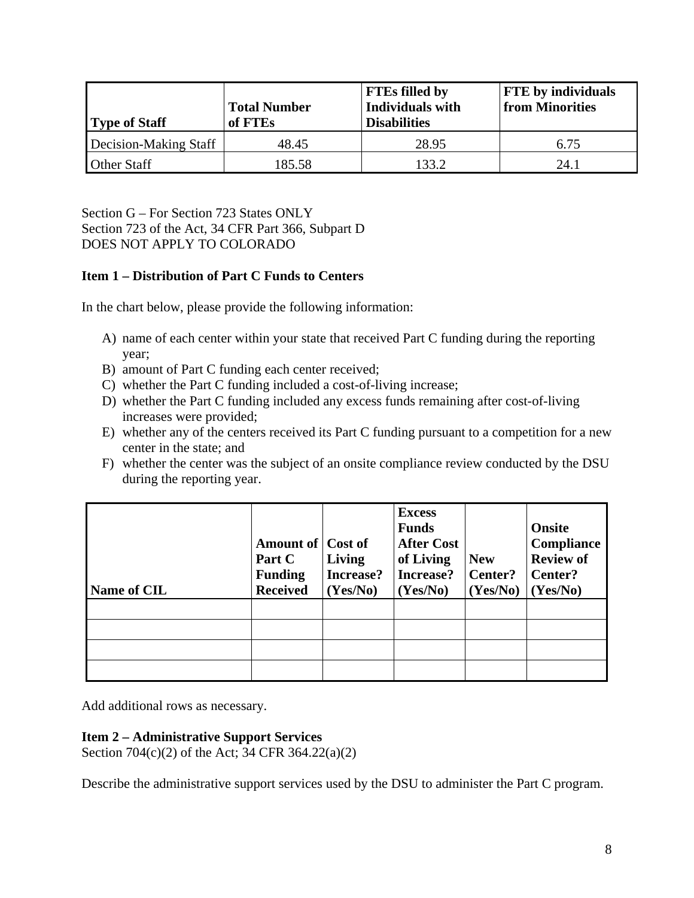| <b>Type of Staff</b>  | <b>Total Number</b><br>of FTEs | <b>FTEs filled by</b><br>Individuals with<br><b>Disabilities</b> | <b>FTE</b> by individuals<br>from Minorities |  |
|-----------------------|--------------------------------|------------------------------------------------------------------|----------------------------------------------|--|
| Decision-Making Staff | 48.45                          | 28.95                                                            | 6.75                                         |  |
| Other Staff           | 185.58                         | 133 2                                                            | 24.1                                         |  |

Section G – For Section 723 States ONLY Section 723 of the Act, 34 CFR Part 366, Subpart D DOES NOT APPLY TO COLORADO

#### **Item 1 – Distribution of Part C Funds to Centers**

In the chart below, please provide the following information:

- A) name of each center within your state that received Part C funding during the reporting year;
- B) amount of Part C funding each center received;
- C) whether the Part C funding included a cost-of-living increase;
- D) whether the Part C funding included any excess funds remaining after cost-of-living increases were provided;
- E) whether any of the centers received its Part C funding pursuant to a competition for a new center in the state; and
- F) whether the center was the subject of an onsite compliance review conducted by the DSU during the reporting year.

| <b>Name of CIL</b> | Amount of Cost of<br>Part C<br><b>Funding</b><br><b>Received</b> | Living<br>Increase?<br>(Yes/No) | <b>Excess</b><br><b>Funds</b><br><b>After Cost</b><br>of Living<br>Increase?<br>(Yes/No) | <b>New</b><br>Center?<br>(Yes/No) | Onsite<br>Compliance<br><b>Review of</b><br>Center?<br>(Yes/No) |
|--------------------|------------------------------------------------------------------|---------------------------------|------------------------------------------------------------------------------------------|-----------------------------------|-----------------------------------------------------------------|
|                    |                                                                  |                                 |                                                                                          |                                   |                                                                 |
|                    |                                                                  |                                 |                                                                                          |                                   |                                                                 |
|                    |                                                                  |                                 |                                                                                          |                                   |                                                                 |
|                    |                                                                  |                                 |                                                                                          |                                   |                                                                 |

Add additional rows as necessary.

#### **Item 2 – Administrative Support Services**

Section 704(c)(2) of the Act; 34 CFR 364.22(a)(2)

Describe the administrative support services used by the DSU to administer the Part C program.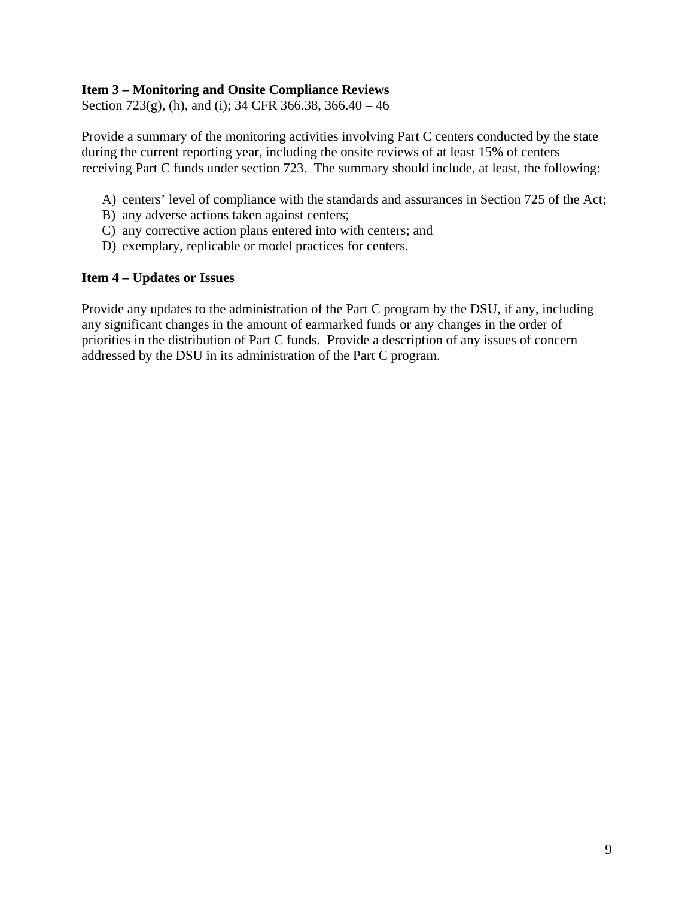#### **Item 3 – Monitoring and Onsite Compliance Reviews**

Section 723(g), (h), and (i); 34 CFR 366.38, 366.40 – 46

Provide a summary of the monitoring activities involving Part C centers conducted by the state during the current reporting year, including the onsite reviews of at least 15% of centers receiving Part C funds under section 723. The summary should include, at least, the following:

- A) centers' level of compliance with the standards and assurances in Section 725 of the Act;
- B) any adverse actions taken against centers;
- C) any corrective action plans entered into with centers; and
- D) exemplary, replicable or model practices for centers.

#### **Item 4 – Updates or Issues**

Provide any updates to the administration of the Part C program by the DSU, if any, including any significant changes in the amount of earmarked funds or any changes in the order of priorities in the distribution of Part C funds. Provide a description of any issues of concern addressed by the DSU in its administration of the Part C program.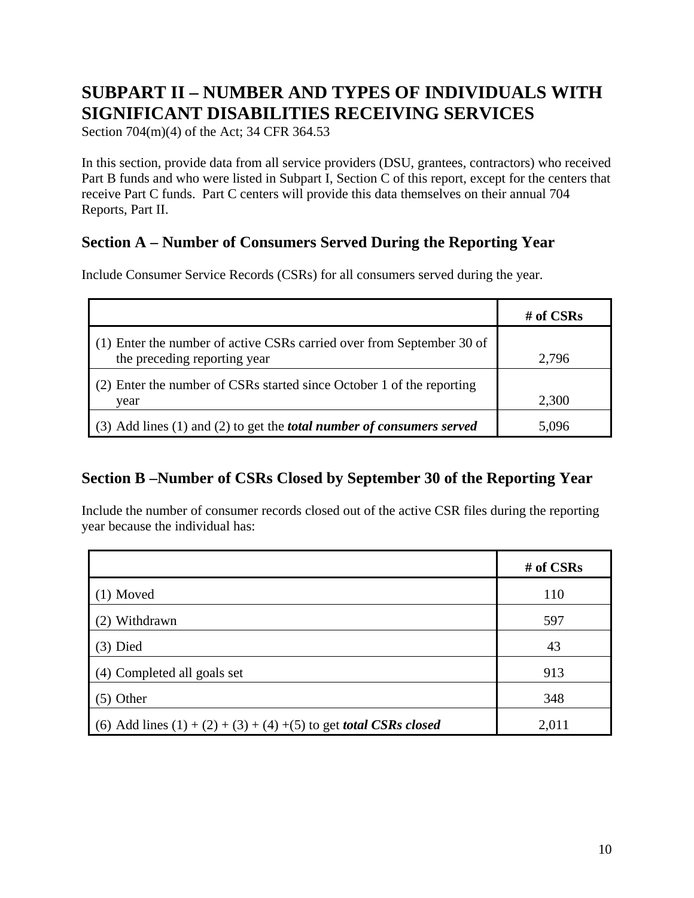# **SUBPART II – NUMBER AND TYPES OF INDIVIDUALS WITH SIGNIFICANT DISABILITIES RECEIVING SERVICES**

Section 704(m)(4) of the Act; 34 CFR 364.53

In this section, provide data from all service providers (DSU, grantees, contractors) who received Part B funds and who were listed in Subpart I, Section C of this report, except for the centers that receive Part C funds. Part C centers will provide this data themselves on their annual 704 Reports, Part II.

# **Section A – Number of Consumers Served During the Reporting Year**

Include Consumer Service Records (CSRs) for all consumers served during the year.

|                                                                              | # of $CSRs$ |
|------------------------------------------------------------------------------|-------------|
| (1) Enter the number of active CSRs carried over from September 30 of        |             |
| the preceding reporting year                                                 | 2,796       |
| (2) Enter the number of CSRs started since October 1 of the reporting        |             |
| year                                                                         | 2,300       |
| (3) Add lines (1) and (2) to get the <i>total number of consumers served</i> | 5.096       |

# **Section B –Number of CSRs Closed by September 30 of the Reporting Year**

Include the number of consumer records closed out of the active CSR files during the reporting year because the individual has:

|                                                                             | # of CSRs |
|-----------------------------------------------------------------------------|-----------|
| $(1)$ Moved                                                                 | 110       |
| (2) Withdrawn                                                               | 597       |
| $(3)$ Died                                                                  | 43        |
| (4) Completed all goals set                                                 | 913       |
| $(5)$ Other                                                                 | 348       |
| (6) Add lines $(1) + (2) + (3) + (4) + (5)$ to get <i>total CSRs closed</i> | 2,011     |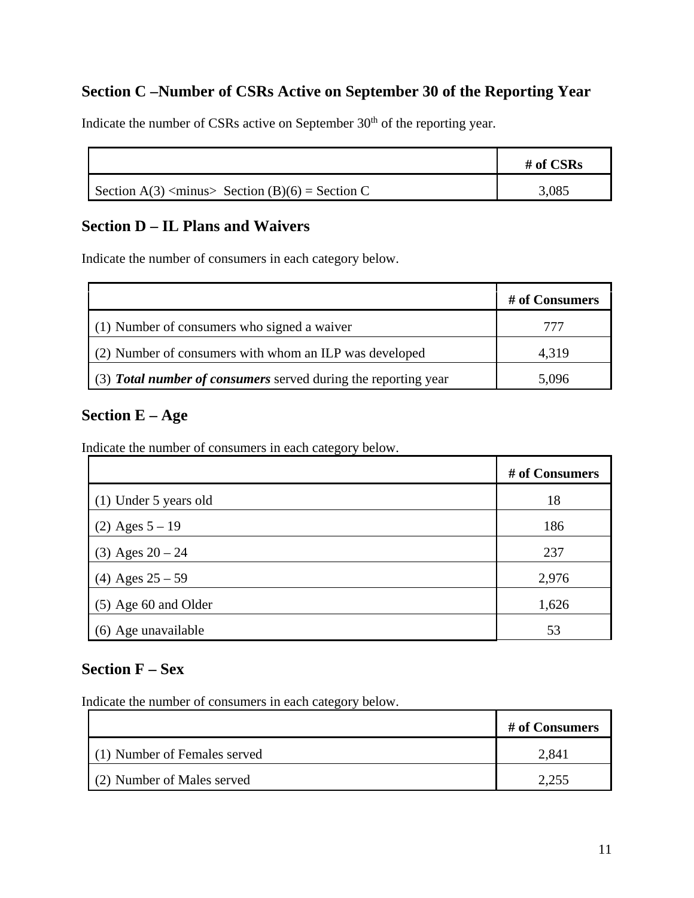# **Section C –Number of CSRs Active on September 30 of the Reporting Year**

|                                                         | # of $CSRs$ |
|---------------------------------------------------------|-------------|
| Section A(3) <minus> Section (B)(6) = Section C</minus> | 3,085       |

Indicate the number of CSRs active on September 30<sup>th</sup> of the reporting year.

## **Section D – IL Plans and Waivers**

Indicate the number of consumers in each category below.

|                                                                | # of Consumers |
|----------------------------------------------------------------|----------------|
| (1) Number of consumers who signed a waiver                    | 777            |
| (2) Number of consumers with whom an ILP was developed         | 4,319          |
| (3) Total number of consumers served during the reporting year | 5,096          |

## **Section E – Age**

Indicate the number of consumers in each category below.

|                        | # of Consumers |
|------------------------|----------------|
| (1) Under 5 years old  | 18             |
| $(2)$ Ages $5 - 19$    | 186            |
| $(3)$ Ages $20 - 24$   | 237            |
| (4) Ages $25 - 59$     | 2,976          |
| $(5)$ Age 60 and Older | 1,626          |
| (6) Age unavailable    | 53             |

# **Section F – Sex**

Indicate the number of consumers in each category below.

|                              | # of Consumers |
|------------------------------|----------------|
| (1) Number of Females served | 2.841          |
| (2) Number of Males served   |                |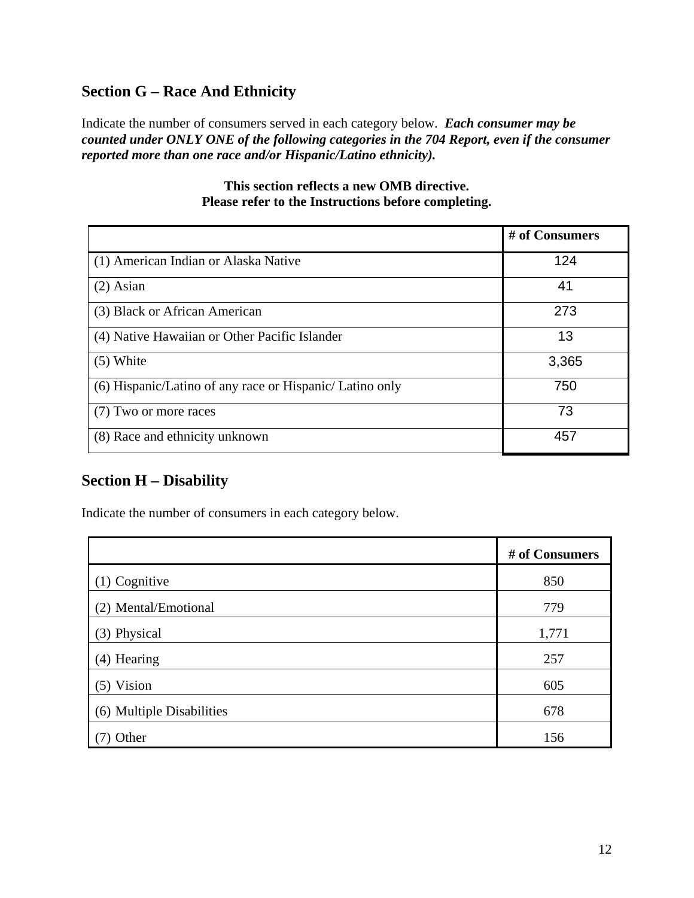# **Section G – Race And Ethnicity**

Indicate the number of consumers served in each category below. *Each consumer may be counted under ONLY ONE of the following categories in the 704 Report, even if the consumer reported more than one race and/or Hispanic/Latino ethnicity).*

|                                                         | # of Consumers |
|---------------------------------------------------------|----------------|
| (1) American Indian or Alaska Native                    | 124            |
| $(2)$ Asian                                             | 41             |
| (3) Black or African American                           | 273            |
| (4) Native Hawaiian or Other Pacific Islander           | 13             |
| $(5)$ White                                             | 3,365          |
| (6) Hispanic/Latino of any race or Hispanic/Latino only | 750            |
| (7) Two or more races                                   | 73             |
| (8) Race and ethnicity unknown                          | 457            |

#### **This section reflects a new OMB directive. Please refer to the Instructions before completing.**

# **Section H – Disability**

Indicate the number of consumers in each category below.

|                           | # of Consumers |
|---------------------------|----------------|
| (1) Cognitive             | 850            |
| (2) Mental/Emotional      | 779            |
| (3) Physical              | 1,771          |
| (4) Hearing               | 257            |
| $(5)$ Vision              | 605            |
| (6) Multiple Disabilities | 678            |
| Other                     | 156            |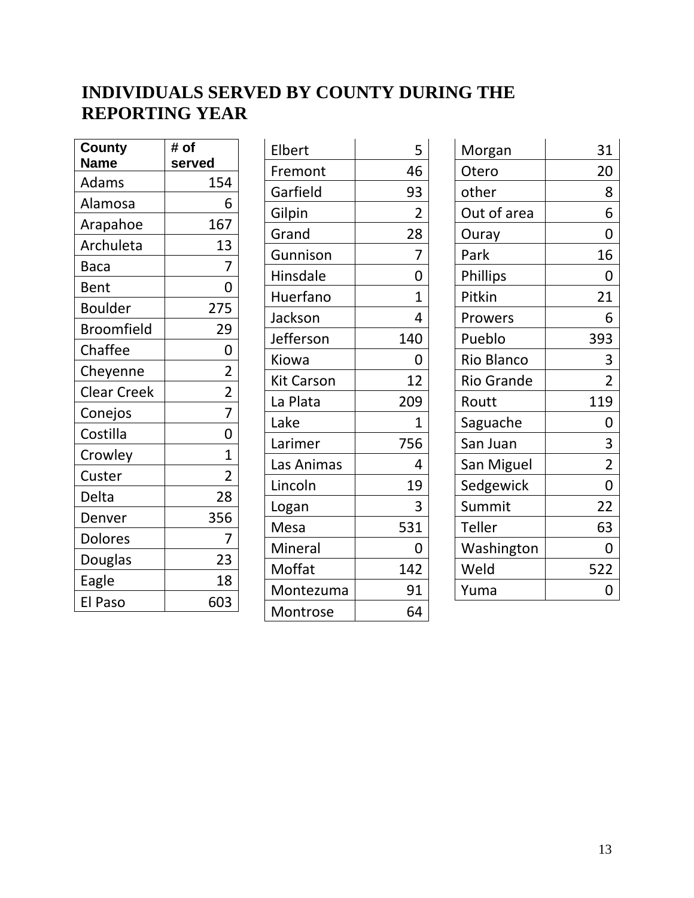# **INDIVIDUALS SERVED BY COUNTY DURING THE REPORTING YEAR**

| <b>County</b>      | # of           |
|--------------------|----------------|
| <b>Name</b>        | served         |
| Adams              | 154            |
| Alamosa            | 6              |
| Arapahoe           | 167            |
| Archuleta          | 13             |
| Baca               | 7              |
| Bent               | 0              |
| Boulder            | 275            |
| Broomfield         | 29             |
| Chaffee            | $\mathbf{0}$   |
| Cheyenne           | $\overline{2}$ |
| <b>Clear Creek</b> | $\frac{2}{7}$  |
| Conejos            |                |
| Costilla           | 0              |
| Crowley            | $\mathbf 1$    |
| Custer             | $\overline{2}$ |
| Delta              | 28             |
| Denver             | 356            |
| <b>Dolores</b>     | 7              |
| Douglas            | 23             |
| Eagle              | 18             |
| El Paso            | 603            |

| Elbert     | 5                       |
|------------|-------------------------|
| Fremont    | 46                      |
| Garfield   | 93                      |
| Gilpin     | $\overline{\mathbf{c}}$ |
| Grand      | 28                      |
| Gunnison   | $\overline{7}$          |
| Hinsdale   | $\overline{0}$          |
| Huerfano   | 1                       |
| Jackson    | 4                       |
| Jefferson  | 140                     |
| Kiowa      | 0                       |
| Kit Carson | 12                      |
| La Plata   | 209                     |
| Lake       | 1                       |
| Larimer    | 756                     |
| Las Animas | 4                       |
| Lincoln    | 19                      |
| Logan      | 3                       |
| Mesa       | 531                     |
| Mineral    | 0                       |
| Moffat     | 142                     |
| Montezuma  | 91                      |
| Montrose   | 64                      |

| Morgan      | 31             |
|-------------|----------------|
| Otero       | 20             |
| other       | 8              |
| Out of area | 6              |
| Ouray       | 0              |
| Park        | 16             |
| Phillips    | 0              |
| Pitkin      | 21             |
| Prowers     | 6              |
| Pueblo      | 393            |
| Rio Blanco  | 3              |
| Rio Grande  | $\overline{2}$ |
| Routt       | 119            |
| Saguache    | 0              |
| San Juan    | 3              |
| San Miguel  | $\overline{2}$ |
| Sedgewick   | 0              |
| Summit      | 22             |
| Teller      | 63             |
| Washington  | 0              |
| Weld        | 522            |
| Yuma        | 0              |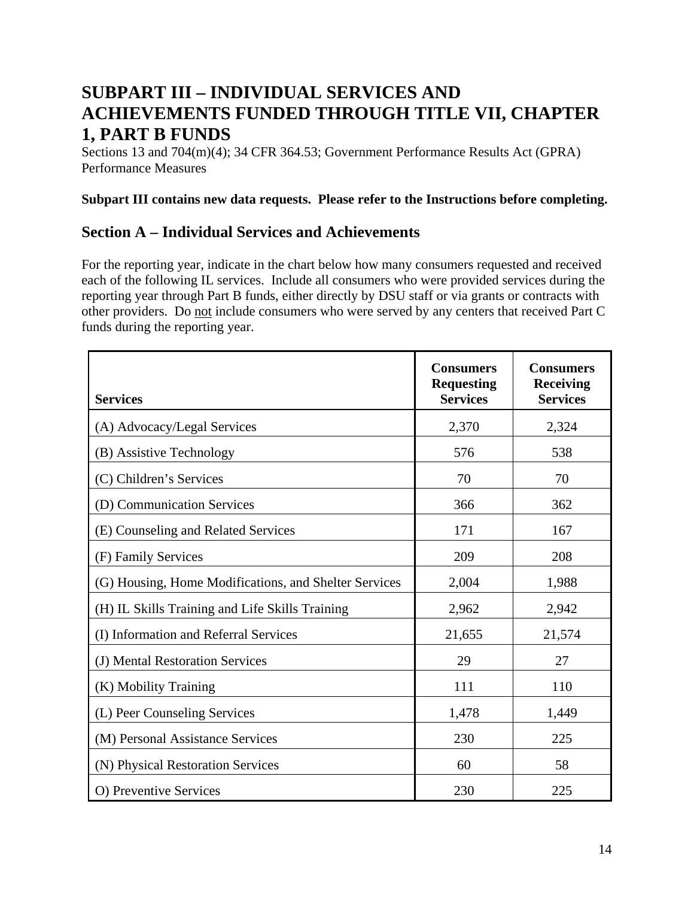# **SUBPART III – INDIVIDUAL SERVICES AND ACHIEVEMENTS FUNDED THROUGH TITLE VII, CHAPTER 1, PART B FUNDS**

Sections 13 and 704(m)(4); 34 CFR 364.53; Government Performance Results Act (GPRA) Performance Measures

#### **Subpart III contains new data requests. Please refer to the Instructions before completing.**

# **Section A – Individual Services and Achievements**

For the reporting year, indicate in the chart below how many consumers requested and received each of the following IL services. Include all consumers who were provided services during the reporting year through Part B funds, either directly by DSU staff or via grants or contracts with other providers. Do not include consumers who were served by any centers that received Part C funds during the reporting year.

| <b>Services</b>                                       | <b>Consumers</b><br><b>Requesting</b><br><b>Services</b> | <b>Consumers</b><br><b>Receiving</b><br><b>Services</b> |
|-------------------------------------------------------|----------------------------------------------------------|---------------------------------------------------------|
| (A) Advocacy/Legal Services                           | 2,370                                                    | 2,324                                                   |
| (B) Assistive Technology                              | 576                                                      | 538                                                     |
| (C) Children's Services                               | 70                                                       | 70                                                      |
| (D) Communication Services                            | 366                                                      | 362                                                     |
| (E) Counseling and Related Services                   | 171                                                      | 167                                                     |
| (F) Family Services                                   | 209                                                      | 208                                                     |
| (G) Housing, Home Modifications, and Shelter Services | 2,004                                                    | 1,988                                                   |
| (H) IL Skills Training and Life Skills Training       | 2,962                                                    | 2,942                                                   |
| (I) Information and Referral Services                 | 21,655                                                   | 21,574                                                  |
| (J) Mental Restoration Services                       | 29                                                       | 27                                                      |
| (K) Mobility Training                                 | 111                                                      | 110                                                     |
| (L) Peer Counseling Services                          | 1,478                                                    | 1,449                                                   |
| (M) Personal Assistance Services                      | 230                                                      | 225                                                     |
| (N) Physical Restoration Services                     | 60                                                       | 58                                                      |
| O) Preventive Services                                | 230                                                      | 225                                                     |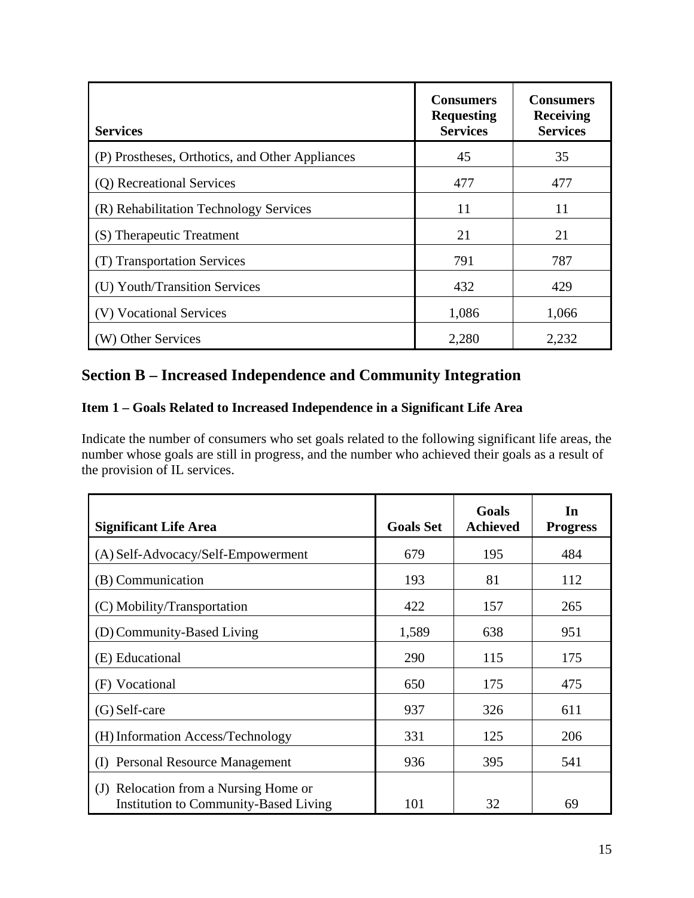| <b>Services</b>                                 | <b>Consumers</b><br><b>Requesting</b><br><b>Services</b> | <b>Consumers</b><br><b>Receiving</b><br><b>Services</b> |
|-------------------------------------------------|----------------------------------------------------------|---------------------------------------------------------|
| (P) Prostheses, Orthotics, and Other Appliances | 45                                                       | 35                                                      |
| (Q) Recreational Services                       | 477                                                      | 477                                                     |
| (R) Rehabilitation Technology Services          | 11                                                       | 11                                                      |
| (S) Therapeutic Treatment                       | 21                                                       | 21                                                      |
| (T) Transportation Services                     | 791                                                      | 787                                                     |
| (U) Youth/Transition Services                   | 432                                                      | 429                                                     |
| (V) Vocational Services                         | 1,086                                                    | 1,066                                                   |
| (W) Other Services                              | 2,280                                                    | 2,232                                                   |

# **Section B – Increased Independence and Community Integration**

## **Item 1 – Goals Related to Increased Independence in a Significant Life Area**

Indicate the number of consumers who set goals related to the following significant life areas, the number whose goals are still in progress, and the number who achieved their goals as a result of the provision of IL services.

| <b>Significant Life Area</b>                                                   | <b>Goals Set</b> | Goals<br><b>Achieved</b> | In<br><b>Progress</b> |
|--------------------------------------------------------------------------------|------------------|--------------------------|-----------------------|
| (A) Self-Advocacy/Self-Empowerment                                             | 679              | 195                      | 484                   |
| (B) Communication                                                              | 193              | 81                       | 112                   |
| (C) Mobility/Transportation                                                    | 422              | 157                      | 265                   |
| (D) Community-Based Living                                                     | 1,589            | 638                      | 951                   |
| (E) Educational                                                                | 290              | 115                      | 175                   |
| (F) Vocational                                                                 | 650              | 175                      | 475                   |
| $(G)$ Self-care                                                                | 937              | 326                      | 611                   |
| (H) Information Access/Technology                                              | 331              | 125                      | 206                   |
| <b>Personal Resource Management</b><br>(I)                                     | 936              | 395                      | 541                   |
| (J) Relocation from a Nursing Home or<br>Institution to Community-Based Living | 101              | 32                       | 69                    |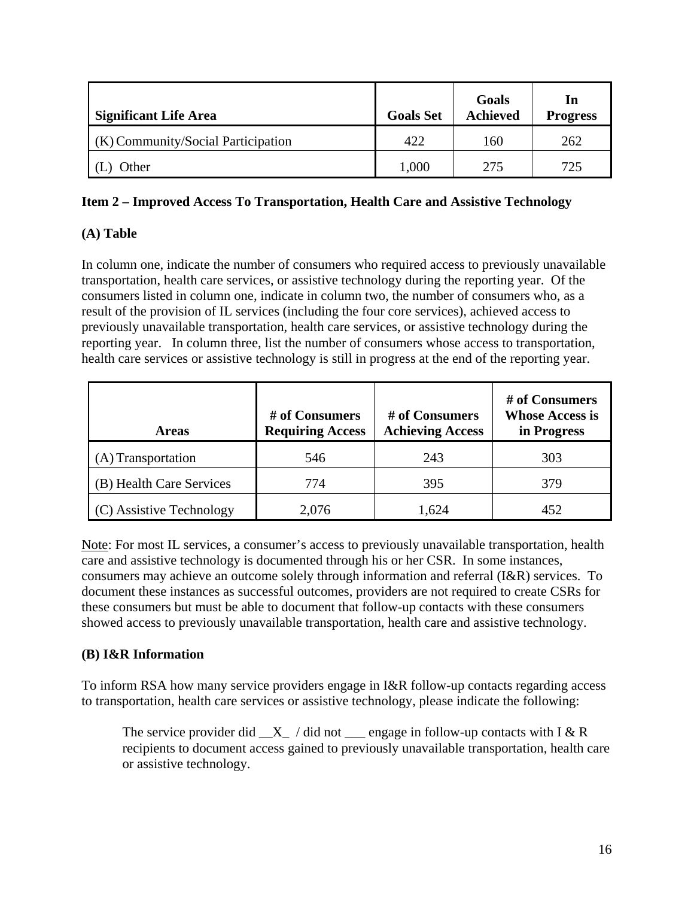| <b>Significant Life Area</b>       | <b>Goals Set</b> | Goals<br><b>Achieved</b> | 1n<br><b>Progress</b> |
|------------------------------------|------------------|--------------------------|-----------------------|
| (K) Community/Social Participation | 422              | 160                      | 262                   |
| Other                              | 1,000            | 275                      | 725                   |

#### **Item 2 – Improved Access To Transportation, Health Care and Assistive Technology**

## **(A) Table**

In column one, indicate the number of consumers who required access to previously unavailable transportation, health care services, or assistive technology during the reporting year. Of the consumers listed in column one, indicate in column two, the number of consumers who, as a result of the provision of IL services (including the four core services), achieved access to previously unavailable transportation, health care services, or assistive technology during the reporting year. In column three, list the number of consumers whose access to transportation, health care services or assistive technology is still in progress at the end of the reporting year.

| <b>Areas</b>             | # of Consumers<br><b>Requiring Access</b> | # of Consumers<br><b>Achieving Access</b> | # of Consumers<br><b>Whose Access is</b><br>in Progress |
|--------------------------|-------------------------------------------|-------------------------------------------|---------------------------------------------------------|
| (A) Transportation       | 546                                       | 243                                       | 303                                                     |
| (B) Health Care Services | 774                                       | 395                                       | 379                                                     |
| (C) Assistive Technology | 2,076                                     | 1,624                                     | 452                                                     |

Note: For most IL services, a consumer's access to previously unavailable transportation, health care and assistive technology is documented through his or her CSR. In some instances, consumers may achieve an outcome solely through information and referral (I&R) services. To document these instances as successful outcomes, providers are not required to create CSRs for these consumers but must be able to document that follow-up contacts with these consumers showed access to previously unavailable transportation, health care and assistive technology.

#### **(B) I&R Information**

To inform RSA how many service providers engage in I&R follow-up contacts regarding access to transportation, health care services or assistive technology, please indicate the following:

The service provider did  $X$  / did not engage in follow-up contacts with I & R recipients to document access gained to previously unavailable transportation, health care or assistive technology.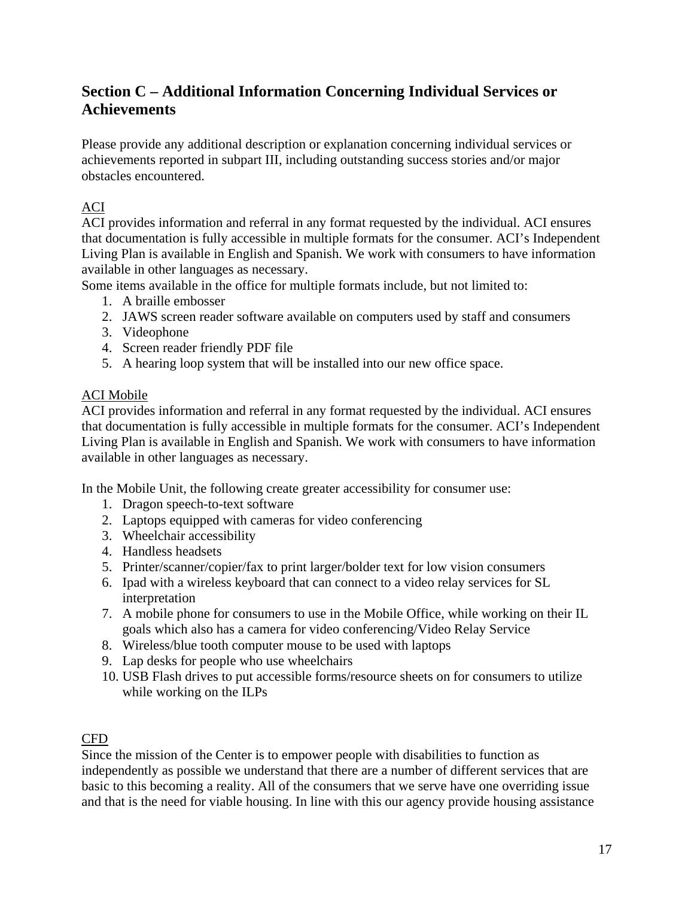# **Section C – Additional Information Concerning Individual Services or Achievements**

Please provide any additional description or explanation concerning individual services or achievements reported in subpart III, including outstanding success stories and/or major obstacles encountered.

## ACI

ACI provides information and referral in any format requested by the individual. ACI ensures that documentation is fully accessible in multiple formats for the consumer. ACI's Independent Living Plan is available in English and Spanish. We work with consumers to have information available in other languages as necessary.

Some items available in the office for multiple formats include, but not limited to:

- 1. A braille embosser
- 2. JAWS screen reader software available on computers used by staff and consumers
- 3. Videophone
- 4. Screen reader friendly PDF file
- 5. A hearing loop system that will be installed into our new office space.

## ACI Mobile

ACI provides information and referral in any format requested by the individual. ACI ensures that documentation is fully accessible in multiple formats for the consumer. ACI's Independent Living Plan is available in English and Spanish. We work with consumers to have information available in other languages as necessary.

In the Mobile Unit, the following create greater accessibility for consumer use:

- 1. Dragon speech-to-text software
- 2. Laptops equipped with cameras for video conferencing
- 3. Wheelchair accessibility
- 4. Handless headsets
- 5. Printer/scanner/copier/fax to print larger/bolder text for low vision consumers
- 6. Ipad with a wireless keyboard that can connect to a video relay services for SL interpretation
- 7. A mobile phone for consumers to use in the Mobile Office, while working on their IL goals which also has a camera for video conferencing/Video Relay Service
- 8. Wireless/blue tooth computer mouse to be used with laptops
- 9. Lap desks for people who use wheelchairs
- 10. USB Flash drives to put accessible forms/resource sheets on for consumers to utilize while working on the ILPs

# CFD

Since the mission of the Center is to empower people with disabilities to function as independently as possible we understand that there are a number of different services that are basic to this becoming a reality. All of the consumers that we serve have one overriding issue and that is the need for viable housing. In line with this our agency provide housing assistance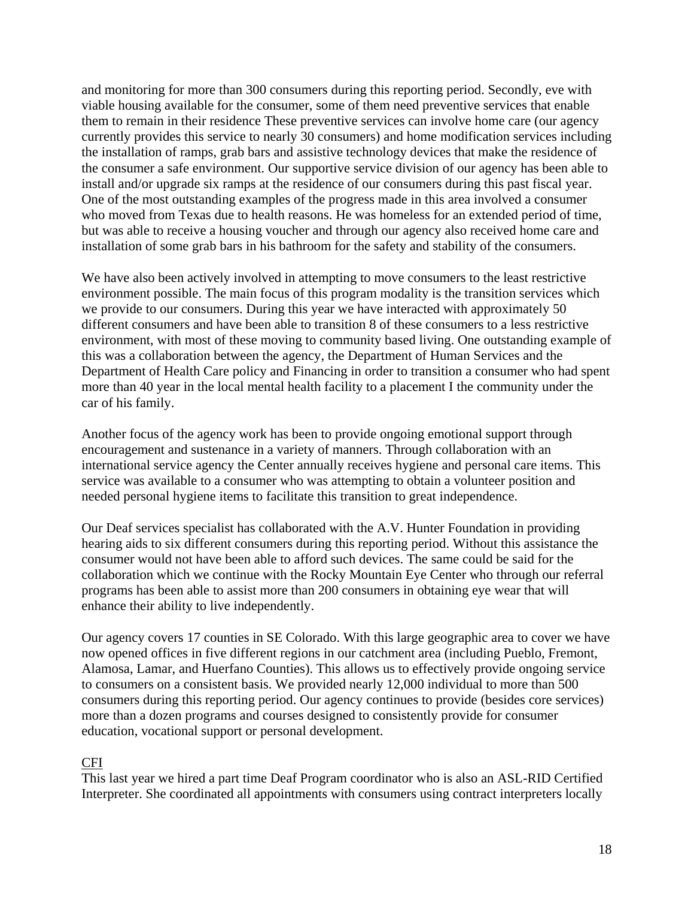and monitoring for more than 300 consumers during this reporting period. Secondly, eve with viable housing available for the consumer, some of them need preventive services that enable them to remain in their residence These preventive services can involve home care (our agency currently provides this service to nearly 30 consumers) and home modification services including the installation of ramps, grab bars and assistive technology devices that make the residence of the consumer a safe environment. Our supportive service division of our agency has been able to install and/or upgrade six ramps at the residence of our consumers during this past fiscal year. One of the most outstanding examples of the progress made in this area involved a consumer who moved from Texas due to health reasons. He was homeless for an extended period of time, but was able to receive a housing voucher and through our agency also received home care and installation of some grab bars in his bathroom for the safety and stability of the consumers.

We have also been actively involved in attempting to move consumers to the least restrictive environment possible. The main focus of this program modality is the transition services which we provide to our consumers. During this year we have interacted with approximately 50 different consumers and have been able to transition 8 of these consumers to a less restrictive environment, with most of these moving to community based living. One outstanding example of this was a collaboration between the agency, the Department of Human Services and the Department of Health Care policy and Financing in order to transition a consumer who had spent more than 40 year in the local mental health facility to a placement I the community under the car of his family.

Another focus of the agency work has been to provide ongoing emotional support through encouragement and sustenance in a variety of manners. Through collaboration with an international service agency the Center annually receives hygiene and personal care items. This service was available to a consumer who was attempting to obtain a volunteer position and needed personal hygiene items to facilitate this transition to great independence.

Our Deaf services specialist has collaborated with the A.V. Hunter Foundation in providing hearing aids to six different consumers during this reporting period. Without this assistance the consumer would not have been able to afford such devices. The same could be said for the collaboration which we continue with the Rocky Mountain Eye Center who through our referral programs has been able to assist more than 200 consumers in obtaining eye wear that will enhance their ability to live independently.

Our agency covers 17 counties in SE Colorado. With this large geographic area to cover we have now opened offices in five different regions in our catchment area (including Pueblo, Fremont, Alamosa, Lamar, and Huerfano Counties). This allows us to effectively provide ongoing service to consumers on a consistent basis. We provided nearly 12,000 individual to more than 500 consumers during this reporting period. Our agency continues to provide (besides core services) more than a dozen programs and courses designed to consistently provide for consumer education, vocational support or personal development.

#### CFI

This last year we hired a part time Deaf Program coordinator who is also an ASL-RID Certified Interpreter. She coordinated all appointments with consumers using contract interpreters locally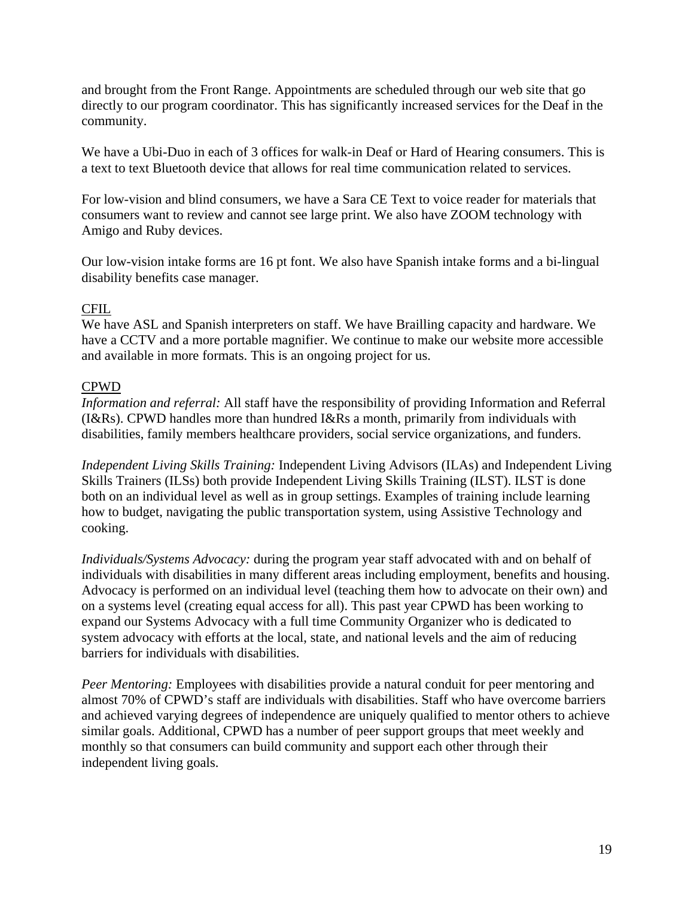and brought from the Front Range. Appointments are scheduled through our web site that go directly to our program coordinator. This has significantly increased services for the Deaf in the community.

We have a Ubi-Duo in each of 3 offices for walk-in Deaf or Hard of Hearing consumers. This is a text to text Bluetooth device that allows for real time communication related to services.

For low-vision and blind consumers, we have a Sara CE Text to voice reader for materials that consumers want to review and cannot see large print. We also have ZOOM technology with Amigo and Ruby devices.

Our low-vision intake forms are 16 pt font. We also have Spanish intake forms and a bi-lingual disability benefits case manager.

#### CFIL

We have ASL and Spanish interpreters on staff. We have Brailling capacity and hardware. We have a CCTV and a more portable magnifier. We continue to make our website more accessible and available in more formats. This is an ongoing project for us.

#### CPWD

*Information and referral:* All staff have the responsibility of providing Information and Referral (I&Rs). CPWD handles more than hundred I&Rs a month, primarily from individuals with disabilities, family members healthcare providers, social service organizations, and funders.

*Independent Living Skills Training:* Independent Living Advisors (ILAs) and Independent Living Skills Trainers (ILSs) both provide Independent Living Skills Training (ILST). ILST is done both on an individual level as well as in group settings. Examples of training include learning how to budget, navigating the public transportation system, using Assistive Technology and cooking.

*Individuals/Systems Advocacy:* during the program year staff advocated with and on behalf of individuals with disabilities in many different areas including employment, benefits and housing. Advocacy is performed on an individual level (teaching them how to advocate on their own) and on a systems level (creating equal access for all). This past year CPWD has been working to expand our Systems Advocacy with a full time Community Organizer who is dedicated to system advocacy with efforts at the local, state, and national levels and the aim of reducing barriers for individuals with disabilities.

*Peer Mentoring:* Employees with disabilities provide a natural conduit for peer mentoring and almost 70% of CPWD's staff are individuals with disabilities. Staff who have overcome barriers and achieved varying degrees of independence are uniquely qualified to mentor others to achieve similar goals. Additional, CPWD has a number of peer support groups that meet weekly and monthly so that consumers can build community and support each other through their independent living goals.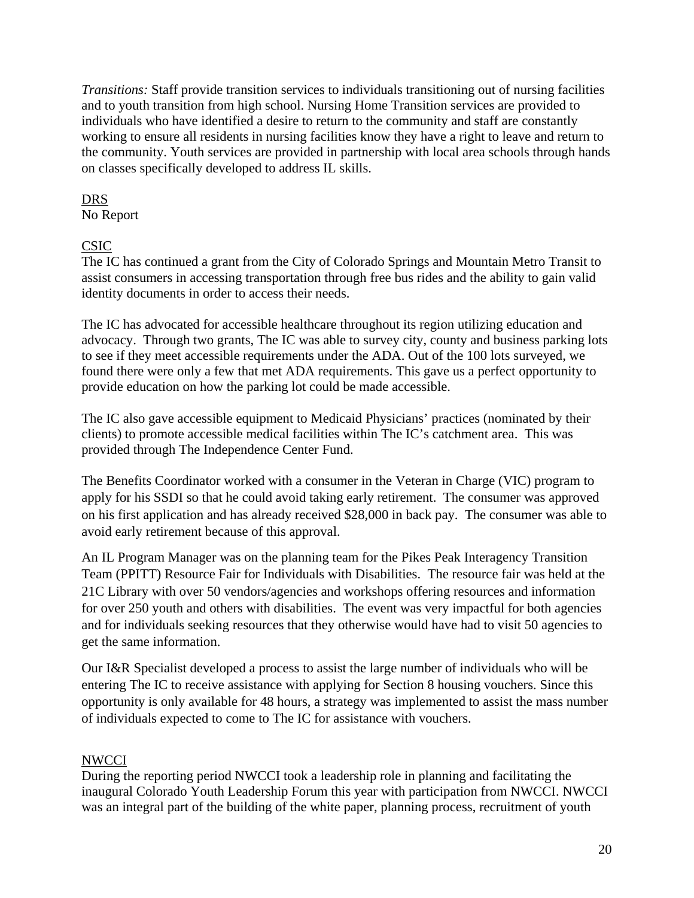*Transitions:* Staff provide transition services to individuals transitioning out of nursing facilities and to youth transition from high school. Nursing Home Transition services are provided to individuals who have identified a desire to return to the community and staff are constantly working to ensure all residents in nursing facilities know they have a right to leave and return to the community. Youth services are provided in partnership with local area schools through hands on classes specifically developed to address IL skills.

#### DRS

No Report

## CSIC

The IC has continued a grant from the City of Colorado Springs and Mountain Metro Transit to assist consumers in accessing transportation through free bus rides and the ability to gain valid identity documents in order to access their needs.

The IC has advocated for accessible healthcare throughout its region utilizing education and advocacy. Through two grants, The IC was able to survey city, county and business parking lots to see if they meet accessible requirements under the ADA. Out of the 100 lots surveyed, we found there were only a few that met ADA requirements. This gave us a perfect opportunity to provide education on how the parking lot could be made accessible.

The IC also gave accessible equipment to Medicaid Physicians' practices (nominated by their clients) to promote accessible medical facilities within The IC's catchment area. This was provided through The Independence Center Fund.

The Benefits Coordinator worked with a consumer in the Veteran in Charge (VIC) program to apply for his SSDI so that he could avoid taking early retirement. The consumer was approved on his first application and has already received \$28,000 in back pay. The consumer was able to avoid early retirement because of this approval.

An IL Program Manager was on the planning team for the Pikes Peak Interagency Transition Team (PPITT) Resource Fair for Individuals with Disabilities. The resource fair was held at the 21C Library with over 50 vendors/agencies and workshops offering resources and information for over 250 youth and others with disabilities. The event was very impactful for both agencies and for individuals seeking resources that they otherwise would have had to visit 50 agencies to get the same information.

Our I&R Specialist developed a process to assist the large number of individuals who will be entering The IC to receive assistance with applying for Section 8 housing vouchers. Since this opportunity is only available for 48 hours, a strategy was implemented to assist the mass number of individuals expected to come to The IC for assistance with vouchers.

## **NWCCI**

During the reporting period NWCCI took a leadership role in planning and facilitating the inaugural Colorado Youth Leadership Forum this year with participation from NWCCI. NWCCI was an integral part of the building of the white paper, planning process, recruitment of youth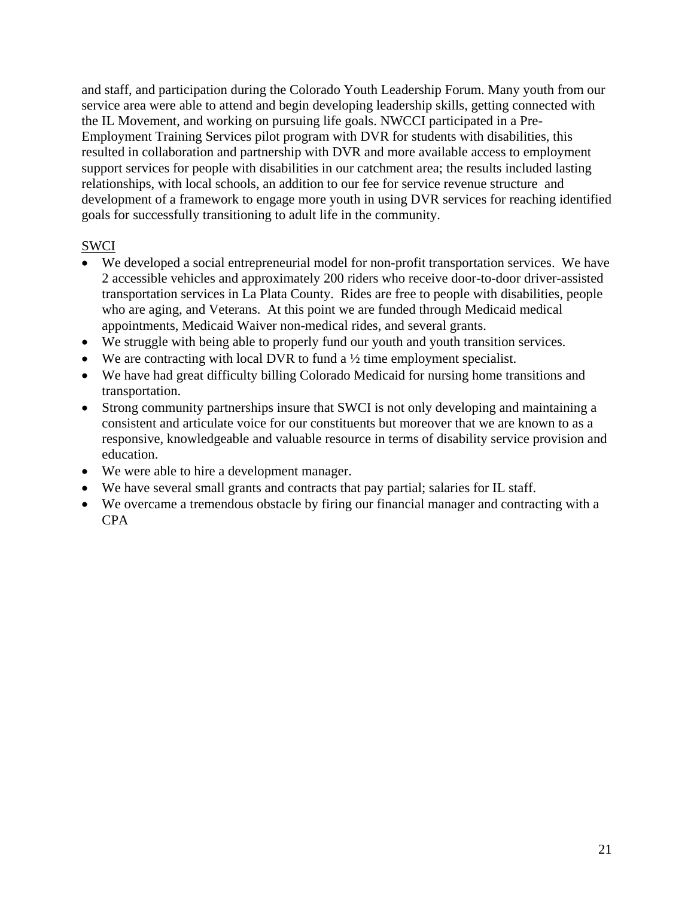and staff, and participation during the Colorado Youth Leadership Forum. Many youth from our service area were able to attend and begin developing leadership skills, getting connected with the IL Movement, and working on pursuing life goals. NWCCI participated in a Pre-Employment Training Services pilot program with DVR for students with disabilities, this resulted in collaboration and partnership with DVR and more available access to employment support services for people with disabilities in our catchment area; the results included lasting relationships, with local schools, an addition to our fee for service revenue structure and development of a framework to engage more youth in using DVR services for reaching identified goals for successfully transitioning to adult life in the community.

#### SWCI

- We developed a social entrepreneurial model for non-profit transportation services. We have 2 accessible vehicles and approximately 200 riders who receive door-to-door driver-assisted transportation services in La Plata County. Rides are free to people with disabilities, people who are aging, and Veterans. At this point we are funded through Medicaid medical appointments, Medicaid Waiver non-medical rides, and several grants.
- We struggle with being able to properly fund our youth and youth transition services.
- We are contracting with local DVR to fund a  $\frac{1}{2}$  time employment specialist.
- We have had great difficulty billing Colorado Medicaid for nursing home transitions and transportation.
- Strong community partnerships insure that SWCI is not only developing and maintaining a consistent and articulate voice for our constituents but moreover that we are known to as a responsive, knowledgeable and valuable resource in terms of disability service provision and education.
- We were able to hire a development manager.
- We have several small grants and contracts that pay partial; salaries for IL staff.
- We overcame a tremendous obstacle by firing our financial manager and contracting with a CPA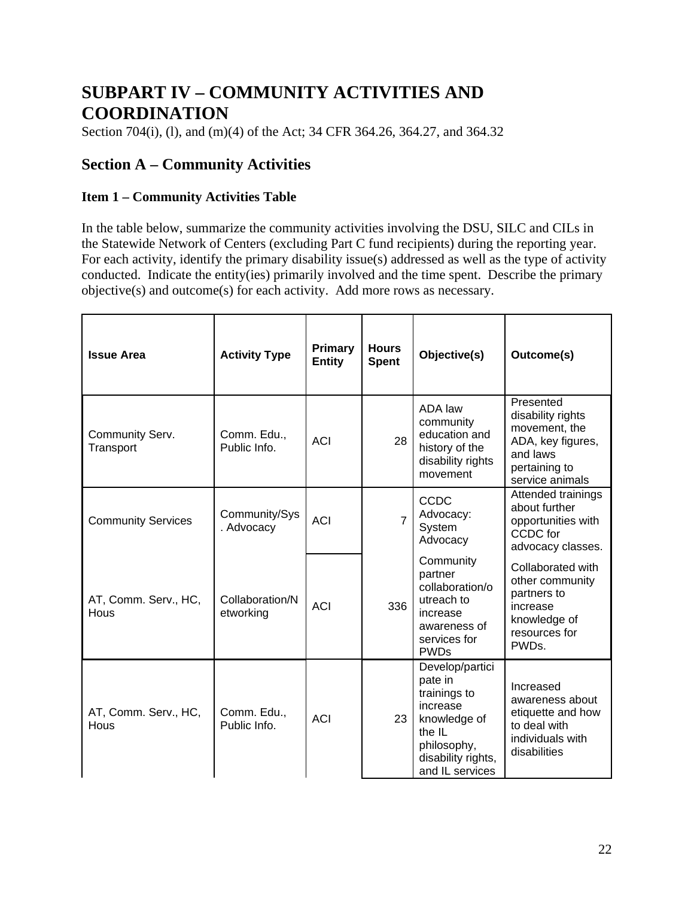# **SUBPART IV – COMMUNITY ACTIVITIES AND COORDINATION**

Section 704(i), (l), and (m)(4) of the Act; 34 CFR 364.26, 364.27, and 364.32

# **Section A – Community Activities**

#### **Item 1 – Community Activities Table**

In the table below, summarize the community activities involving the DSU, SILC and CILs in the Statewide Network of Centers (excluding Part C fund recipients) during the reporting year. For each activity, identify the primary disability issue(s) addressed as well as the type of activity conducted. Indicate the entity(ies) primarily involved and the time spent. Describe the primary objective(s) and outcome(s) for each activity. Add more rows as necessary.

| <b>Issue Area</b>            | <b>Activity Type</b>         | Primary<br><b>Entity</b> | <b>Hours</b><br><b>Spent</b> | Objective(s)                                                                                                                             | Outcome(s)                                                                                                           |
|------------------------------|------------------------------|--------------------------|------------------------------|------------------------------------------------------------------------------------------------------------------------------------------|----------------------------------------------------------------------------------------------------------------------|
| Community Serv.<br>Transport | Comm. Edu.,<br>Public Info.  | <b>ACI</b>               | 28                           | ADA law<br>community<br>education and<br>history of the<br>disability rights<br>movement                                                 | Presented<br>disability rights<br>movement, the<br>ADA, key figures,<br>and laws<br>pertaining to<br>service animals |
| <b>Community Services</b>    | Community/Sys<br>. Advocacy  | <b>ACI</b>               | $\overline{7}$               | <b>CCDC</b><br>Advocacy:<br>System<br>Advocacy                                                                                           | Attended trainings<br>about further<br>opportunities with<br>CCDC for<br>advocacy classes.                           |
| AT, Comm. Serv., HC,<br>Hous | Collaboration/N<br>etworking | <b>ACI</b>               | 336                          | Community<br>partner<br>collaboration/o<br>utreach to<br>increase<br>awareness of<br>services for<br><b>PWDs</b>                         | Collaborated with<br>other community<br>partners to<br>increase<br>knowledge of<br>resources for<br>PWD <sub>S</sub> |
| AT, Comm. Serv., HC,<br>Hous | Comm. Edu.,<br>Public Info.  | <b>ACI</b>               | 23                           | Develop/partici<br>pate in<br>trainings to<br>increase<br>knowledge of<br>the IL<br>philosophy,<br>disability rights,<br>and IL services | Increased<br>awareness about<br>etiquette and how<br>to deal with<br>individuals with<br>disabilities                |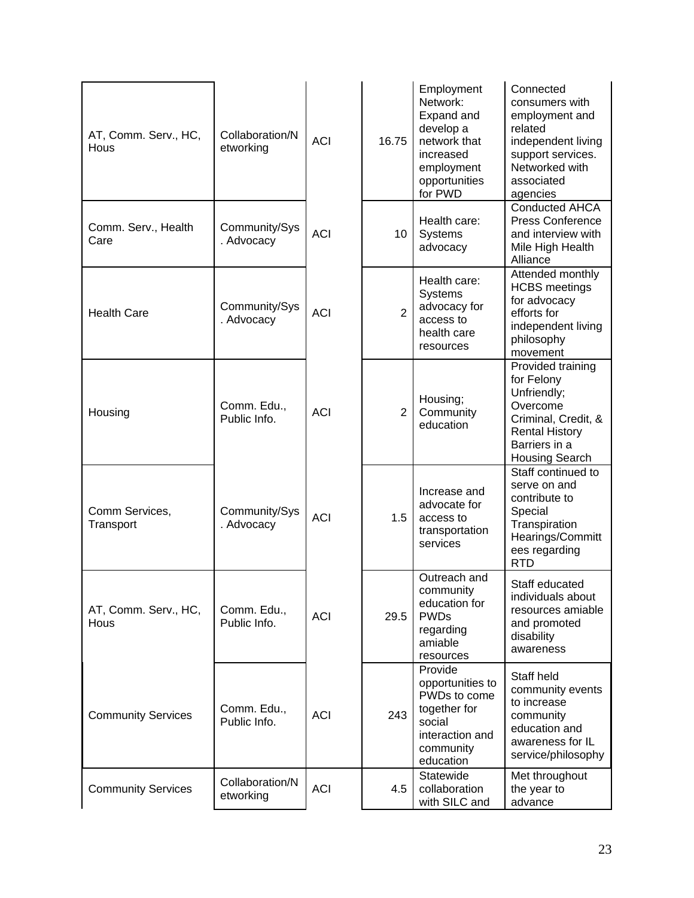| AT, Comm. Serv., HC,<br>Hous | Collaboration/N<br>etworking | <b>ACI</b> | 16.75          | Employment<br>Network:<br>Expand and<br>develop a<br>network that<br>increased<br>employment<br>opportunities<br>for PWD | Connected<br>consumers with<br>employment and<br>related<br>independent living<br>support services.<br>Networked with<br>associated<br>agencies      |
|------------------------------|------------------------------|------------|----------------|--------------------------------------------------------------------------------------------------------------------------|------------------------------------------------------------------------------------------------------------------------------------------------------|
| Comm. Serv., Health<br>Care  | Community/Sys<br>. Advocacy  | <b>ACI</b> | 10             | Health care:<br>Systems<br>advocacy                                                                                      | <b>Conducted AHCA</b><br><b>Press Conference</b><br>and interview with<br>Mile High Health<br>Alliance                                               |
| <b>Health Care</b>           | Community/Sys<br>. Advocacy  | <b>ACI</b> | $\overline{2}$ | Health care:<br><b>Systems</b><br>advocacy for<br>access to<br>health care<br>resources                                  | Attended monthly<br><b>HCBS</b> meetings<br>for advocacy<br>efforts for<br>independent living<br>philosophy<br>movement                              |
| Housing                      | Comm. Edu.,<br>Public Info.  | <b>ACI</b> | $\overline{2}$ | Housing;<br>Community<br>education                                                                                       | Provided training<br>for Felony<br>Unfriendly;<br>Overcome<br>Criminal, Credit, &<br><b>Rental History</b><br>Barriers in a<br><b>Housing Search</b> |
| Comm Services,<br>Transport  | Community/Sys<br>. Advocacy  | <b>ACI</b> | 1.5            | Increase and<br>advocate for<br>access to<br>transportation<br>services                                                  | Staff continued to<br>serve on and<br>contribute to<br>Special<br>Transpiration<br>Hearings/Committ<br>ees regarding<br><b>RTD</b>                   |
| AT, Comm. Serv., HC,<br>Hous | Comm. Edu.,<br>Public Info.  | <b>ACI</b> | 29.5           | Outreach and<br>community<br>education for<br><b>PWDs</b><br>regarding<br>amiable<br>resources                           | Staff educated<br>individuals about<br>resources amiable<br>and promoted<br>disability<br>awareness                                                  |
| <b>Community Services</b>    | Comm. Edu.,<br>Public Info.  | <b>ACI</b> | 243            | Provide<br>opportunities to<br>PWDs to come<br>together for<br>social<br>interaction and<br>community<br>education       | Staff held<br>community events<br>to increase<br>community<br>education and<br>awareness for IL<br>service/philosophy                                |
| <b>Community Services</b>    | Collaboration/N<br>etworking | <b>ACI</b> | 4.5            | Statewide<br>collaboration<br>with SILC and                                                                              | Met throughout<br>the year to<br>advance                                                                                                             |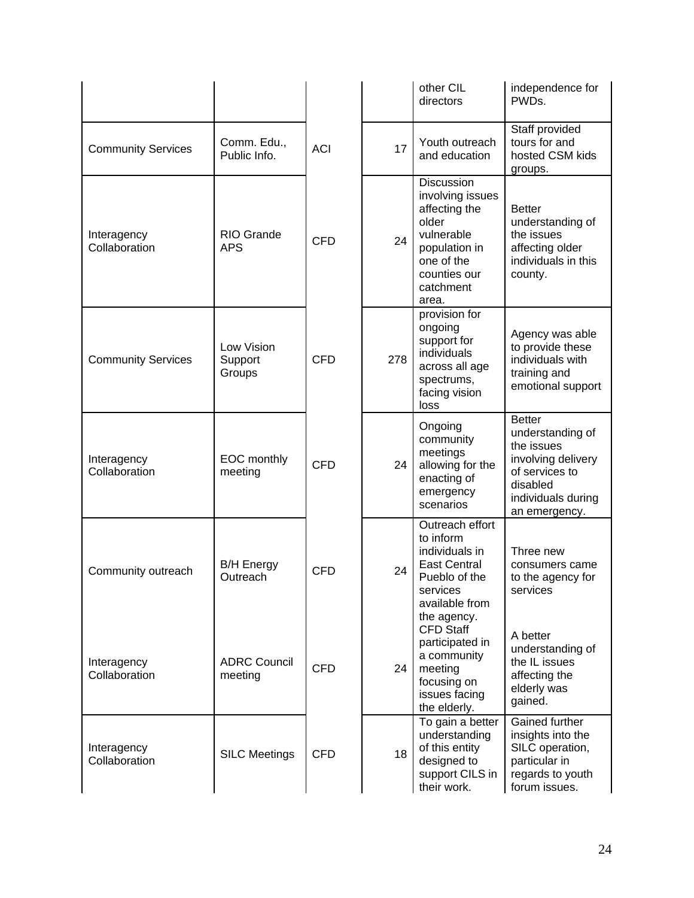|                              |                                 |            |     | other CIL<br>directors                                                                                                                             | independence for<br>PWD <sub>s</sub>                                                                                                       |
|------------------------------|---------------------------------|------------|-----|----------------------------------------------------------------------------------------------------------------------------------------------------|--------------------------------------------------------------------------------------------------------------------------------------------|
| <b>Community Services</b>    | Comm. Edu.,<br>Public Info.     | <b>ACI</b> | 17  | Youth outreach<br>and education                                                                                                                    | Staff provided<br>tours for and<br>hosted CSM kids<br>groups.                                                                              |
| Interagency<br>Collaboration | <b>RIO Grande</b><br><b>APS</b> | <b>CFD</b> | 24  | <b>Discussion</b><br>involving issues<br>affecting the<br>older<br>vulnerable<br>population in<br>one of the<br>counties our<br>catchment<br>area. | <b>Better</b><br>understanding of<br>the issues<br>affecting older<br>individuals in this<br>county.                                       |
| <b>Community Services</b>    | Low Vision<br>Support<br>Groups | <b>CFD</b> | 278 | provision for<br>ongoing<br>support for<br>individuals<br>across all age<br>spectrums,<br>facing vision<br>loss                                    | Agency was able<br>to provide these<br>individuals with<br>training and<br>emotional support                                               |
| Interagency<br>Collaboration | EOC monthly<br>meeting          | <b>CFD</b> | 24  | Ongoing<br>community<br>meetings<br>allowing for the<br>enacting of<br>emergency<br>scenarios                                                      | <b>Better</b><br>understanding of<br>the issues<br>involving delivery<br>of services to<br>disabled<br>individuals during<br>an emergency. |
| Community outreach           | <b>B/H Energy</b><br>Outreach   | <b>CFD</b> | 24  | Outreach effort<br>to inform<br>individuals in<br><b>East Central</b><br>Pueblo of the<br>services<br>available from<br>the agency.                | Three new<br>consumers came<br>to the agency for<br>services                                                                               |
| Interagency<br>Collaboration | <b>ADRC Council</b><br>meeting  | <b>CFD</b> | 24  | <b>CFD Staff</b><br>participated in<br>a community<br>meeting<br>focusing on<br>issues facing<br>the elderly.                                      | A better<br>understanding of<br>the IL issues<br>affecting the<br>elderly was<br>gained.                                                   |
| Interagency<br>Collaboration | <b>SILC Meetings</b>            | <b>CFD</b> | 18  | To gain a better<br>understanding<br>of this entity<br>designed to<br>support CILS in<br>their work.                                               | Gained further<br>insights into the<br>SILC operation,<br>particular in<br>regards to youth<br>forum issues.                               |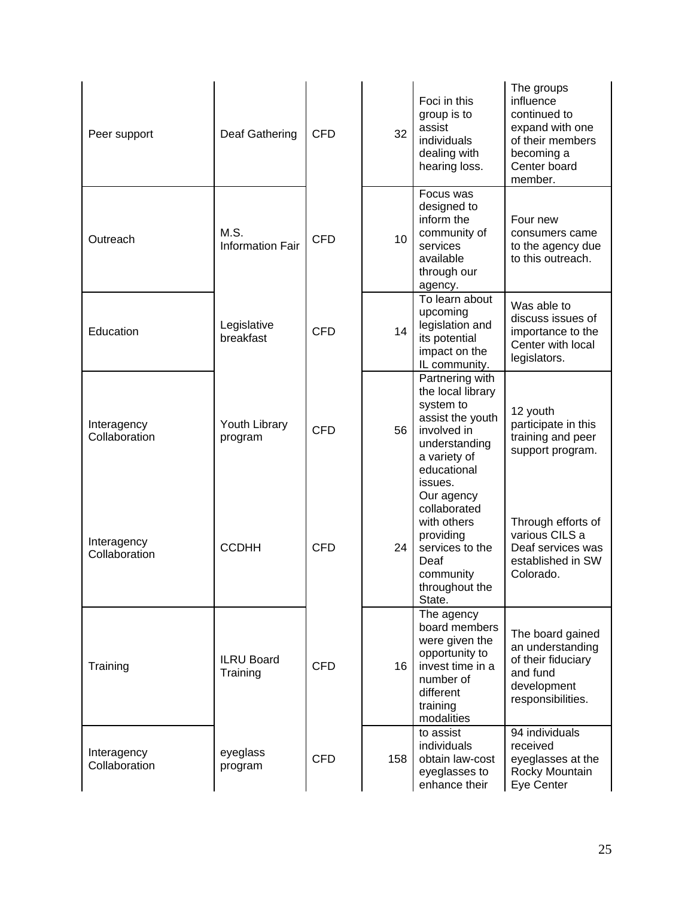| Peer support                 | Deaf Gathering                  | <b>CFD</b> | 32              | Foci in this<br>group is to<br>assist<br>individuals<br>dealing with<br>hearing loss.                                                           | The groups<br>influence<br>continued to<br>expand with one<br>of their members<br>becoming a<br>Center board<br>member. |
|------------------------------|---------------------------------|------------|-----------------|-------------------------------------------------------------------------------------------------------------------------------------------------|-------------------------------------------------------------------------------------------------------------------------|
| Outreach                     | M.S.<br><b>Information Fair</b> | <b>CFD</b> | 10 <sup>1</sup> | Focus was<br>designed to<br>inform the<br>community of<br>services<br>available<br>through our<br>agency.                                       | Four new<br>consumers came<br>to the agency due<br>to this outreach.                                                    |
| Education                    | Legislative<br>breakfast        | <b>CFD</b> | 14              | To learn about<br>upcoming<br>legislation and<br>its potential<br>impact on the<br>IL community.                                                | Was able to<br>discuss issues of<br>importance to the<br>Center with local<br>legislators.                              |
| Interagency<br>Collaboration | Youth Library<br>program        | <b>CFD</b> | 56              | Partnering with<br>the local library<br>system to<br>assist the youth<br>involved in<br>understanding<br>a variety of<br>educational<br>issues. | 12 youth<br>participate in this<br>training and peer<br>support program.                                                |
| Interagency<br>Collaboration | <b>CCDHH</b>                    | <b>CFD</b> | 24              | Our agency<br>collaborated<br>with others<br>providing<br>services to the<br>Deaf<br>community<br>throughout the<br>State.                      | Through efforts of<br>various CILS a<br>Deaf services was<br>established in SW<br>Colorado.                             |
| Training                     | <b>ILRU Board</b><br>Training   | <b>CFD</b> | 16 <sup>°</sup> | The agency<br>board members<br>were given the<br>opportunity to<br>invest time in a<br>number of<br>different<br>training<br>modalities         | The board gained<br>an understanding<br>of their fiduciary<br>and fund<br>development<br>responsibilities.              |
| Interagency<br>Collaboration | eyeglass<br>program             | <b>CFD</b> | 158             | to assist<br>individuals<br>obtain law-cost<br>eyeglasses to<br>enhance their                                                                   | 94 individuals<br>received<br>eyeglasses at the<br>Rocky Mountain<br>Eye Center                                         |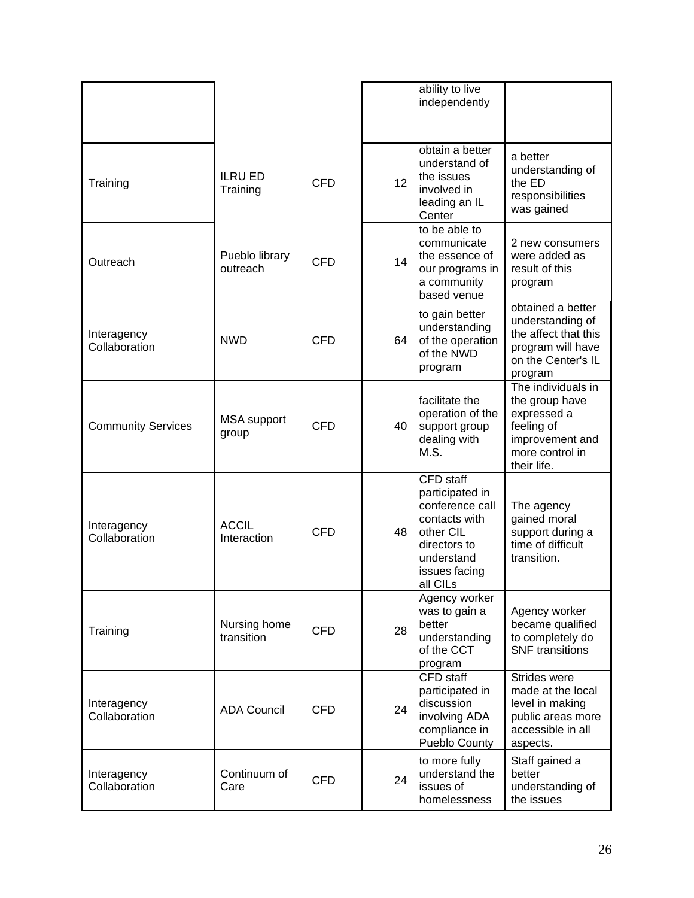|                              |                             |            |                 | ability to live<br>independently                                                                                                                |                                                                                                                        |
|------------------------------|-----------------------------|------------|-----------------|-------------------------------------------------------------------------------------------------------------------------------------------------|------------------------------------------------------------------------------------------------------------------------|
| Training                     | <b>ILRU ED</b><br>Training  | <b>CFD</b> | 12 <sup>2</sup> | obtain a better<br>understand of<br>the issues<br>involved in<br>leading an IL<br>Center                                                        | a better<br>understanding of<br>the ED<br>responsibilities<br>was gained                                               |
| Outreach                     | Pueblo library<br>outreach  | <b>CFD</b> | 14              | to be able to<br>communicate<br>the essence of<br>our programs in<br>a community<br>based venue                                                 | 2 new consumers<br>were added as<br>result of this<br>program                                                          |
| Interagency<br>Collaboration | <b>NWD</b>                  | <b>CFD</b> | 64              | to gain better<br>understanding<br>of the operation<br>of the NWD<br>program                                                                    | obtained a better<br>understanding of<br>the affect that this<br>program will have<br>on the Center's IL<br>program    |
| <b>Community Services</b>    | <b>MSA</b> support<br>group | <b>CFD</b> | 40              | facilitate the<br>operation of the<br>support group<br>dealing with<br>M.S.                                                                     | The individuals in<br>the group have<br>expressed a<br>feeling of<br>improvement and<br>more control in<br>their life. |
| Interagency<br>Collaboration | <b>ACCIL</b><br>Interaction | <b>CFD</b> | 48              | <b>CFD</b> staff<br>participated in<br>conference call<br>contacts with<br>other CIL<br>directors to<br>understand<br>issues facing<br>all CILs | The agency<br>gained moral<br>support during a<br>time of difficult<br>transition.                                     |
| Training                     | Nursing home<br>transition  | <b>CFD</b> | 28              | Agency worker<br>was to gain a<br>better<br>understanding<br>of the CCT<br>program                                                              | Agency worker<br>became qualified<br>to completely do<br><b>SNF</b> transitions                                        |
| Interagency<br>Collaboration | <b>ADA Council</b>          | <b>CFD</b> | 24              | CFD staff<br>participated in<br>discussion<br>involving ADA<br>compliance in<br>Pueblo County                                                   | Strides were<br>made at the local<br>level in making<br>public areas more<br>accessible in all<br>aspects.             |
| Interagency<br>Collaboration | Continuum of<br>Care        | <b>CFD</b> | 24              | to more fully<br>understand the<br>issues of<br>homelessness                                                                                    | Staff gained a<br>better<br>understanding of<br>the issues                                                             |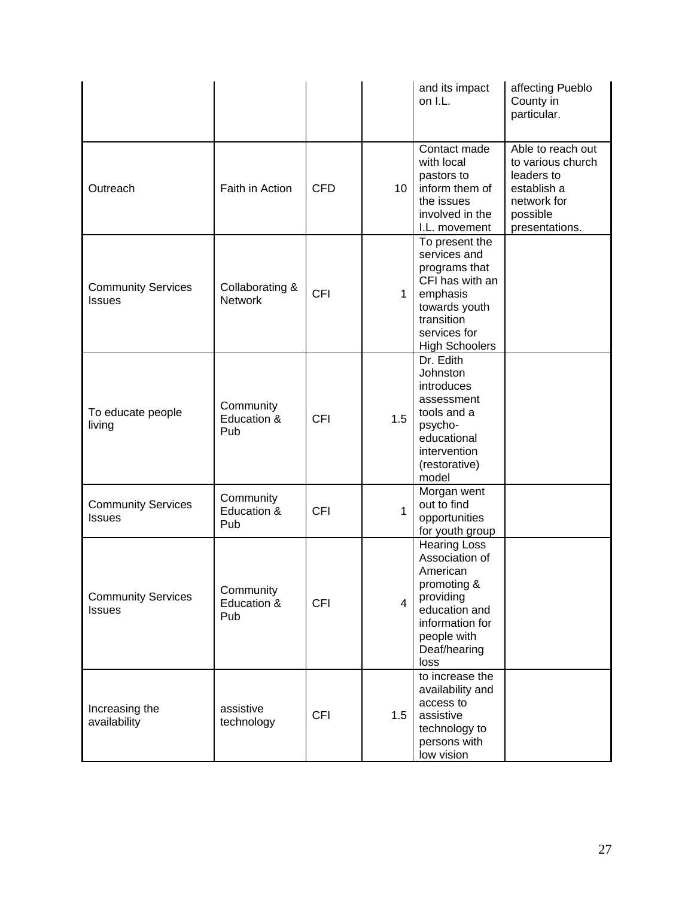|                                            |                                   |            |                 | and its impact<br>on I.L.                                                                                                                                | affecting Pueblo<br>County in<br>particular.                                                                     |
|--------------------------------------------|-----------------------------------|------------|-----------------|----------------------------------------------------------------------------------------------------------------------------------------------------------|------------------------------------------------------------------------------------------------------------------|
| Outreach                                   | Faith in Action                   | <b>CFD</b> | 10 <sup>1</sup> | Contact made<br>with local<br>pastors to<br>inform them of<br>the issues<br>involved in the<br>I.L. movement                                             | Able to reach out<br>to various church<br>leaders to<br>establish a<br>network for<br>possible<br>presentations. |
| <b>Community Services</b><br><b>Issues</b> | Collaborating &<br><b>Network</b> | <b>CFI</b> | $\mathbf{1}$    | To present the<br>services and<br>programs that<br>CFI has with an<br>emphasis<br>towards youth<br>transition<br>services for<br><b>High Schoolers</b>   |                                                                                                                  |
| To educate people<br>living                | Community<br>Education &<br>Pub   | <b>CFI</b> | 1.5             | Dr. Edith<br>Johnston<br>introduces<br>assessment<br>tools and a<br>psycho-<br>educational<br>intervention<br>(restorative)<br>model                     |                                                                                                                  |
| <b>Community Services</b><br><b>Issues</b> | Community<br>Education &<br>Pub   | <b>CFI</b> | $\mathbf{1}$    | Morgan went<br>out to find<br>opportunities<br>for youth group                                                                                           |                                                                                                                  |
| <b>Community Services</b><br><b>Issues</b> | Community<br>Education &<br>Pub   | <b>CFI</b> | $\overline{4}$  | <b>Hearing Loss</b><br>Association of<br>American<br>promoting &<br>providing<br>education and<br>information for<br>people with<br>Deaf/hearing<br>loss |                                                                                                                  |
| Increasing the<br>availability             | assistive<br>technology           | <b>CFI</b> | 1.5             | to increase the<br>availability and<br>access to<br>assistive<br>technology to<br>persons with<br>low vision                                             |                                                                                                                  |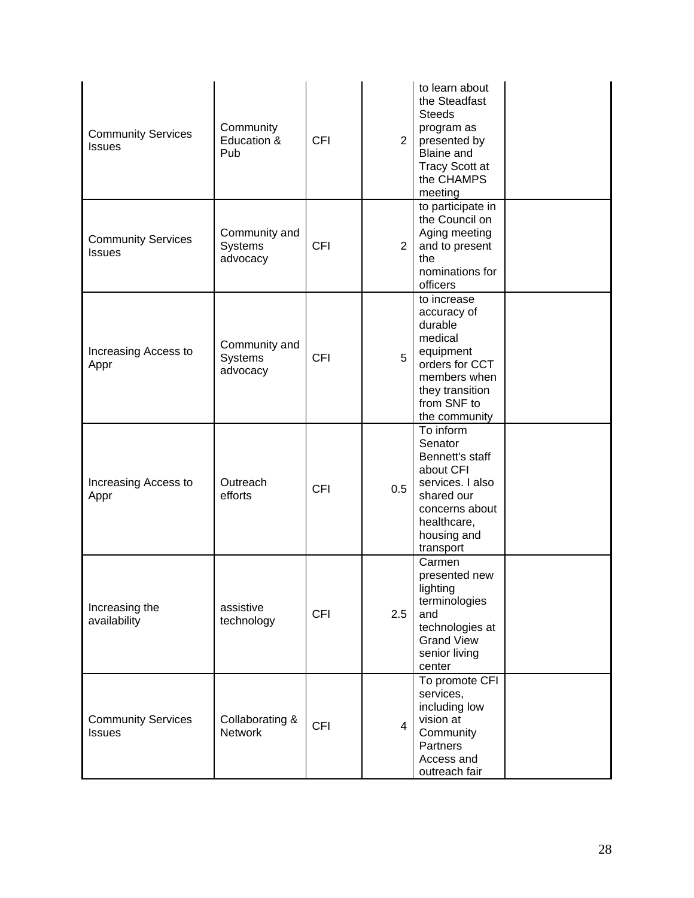| <b>Community Services</b><br><b>Issues</b> | Community<br>Education &<br>Pub      | <b>CFI</b> | $\overline{2}$ | to learn about<br>the Steadfast<br><b>Steeds</b><br>program as<br>presented by<br><b>Blaine and</b><br><b>Tracy Scott at</b><br>the CHAMPS<br>meeting |  |
|--------------------------------------------|--------------------------------------|------------|----------------|-------------------------------------------------------------------------------------------------------------------------------------------------------|--|
| <b>Community Services</b><br><b>Issues</b> | Community and<br>Systems<br>advocacy | <b>CFI</b> | $\overline{2}$ | to participate in<br>the Council on<br>Aging meeting<br>and to present<br>the<br>nominations for<br>officers                                          |  |
| Increasing Access to<br>Appr               | Community and<br>Systems<br>advocacy | <b>CFI</b> | 5              | to increase<br>accuracy of<br>durable<br>medical<br>equipment<br>orders for CCT<br>members when<br>they transition<br>from SNF to<br>the community    |  |
| Increasing Access to<br>Appr               | Outreach<br>efforts                  | <b>CFI</b> | 0.5            | To inform<br>Senator<br>Bennett's staff<br>about CFI<br>services. I also<br>shared our<br>concerns about<br>healthcare,<br>housing and<br>transport   |  |
| Increasing the<br>availability             | assistive<br>technology              | <b>CFI</b> | 2.5            | Carmen<br>presented new<br>lighting<br>terminologies<br>and<br>technologies at<br><b>Grand View</b><br>senior living<br>center                        |  |
| <b>Community Services</b><br><b>Issues</b> | Collaborating &<br><b>Network</b>    | <b>CFI</b> | $\overline{4}$ | To promote CFI<br>services,<br>including low<br>vision at<br>Community<br>Partners<br>Access and<br>outreach fair                                     |  |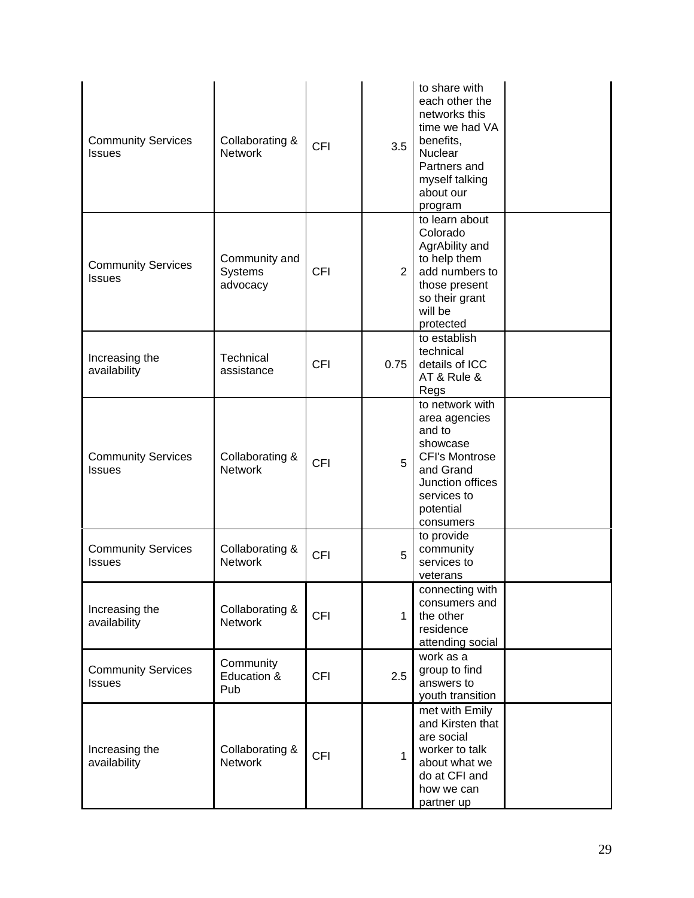| <b>Community Services</b><br><b>Issues</b> | Collaborating &<br><b>Network</b>           | <b>CFI</b> | 3.5            | to share with<br>each other the<br>networks this<br>time we had VA<br>benefits,<br>Nuclear<br>Partners and<br>myself talking<br>about our<br>program      |  |
|--------------------------------------------|---------------------------------------------|------------|----------------|-----------------------------------------------------------------------------------------------------------------------------------------------------------|--|
| <b>Community Services</b><br><b>Issues</b> | Community and<br><b>Systems</b><br>advocacy | <b>CFI</b> | $\overline{2}$ | to learn about<br>Colorado<br>AgrAbility and<br>to help them<br>add numbers to<br>those present<br>so their grant<br>will be<br>protected                 |  |
| Increasing the<br>availability             | Technical<br>assistance                     | <b>CFI</b> | 0.75           | to establish<br>technical<br>details of ICC<br>AT & Rule &<br>Regs                                                                                        |  |
| <b>Community Services</b><br><b>Issues</b> | Collaborating &<br><b>Network</b>           | <b>CFI</b> | 5              | to network with<br>area agencies<br>and to<br>showcase<br><b>CFI's Montrose</b><br>and Grand<br>Junction offices<br>services to<br>potential<br>consumers |  |
| <b>Community Services</b><br><b>Issues</b> | Collaborating &<br><b>Network</b>           | <b>CFI</b> | 5              | to provide<br>community<br>services to<br>veterans                                                                                                        |  |
| Increasing the<br>availability             | Collaborating &<br><b>Network</b>           | <b>CFI</b> | $\mathbf{1}$   | connecting with<br>consumers and<br>the other<br>residence<br>attending social                                                                            |  |
| <b>Community Services</b><br><b>Issues</b> | Community<br>Education &<br>Pub             | <b>CFI</b> | 2.5            | work as a<br>group to find<br>answers to<br>youth transition                                                                                              |  |
| Increasing the<br>availability             | Collaborating &<br><b>Network</b>           | <b>CFI</b> | $\mathbf{1}$   | met with Emily<br>and Kirsten that<br>are social<br>worker to talk<br>about what we<br>do at CFI and<br>how we can<br>partner up                          |  |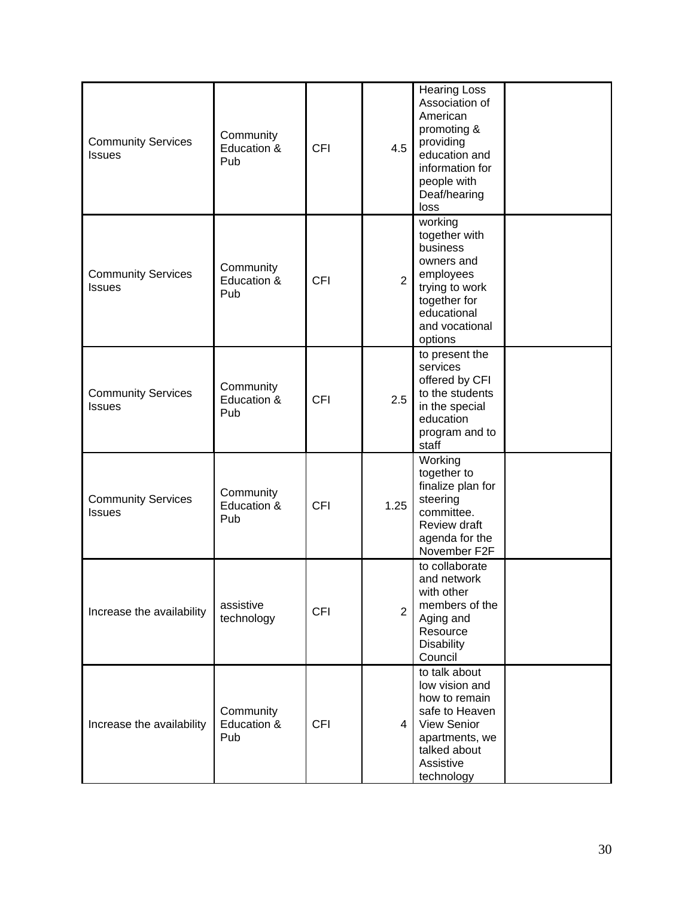| <b>Community Services</b><br><b>Issues</b> | Community<br>Education &<br>Pub | <b>CFI</b> | 4.5            | <b>Hearing Loss</b><br>Association of<br>American<br>promoting &<br>providing<br>education and<br>information for<br>people with<br>Deaf/hearing<br>loss |  |
|--------------------------------------------|---------------------------------|------------|----------------|----------------------------------------------------------------------------------------------------------------------------------------------------------|--|
| <b>Community Services</b><br><b>Issues</b> | Community<br>Education &<br>Pub | <b>CFI</b> | $\overline{2}$ | working<br>together with<br>business<br>owners and<br>employees<br>trying to work<br>together for<br>educational<br>and vocational<br>options            |  |
| <b>Community Services</b><br><b>Issues</b> | Community<br>Education &<br>Pub | <b>CFI</b> | 2.5            | to present the<br>services<br>offered by CFI<br>to the students<br>in the special<br>education<br>program and to<br>staff                                |  |
| <b>Community Services</b><br><b>Issues</b> | Community<br>Education &<br>Pub | <b>CFI</b> | 1.25           | Working<br>together to<br>finalize plan for<br>steering<br>committee.<br>Review draft<br>agenda for the<br>November F2F                                  |  |
| Increase the availability                  | assistive<br>technology         | <b>CFI</b> | $\overline{2}$ | to collaborate<br>and network<br>with other<br>members of the<br>Aging and<br>Resource<br><b>Disability</b><br>Council                                   |  |
| Increase the availability                  | Community<br>Education &<br>Pub | <b>CFI</b> | 4 <sup>1</sup> | to talk about<br>low vision and<br>how to remain<br>safe to Heaven<br><b>View Senior</b><br>apartments, we<br>talked about<br>Assistive<br>technology    |  |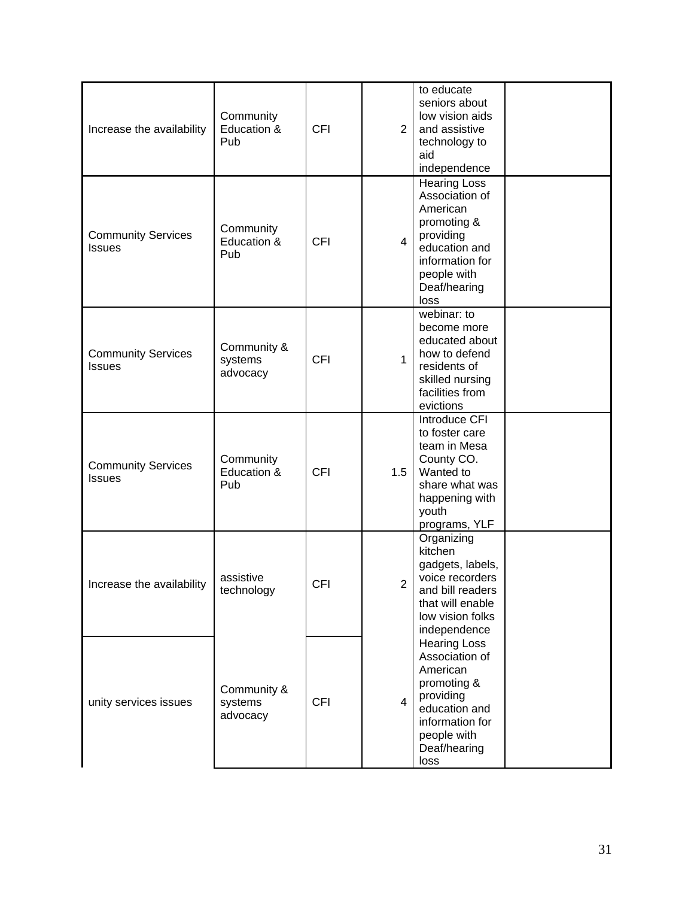| Increase the availability                  | Community<br>Education &<br>Pub    | <b>CFI</b> | $\overline{2}$ | to educate<br>seniors about<br>low vision aids<br>and assistive<br>technology to<br>aid<br>independence                                                  |  |
|--------------------------------------------|------------------------------------|------------|----------------|----------------------------------------------------------------------------------------------------------------------------------------------------------|--|
| <b>Community Services</b><br><b>Issues</b> | Community<br>Education &<br>Pub    | <b>CFI</b> | $\overline{4}$ | <b>Hearing Loss</b><br>Association of<br>American<br>promoting &<br>providing<br>education and<br>information for<br>people with<br>Deaf/hearing<br>loss |  |
| <b>Community Services</b><br><b>Issues</b> | Community &<br>systems<br>advocacy | <b>CFI</b> | $\mathbf{1}$   | webinar: to<br>become more<br>educated about<br>how to defend<br>residents of<br>skilled nursing<br>facilities from<br>evictions                         |  |
| <b>Community Services</b><br><b>Issues</b> | Community<br>Education &<br>Pub    | <b>CFI</b> | 1.5            | Introduce CFI<br>to foster care<br>team in Mesa<br>County CO.<br>Wanted to<br>share what was<br>happening with<br>youth<br>programs, YLF                 |  |
| Increase the availability                  | assistive<br>technology            | <b>CFI</b> | 2              | Organizing<br>kitchen<br>gadgets, labels,<br>voice recorders<br>and bill readers<br>that will enable<br>low vision folks<br>independence                 |  |
| unity services issues                      | Community &<br>systems<br>advocacy | <b>CFI</b> | $\overline{4}$ | <b>Hearing Loss</b><br>Association of<br>American<br>promoting &<br>providing<br>education and<br>information for<br>people with<br>Deaf/hearing<br>loss |  |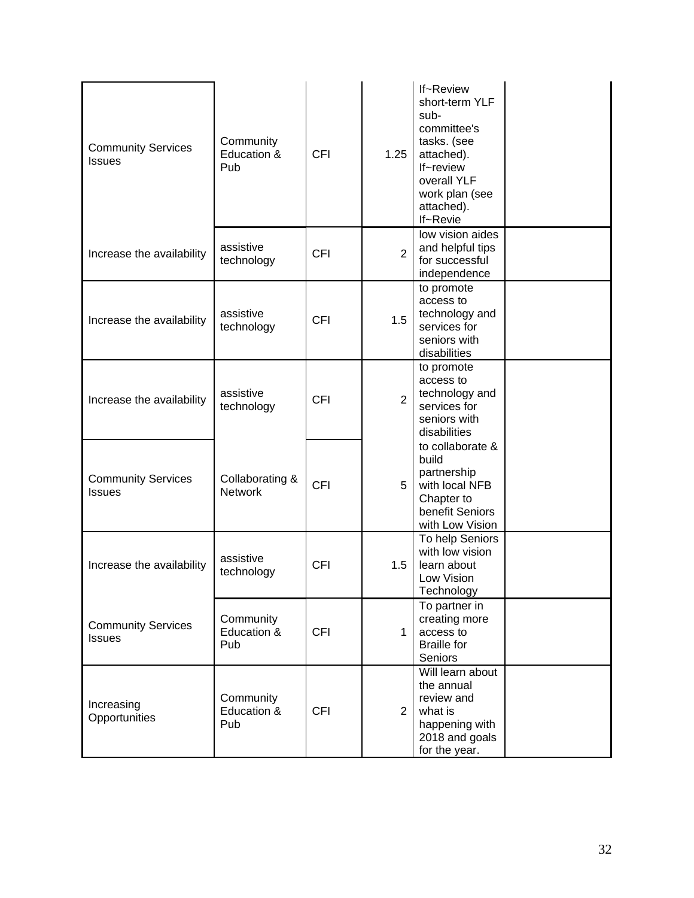| <b>Community Services</b><br><b>Issues</b> | Community<br>Education &<br>Pub   | <b>CFI</b> | 1.25           | If~Review<br>short-term YLF<br>sub-<br>committee's<br>tasks. (see<br>attached).<br>If~review<br>overall YLF<br>work plan (see<br>attached).<br>If~Revie |  |
|--------------------------------------------|-----------------------------------|------------|----------------|---------------------------------------------------------------------------------------------------------------------------------------------------------|--|
| Increase the availability                  | assistive<br>technology           | <b>CFI</b> | $\overline{2}$ | low vision aides<br>and helpful tips<br>for successful<br>independence                                                                                  |  |
| Increase the availability                  | assistive<br>technology           | <b>CFI</b> | 1.5            | to promote<br>access to<br>technology and<br>services for<br>seniors with<br>disabilities                                                               |  |
| Increase the availability                  | assistive<br>technology           | <b>CFI</b> | $\overline{2}$ | to promote<br>access to<br>technology and<br>services for<br>seniors with<br>disabilities                                                               |  |
| <b>Community Services</b><br><b>Issues</b> | Collaborating &<br><b>Network</b> | <b>CFI</b> | 5              | to collaborate &<br>build<br>partnership<br>with local NFB<br>Chapter to<br>benefit Seniors<br>with Low Vision                                          |  |
| Increase the availability                  | assistive<br>technology           | <b>CFI</b> | 1.5            | To help Seniors<br>with low vision<br>learn about<br>Low Vision<br>Technology                                                                           |  |
| <b>Community Services</b><br><b>Issues</b> | Community<br>Education &<br>Pub   | <b>CFI</b> | $\mathbf 1$    | To partner in<br>creating more<br>access to<br><b>Braille for</b><br>Seniors                                                                            |  |
| Increasing<br>Opportunities                | Community<br>Education &<br>Pub   | <b>CFI</b> | $\overline{2}$ | Will learn about<br>the annual<br>review and<br>what is<br>happening with<br>2018 and goals<br>for the year.                                            |  |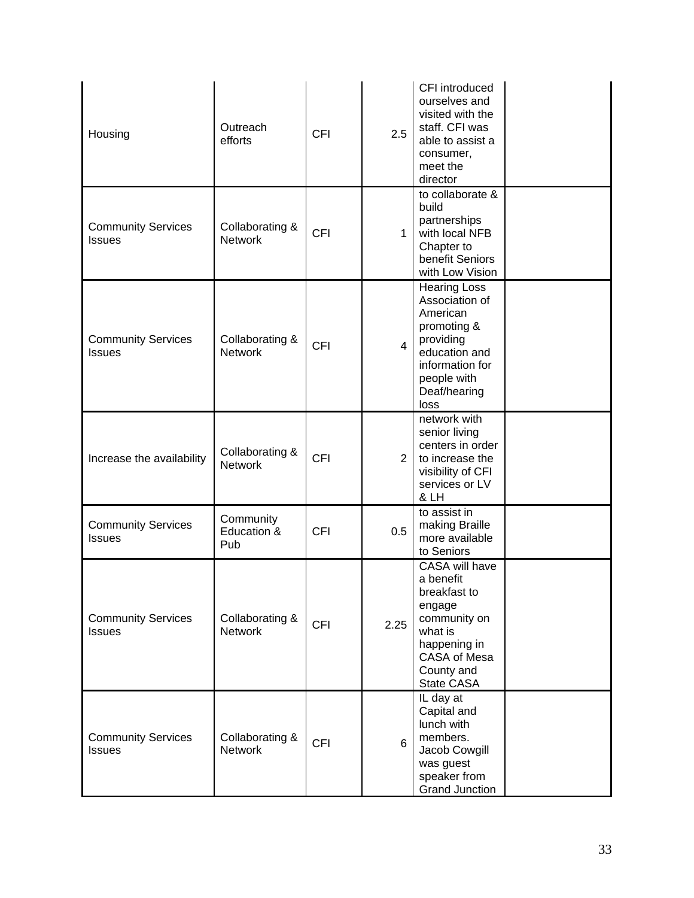| Housing                                    | Outreach<br>efforts               | <b>CFI</b> | 2.5            | CFI introduced<br>ourselves and<br>visited with the<br>staff. CFI was<br>able to assist a<br>consumer,<br>meet the<br>director                           |  |
|--------------------------------------------|-----------------------------------|------------|----------------|----------------------------------------------------------------------------------------------------------------------------------------------------------|--|
| <b>Community Services</b><br><b>Issues</b> | Collaborating &<br><b>Network</b> | <b>CFI</b> | 1              | to collaborate $&$<br>build<br>partnerships<br>with local NFB<br>Chapter to<br>benefit Seniors<br>with Low Vision                                        |  |
| <b>Community Services</b><br><b>Issues</b> | Collaborating &<br><b>Network</b> | <b>CFI</b> | 4 <sup>1</sup> | <b>Hearing Loss</b><br>Association of<br>American<br>promoting &<br>providing<br>education and<br>information for<br>people with<br>Deaf/hearing<br>loss |  |
| Increase the availability                  | Collaborating &<br><b>Network</b> | <b>CFI</b> | 2              | network with<br>senior living<br>centers in order<br>to increase the<br>visibility of CFI<br>services or LV<br>& LH                                      |  |
| <b>Community Services</b><br><b>Issues</b> | Community<br>Education &<br>Pub   | <b>CFI</b> | 0.5            | to assist in<br>making Braille<br>more available<br>to Seniors                                                                                           |  |
| <b>Community Services</b><br><b>Issues</b> | Collaborating &<br><b>Network</b> | <b>CFI</b> | 2.25           | CASA will have<br>a benefit<br>breakfast to<br>engage<br>community on<br>what is<br>happening in<br>CASA of Mesa<br>County and<br>State CASA             |  |
| <b>Community Services</b><br><b>Issues</b> | Collaborating &<br><b>Network</b> | <b>CFI</b> | 6              | IL day at<br>Capital and<br>lunch with<br>members.<br>Jacob Cowgill<br>was guest<br>speaker from<br><b>Grand Junction</b>                                |  |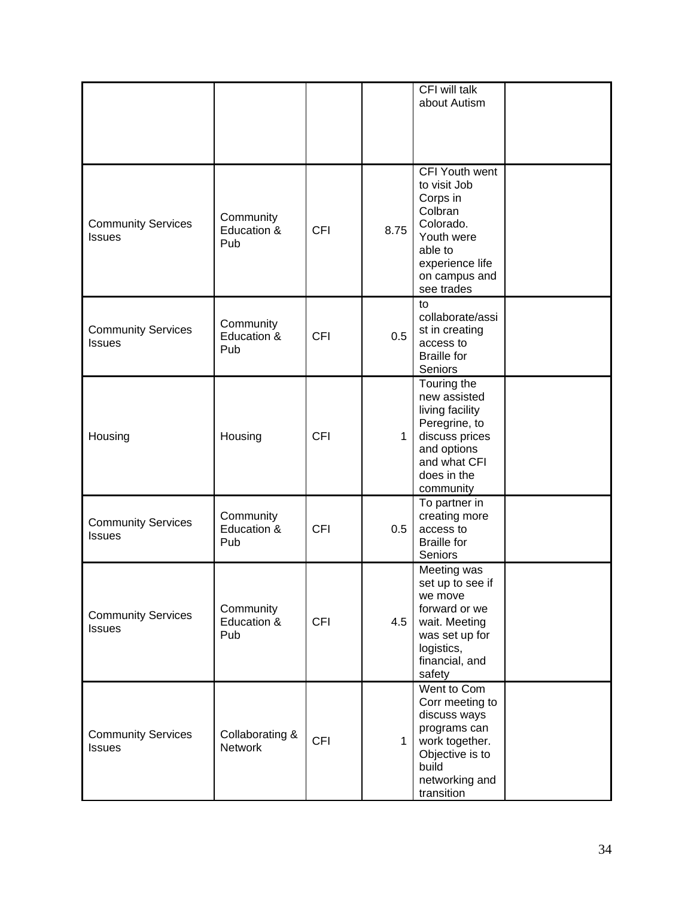|                                            |                                   |            |              | CFI will talk<br>about Autism                                                                                                                 |  |
|--------------------------------------------|-----------------------------------|------------|--------------|-----------------------------------------------------------------------------------------------------------------------------------------------|--|
|                                            |                                   |            |              |                                                                                                                                               |  |
| <b>Community Services</b><br><b>Issues</b> | Community<br>Education &<br>Pub   | <b>CFI</b> | 8.75         | CFI Youth went<br>to visit Job<br>Corps in<br>Colbran<br>Colorado.<br>Youth were<br>able to<br>experience life<br>on campus and<br>see trades |  |
| <b>Community Services</b><br><b>Issues</b> | Community<br>Education &<br>Pub   | <b>CFI</b> | 0.5          | to<br>collaborate/assi<br>st in creating<br>access to<br><b>Braille for</b><br>Seniors                                                        |  |
| Housing                                    | Housing                           | <b>CFI</b> | $\mathbf{1}$ | Touring the<br>new assisted<br>living facility<br>Peregrine, to<br>discuss prices<br>and options<br>and what CFI<br>does in the<br>community  |  |
| <b>Community Services</b><br><b>Issues</b> | Community<br>Education &<br>Pub   | <b>CFI</b> | 0.5          | To partner in<br>creating more<br>access to<br><b>Braille</b> for<br>Seniors                                                                  |  |
| <b>Community Services</b><br><b>Issues</b> | Community<br>Education &<br>Pub   | <b>CFI</b> | 4.5          | Meeting was<br>set up to see if<br>we move<br>forward or we<br>wait. Meeting<br>was set up for<br>logistics,<br>financial, and<br>safety      |  |
| <b>Community Services</b><br><b>Issues</b> | Collaborating &<br><b>Network</b> | <b>CFI</b> | $\mathbf{1}$ | Went to Com<br>Corr meeting to<br>discuss ways<br>programs can<br>work together.<br>Objective is to<br>build<br>networking and<br>transition  |  |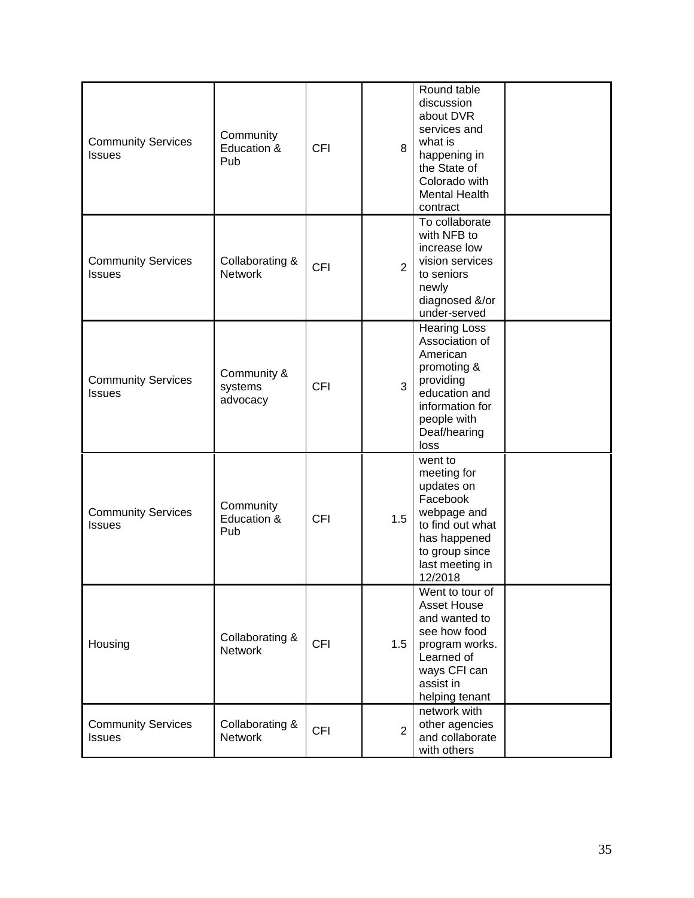| <b>Community Services</b><br><b>Issues</b> | Community<br>Education &<br>Pub    | <b>CFI</b> | 8              | Round table<br>discussion<br>about DVR<br>services and<br>what is<br>happening in<br>the State of<br>Colorado with<br><b>Mental Health</b><br>contract   |  |
|--------------------------------------------|------------------------------------|------------|----------------|----------------------------------------------------------------------------------------------------------------------------------------------------------|--|
| <b>Community Services</b><br><b>Issues</b> | Collaborating &<br><b>Network</b>  | <b>CFI</b> | $\overline{2}$ | To collaborate<br>with NFB to<br>increase low<br>vision services<br>to seniors<br>newly<br>diagnosed &/or<br>under-served                                |  |
| <b>Community Services</b><br><b>Issues</b> | Community &<br>systems<br>advocacy | <b>CFI</b> | 3              | <b>Hearing Loss</b><br>Association of<br>American<br>promoting &<br>providing<br>education and<br>information for<br>people with<br>Deaf/hearing<br>loss |  |
| <b>Community Services</b><br><b>Issues</b> | Community<br>Education &<br>Pub    | <b>CFI</b> | 1.5            | went to<br>meeting for<br>updates on<br>Facebook<br>webpage and<br>to find out what<br>has happened<br>to group since<br>last meeting in<br>12/2018      |  |
| Housing                                    | Collaborating &<br><b>Network</b>  | <b>CFI</b> | 1.5            | Went to tour of<br><b>Asset House</b><br>and wanted to<br>see how food<br>program works.<br>Learned of<br>ways CFI can<br>assist in<br>helping tenant    |  |
| <b>Community Services</b><br><b>Issues</b> | Collaborating &<br><b>Network</b>  | <b>CFI</b> | $\overline{2}$ | network with<br>other agencies<br>and collaborate<br>with others                                                                                         |  |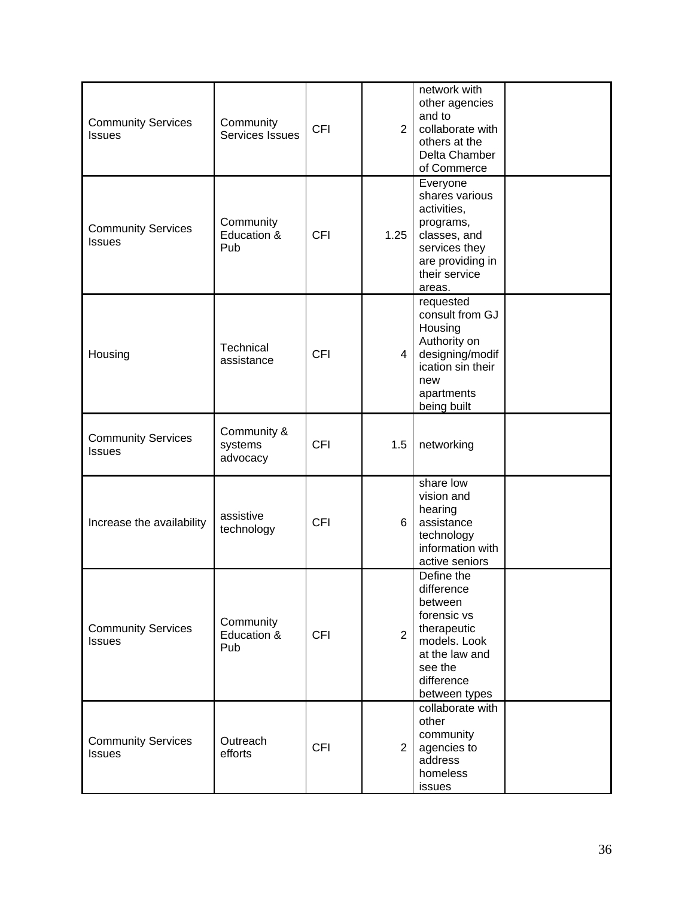| <b>Community Services</b><br><b>Issues</b> | Community<br>Services Issues       | <b>CFI</b> | $\overline{2}$ | network with<br>other agencies<br>and to<br>collaborate with<br>others at the<br>Delta Chamber<br>of Commerce                                 |  |
|--------------------------------------------|------------------------------------|------------|----------------|-----------------------------------------------------------------------------------------------------------------------------------------------|--|
| <b>Community Services</b><br><b>Issues</b> | Community<br>Education &<br>Pub    | <b>CFI</b> | 1.25           | Everyone<br>shares various<br>activities,<br>programs,<br>classes, and<br>services they<br>are providing in<br>their service<br>areas.        |  |
| Housing                                    | Technical<br>assistance            | <b>CFI</b> | $\overline{4}$ | requested<br>consult from GJ<br>Housing<br>Authority on<br>designing/modif<br>ication sin their<br>new<br>apartments<br>being built           |  |
| <b>Community Services</b><br><b>Issues</b> | Community &<br>systems<br>advocacy | <b>CFI</b> | 1.5            | networking                                                                                                                                    |  |
| Increase the availability                  | assistive<br>technology            | <b>CFI</b> | 6              | share low<br>vision and<br>hearing<br>assistance<br>technology<br>information with<br>active seniors                                          |  |
| <b>Community Services</b><br><b>Issues</b> | Community<br>Education &<br>Pub    | <b>CFI</b> | $\overline{2}$ | Define the<br>difference<br>between<br>forensic vs<br>therapeutic<br>models. Look<br>at the law and<br>see the<br>difference<br>between types |  |
| <b>Community Services</b><br><b>Issues</b> | Outreach<br>efforts                | <b>CFI</b> | 2 <sup>1</sup> | collaborate with<br>other<br>community<br>agencies to<br>address<br>homeless<br>issues                                                        |  |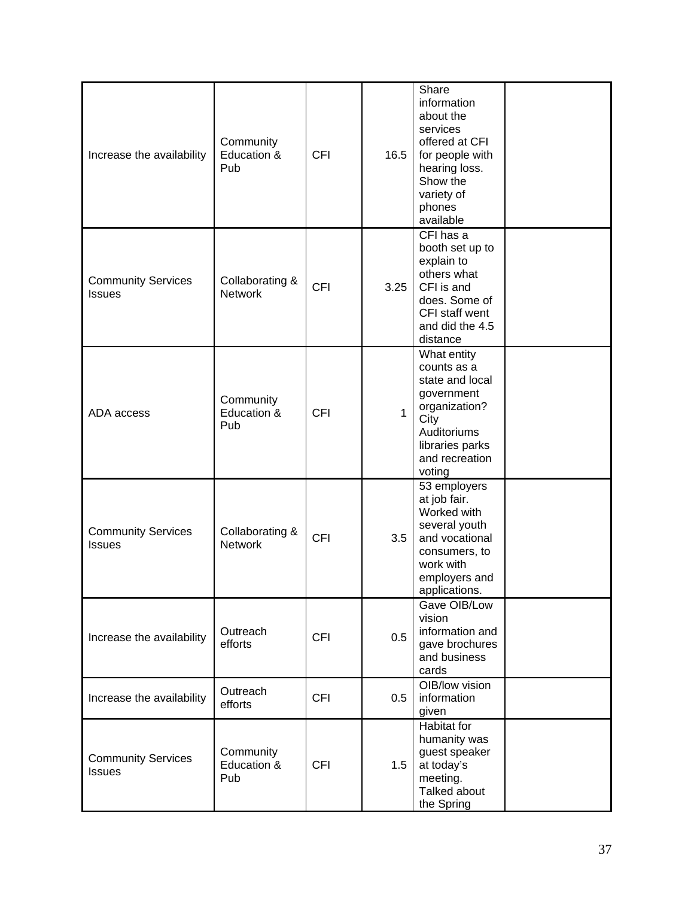| Increase the availability                  | Community<br>Education &<br>Pub   | <b>CFI</b> | 16.5         | Share<br>information<br>about the<br>services<br>offered at CFI<br>for people with<br>hearing loss.<br>Show the<br>variety of<br>phones<br>available |  |
|--------------------------------------------|-----------------------------------|------------|--------------|------------------------------------------------------------------------------------------------------------------------------------------------------|--|
| <b>Community Services</b><br><b>Issues</b> | Collaborating &<br><b>Network</b> | <b>CFI</b> | 3.25         | CFI has a<br>booth set up to<br>explain to<br>others what<br>CFI is and<br>does. Some of<br>CFI staff went<br>and did the 4.5<br>distance            |  |
| ADA access                                 | Community<br>Education &<br>Pub   | <b>CFI</b> | $\mathbf{1}$ | What entity<br>counts as a<br>state and local<br>government<br>organization?<br>City<br>Auditoriums<br>libraries parks<br>and recreation<br>voting   |  |
| <b>Community Services</b><br><b>Issues</b> | Collaborating &<br><b>Network</b> | <b>CFI</b> | 3.5          | 53 employers<br>at job fair.<br>Worked with<br>several youth<br>and vocational<br>consumers, to<br>work with<br>employers and<br>applications.       |  |
| Increase the availability                  | Outreach<br>efforts               | <b>CFI</b> | 0.5          | Gave OIB/Low<br>vision<br>information and<br>gave brochures<br>and business<br>cards                                                                 |  |
| Increase the availability                  | Outreach<br>efforts               | <b>CFI</b> | 0.5          | OIB/low vision<br>information<br>given                                                                                                               |  |
| <b>Community Services</b><br><b>Issues</b> | Community<br>Education &<br>Pub   | <b>CFI</b> | 1.5          | Habitat for<br>humanity was<br>guest speaker<br>at today's<br>meeting.<br>Talked about<br>the Spring                                                 |  |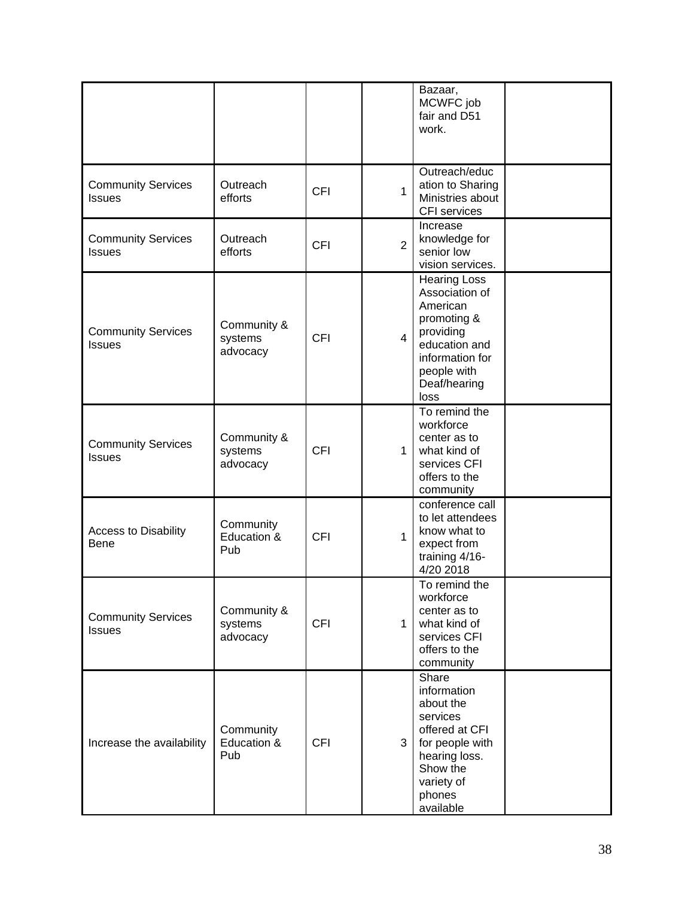|                                            |                                    |            |                | Bazaar,<br>MCWFC job<br>fair and D51<br>work.                                                                                                            |  |
|--------------------------------------------|------------------------------------|------------|----------------|----------------------------------------------------------------------------------------------------------------------------------------------------------|--|
| <b>Community Services</b><br><b>Issues</b> | Outreach<br>efforts                | <b>CFI</b> | 1              | Outreach/educ<br>ation to Sharing<br>Ministries about<br>CFI services                                                                                    |  |
| <b>Community Services</b><br><b>Issues</b> | Outreach<br>efforts                | <b>CFI</b> | $\overline{2}$ | Increase<br>knowledge for<br>senior low<br>vision services.                                                                                              |  |
| <b>Community Services</b><br><b>Issues</b> | Community &<br>systems<br>advocacy | <b>CFI</b> | $\overline{4}$ | <b>Hearing Loss</b><br>Association of<br>American<br>promoting &<br>providing<br>education and<br>information for<br>people with<br>Deaf/hearing<br>loss |  |
| <b>Community Services</b><br><b>Issues</b> | Community &<br>systems<br>advocacy | <b>CFI</b> | $\mathbf{1}$   | To remind the<br>workforce<br>center as to<br>what kind of<br>services CFI<br>offers to the<br>community                                                 |  |
| <b>Access to Disability</b><br><b>Bene</b> | Community<br>Education &<br>Pub    | <b>CFI</b> | $\mathbf{1}$   | conference call<br>to let attendees<br>know what to<br>expect from<br>training 4/16-<br>4/20 2018                                                        |  |
| <b>Community Services</b><br><b>Issues</b> | Community &<br>systems<br>advocacy | <b>CFI</b> | $\mathbf{1}$   | To remind the<br>workforce<br>center as to<br>what kind of<br>services CFI<br>offers to the<br>community                                                 |  |
| Increase the availability                  | Community<br>Education &<br>Pub    | <b>CFI</b> | 3              | Share<br>information<br>about the<br>services<br>offered at CFI<br>for people with<br>hearing loss.<br>Show the<br>variety of<br>phones<br>available     |  |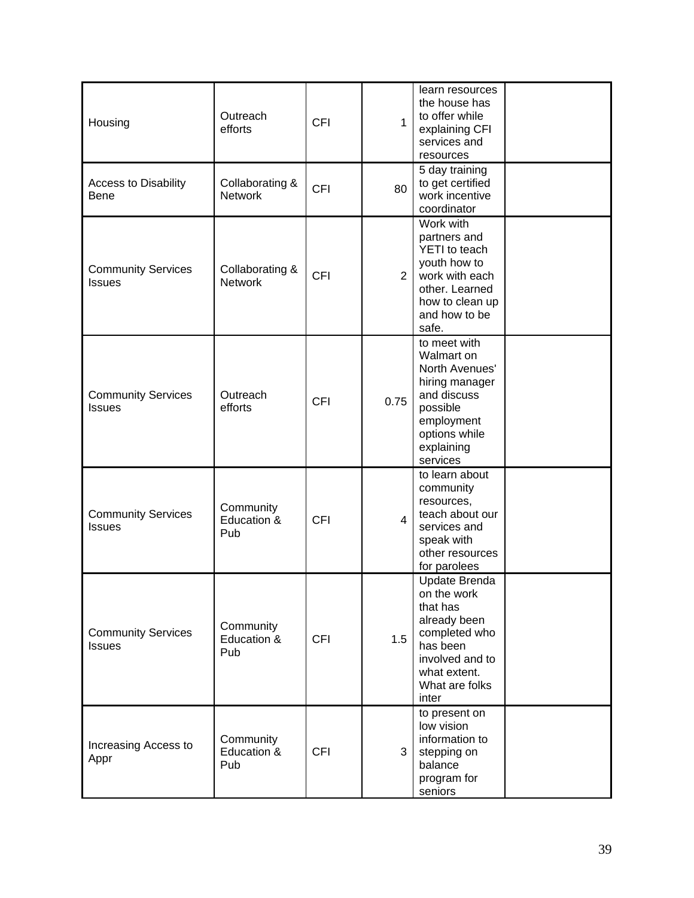| Housing                                    | Outreach<br>efforts               | <b>CFI</b> | $\mathbf{1}$   | learn resources<br>the house has<br>to offer while<br>explaining CFI<br>services and<br>resources                                                   |  |
|--------------------------------------------|-----------------------------------|------------|----------------|-----------------------------------------------------------------------------------------------------------------------------------------------------|--|
| <b>Access to Disability</b><br><b>Bene</b> | Collaborating &<br><b>Network</b> | <b>CFI</b> | 80             | 5 day training<br>to get certified<br>work incentive<br>coordinator                                                                                 |  |
| <b>Community Services</b><br><b>Issues</b> | Collaborating &<br><b>Network</b> | <b>CFI</b> | $\overline{2}$ | Work with<br>partners and<br>YETI to teach<br>youth how to<br>work with each<br>other. Learned<br>how to clean up<br>and how to be<br>safe.         |  |
| <b>Community Services</b><br><b>Issues</b> | Outreach<br>efforts               | <b>CFI</b> | 0.75           | to meet with<br>Walmart on<br>North Avenues'<br>hiring manager<br>and discuss<br>possible<br>employment<br>options while<br>explaining<br>services  |  |
| <b>Community Services</b><br><b>Issues</b> | Community<br>Education &<br>Pub   | <b>CFI</b> | $\overline{4}$ | to learn about<br>community<br>resources,<br>teach about our<br>services and<br>speak with<br>other resources<br>for parolees                       |  |
| <b>Community Services</b><br><b>Issues</b> | Community<br>Education &<br>Pub   | <b>CFI</b> | 1.5            | Update Brenda<br>on the work<br>that has<br>already been<br>completed who<br>has been<br>involved and to<br>what extent.<br>What are folks<br>inter |  |
| Increasing Access to<br>Appr               | Community<br>Education &<br>Pub   | <b>CFI</b> | 3              | to present on<br>low vision<br>information to<br>stepping on<br>balance<br>program for<br>seniors                                                   |  |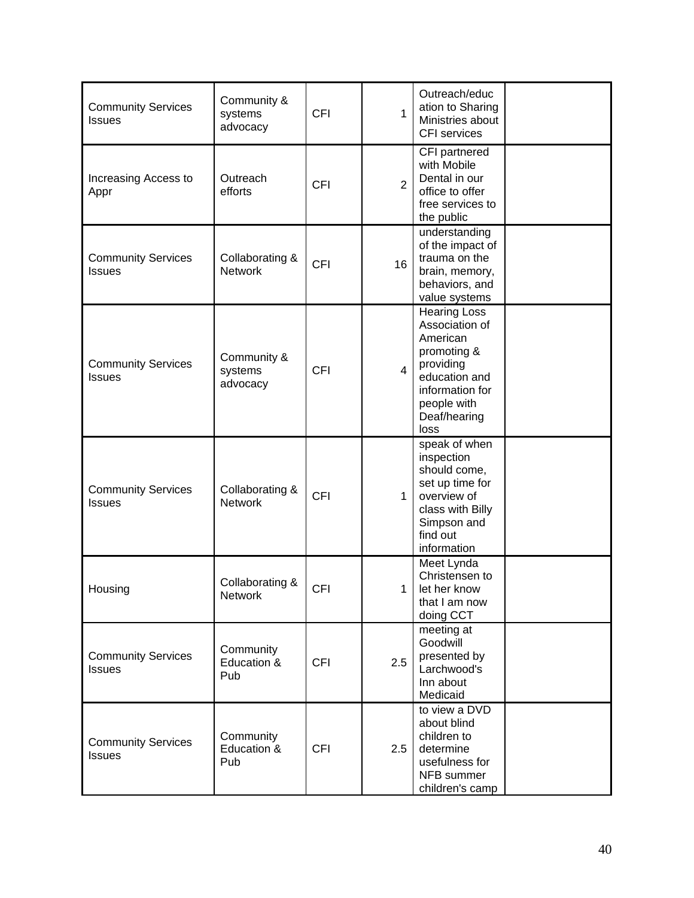| <b>Community Services</b><br><b>Issues</b> | Community &<br>systems<br>advocacy | <b>CFI</b> | $\mathbf{1}$   | Outreach/educ<br>ation to Sharing<br>Ministries about<br>CFI services                                                                             |  |
|--------------------------------------------|------------------------------------|------------|----------------|---------------------------------------------------------------------------------------------------------------------------------------------------|--|
| Increasing Access to<br>Appr               | Outreach<br>efforts                | <b>CFI</b> | $\overline{2}$ | CFI partnered<br>with Mobile<br>Dental in our<br>office to offer<br>free services to<br>the public                                                |  |
| <b>Community Services</b><br><b>Issues</b> | Collaborating &<br><b>Network</b>  | <b>CFI</b> | 16             | understanding<br>of the impact of<br>trauma on the<br>brain, memory,<br>behaviors, and<br>value systems                                           |  |
| <b>Community Services</b><br><b>Issues</b> | Community &<br>systems<br>advocacy | <b>CFI</b> | $\overline{4}$ | Hearing Loss<br>Association of<br>American<br>promoting &<br>providing<br>education and<br>information for<br>people with<br>Deaf/hearing<br>loss |  |
| <b>Community Services</b><br><b>Issues</b> | Collaborating &<br><b>Network</b>  | <b>CFI</b> | 1              | speak of when<br>inspection<br>should come,<br>set up time for<br>overview of<br>class with Billy<br>Simpson and<br>find out<br>information       |  |
| Housing                                    | Collaborating &<br><b>Network</b>  | <b>CFI</b> | 1              | Meet Lynda<br>Christensen to<br>let her know<br>that I am now<br>doing CCT                                                                        |  |
| <b>Community Services</b><br><b>Issues</b> | Community<br>Education &<br>Pub    | <b>CFI</b> | 2.5            | meeting at<br>Goodwill<br>presented by<br>Larchwood's<br>Inn about<br>Medicaid                                                                    |  |
| <b>Community Services</b><br><b>Issues</b> | Community<br>Education &<br>Pub    | <b>CFI</b> | 2.5            | to view a DVD<br>about blind<br>children to<br>determine<br>usefulness for<br>NFB summer<br>children's camp                                       |  |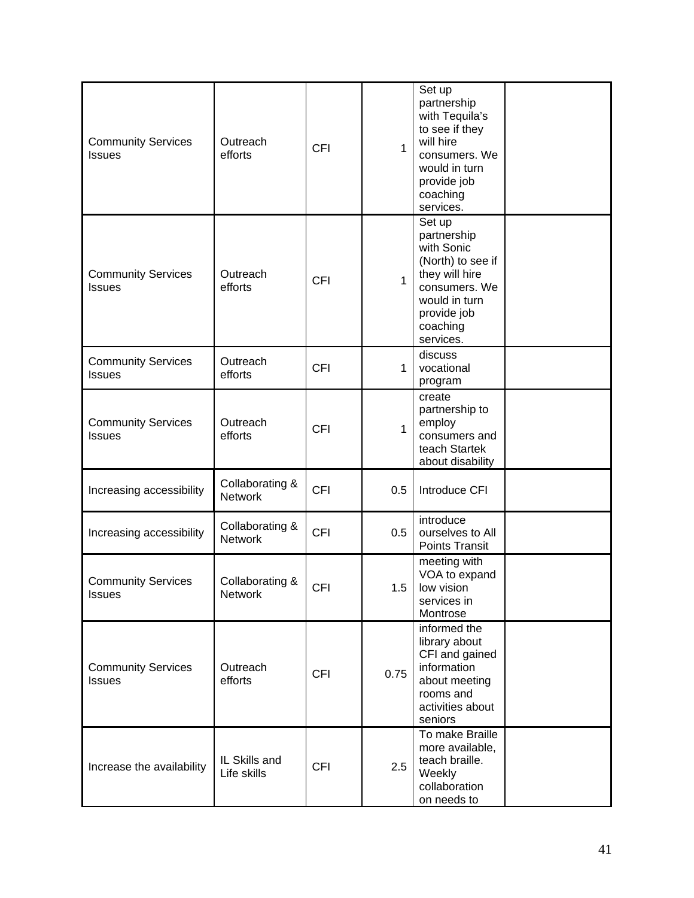| <b>Community Services</b><br><b>Issues</b> | Outreach<br>efforts               | <b>CFI</b> | $\mathbf{1}$ | Set up<br>partnership<br>with Tequila's<br>to see if they<br>will hire<br>consumers. We<br>would in turn<br>provide job<br>coaching<br>services.     |  |
|--------------------------------------------|-----------------------------------|------------|--------------|------------------------------------------------------------------------------------------------------------------------------------------------------|--|
| <b>Community Services</b><br><b>Issues</b> | Outreach<br>efforts               | <b>CFI</b> | $\mathbf{1}$ | Set up<br>partnership<br>with Sonic<br>(North) to see if<br>they will hire<br>consumers. We<br>would in turn<br>provide job<br>coaching<br>services. |  |
| <b>Community Services</b><br><b>Issues</b> | Outreach<br>efforts               | <b>CFI</b> | 1            | discuss<br>vocational<br>program                                                                                                                     |  |
| <b>Community Services</b><br><b>Issues</b> | Outreach<br>efforts               | <b>CFI</b> | 1            | create<br>partnership to<br>employ<br>consumers and<br>teach Startek<br>about disability                                                             |  |
| Increasing accessibility                   | Collaborating &<br><b>Network</b> | <b>CFI</b> | 0.5          | Introduce CFI                                                                                                                                        |  |
| Increasing accessibility                   | Collaborating &<br><b>Network</b> | <b>CFI</b> | 0.5          | introduce<br>ourselves to All<br><b>Points Transit</b>                                                                                               |  |
| <b>Community Services</b><br><b>Issues</b> | Collaborating &<br><b>Network</b> | <b>CFI</b> | 1.5          | meeting with<br>VOA to expand<br>low vision<br>services in<br>Montrose                                                                               |  |
| <b>Community Services</b><br><b>Issues</b> | Outreach<br>efforts               | <b>CFI</b> | 0.75         | informed the<br>library about<br>CFI and gained<br>information<br>about meeting<br>rooms and<br>activities about<br>seniors                          |  |
| Increase the availability                  | IL Skills and<br>Life skills      | <b>CFI</b> | 2.5          | To make Braille<br>more available,<br>teach braille.<br>Weekly<br>collaboration<br>on needs to                                                       |  |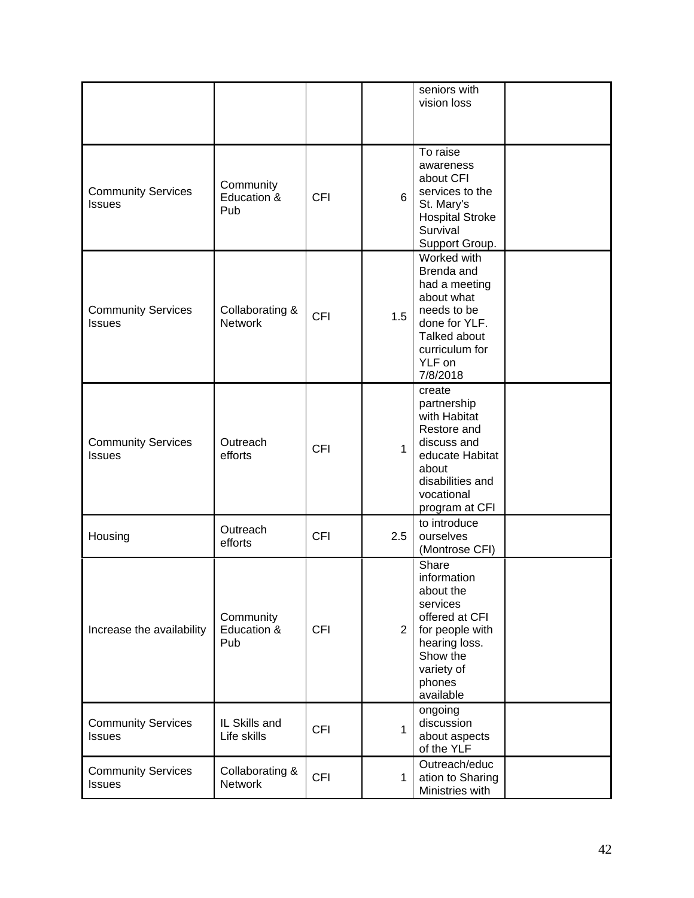|                                            |                                   |            |                | seniors with<br>vision loss                                                                                                                          |  |
|--------------------------------------------|-----------------------------------|------------|----------------|------------------------------------------------------------------------------------------------------------------------------------------------------|--|
| <b>Community Services</b><br><b>Issues</b> | Community<br>Education &<br>Pub   | <b>CFI</b> | 6              | To raise<br>awareness<br>about CFI<br>services to the<br>St. Mary's<br><b>Hospital Stroke</b><br>Survival<br>Support Group.                          |  |
| <b>Community Services</b><br><b>Issues</b> | Collaborating &<br><b>Network</b> | <b>CFI</b> | 1.5            | Worked with<br>Brenda and<br>had a meeting<br>about what<br>needs to be<br>done for YLF.<br>Talked about<br>curriculum for<br>YLF on<br>7/8/2018     |  |
| <b>Community Services</b><br><b>Issues</b> | Outreach<br>efforts               | <b>CFI</b> | $\mathbf{1}$   | create<br>partnership<br>with Habitat<br>Restore and<br>discuss and<br>educate Habitat<br>about<br>disabilities and<br>vocational<br>program at CFI  |  |
| Housing                                    | Outreach<br>efforts               | <b>CFI</b> | 2.5            | to introduce<br>ourselves<br>(Montrose CFI)                                                                                                          |  |
| Increase the availability                  | Community<br>Education &<br>Pub   | <b>CFI</b> | $\overline{2}$ | Share<br>information<br>about the<br>services<br>offered at CFI<br>for people with<br>hearing loss.<br>Show the<br>variety of<br>phones<br>available |  |
| <b>Community Services</b><br><b>Issues</b> | IL Skills and<br>Life skills      | <b>CFI</b> | $\mathbf{1}$   | ongoing<br>discussion<br>about aspects<br>of the YLF                                                                                                 |  |
| <b>Community Services</b><br><b>Issues</b> | Collaborating &<br>Network        | <b>CFI</b> | $\mathbf{1}$   | Outreach/educ<br>ation to Sharing<br>Ministries with                                                                                                 |  |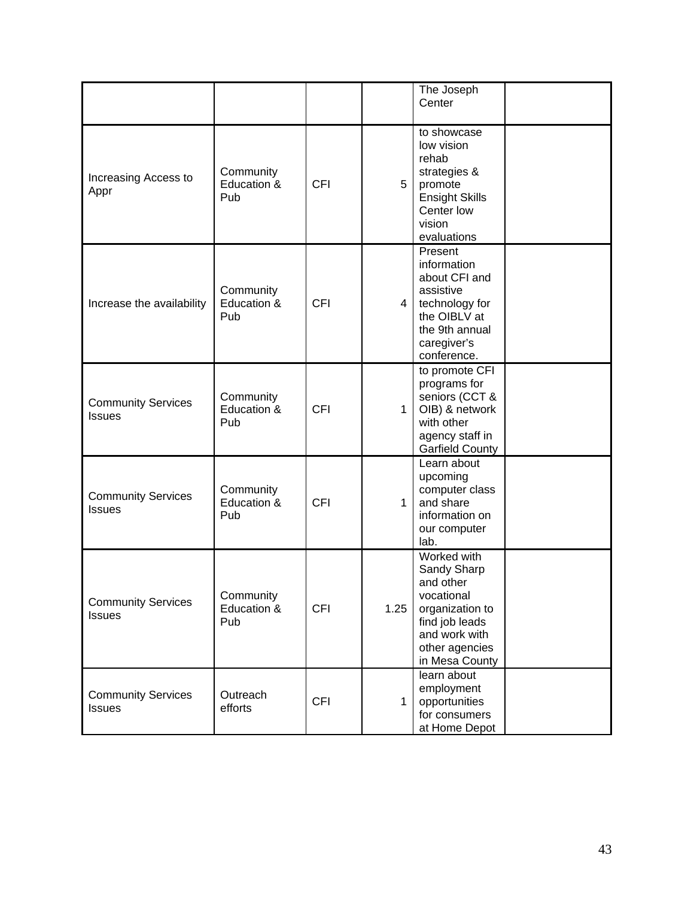|                                            |                                 |            |              | The Joseph<br>Center                                                                                                                            |  |
|--------------------------------------------|---------------------------------|------------|--------------|-------------------------------------------------------------------------------------------------------------------------------------------------|--|
| Increasing Access to<br>Appr               | Community<br>Education &<br>Pub | <b>CFI</b> | 5            | to showcase<br>low vision<br>rehab<br>strategies &<br>promote<br><b>Ensight Skills</b><br>Center low<br>vision<br>evaluations                   |  |
| Increase the availability                  | Community<br>Education &<br>Pub | <b>CFI</b> | 4 I          | Present<br>information<br>about CFI and<br>assistive<br>technology for<br>the OIBLV at<br>the 9th annual<br>caregiver's<br>conference.          |  |
| <b>Community Services</b><br><b>Issues</b> | Community<br>Education &<br>Pub | <b>CFI</b> | $\mathbf{1}$ | to promote CFI<br>programs for<br>seniors (CCT &<br>OIB) & network<br>with other<br>agency staff in<br>Garfield County                          |  |
| <b>Community Services</b><br><b>Issues</b> | Community<br>Education &<br>Pub | <b>CFI</b> | $\mathbf{1}$ | Learn about<br>upcoming<br>computer class<br>and share<br>information on<br>our computer<br>lab.                                                |  |
| <b>Community Services</b><br><b>Issues</b> | Community<br>Education &<br>Pub | <b>CFI</b> | 1.25         | Worked with<br>Sandy Sharp<br>and other<br>vocational<br>organization to<br>find job leads<br>and work with<br>other agencies<br>in Mesa County |  |
| <b>Community Services</b><br><b>Issues</b> | Outreach<br>efforts             | <b>CFI</b> | $\mathbf{1}$ | learn about<br>employment<br>opportunities<br>for consumers<br>at Home Depot                                                                    |  |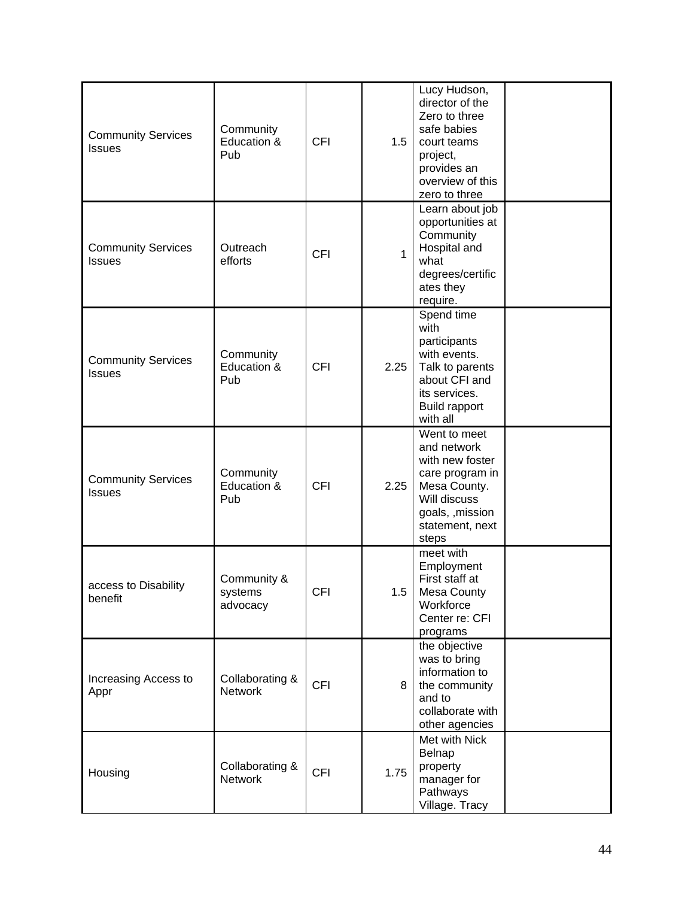| <b>Community Services</b><br><b>Issues</b> | Community<br>Education &<br>Pub    | <b>CFI</b> | 1.5          | Lucy Hudson,<br>director of the<br>Zero to three<br>safe babies<br>court teams<br>project,<br>provides an<br>overview of this<br>zero to three    |  |
|--------------------------------------------|------------------------------------|------------|--------------|---------------------------------------------------------------------------------------------------------------------------------------------------|--|
| <b>Community Services</b><br><b>Issues</b> | Outreach<br>efforts                | <b>CFI</b> | $\mathbf{1}$ | Learn about job<br>opportunities at<br>Community<br>Hospital and<br>what<br>degrees/certific<br>ates they<br>require.                             |  |
| <b>Community Services</b><br><b>Issues</b> | Community<br>Education &<br>Pub    | <b>CFI</b> | 2.25         | Spend time<br>with<br>participants<br>with events.<br>Talk to parents<br>about CFI and<br>its services.<br><b>Build rapport</b><br>with all       |  |
| <b>Community Services</b><br><b>Issues</b> | Community<br>Education &<br>Pub    | <b>CFI</b> | 2.25         | Went to meet<br>and network<br>with new foster<br>care program in<br>Mesa County.<br>Will discuss<br>goals, , mission<br>statement, next<br>steps |  |
| access to Disability<br>benefit            | Community &<br>systems<br>advocacy | <b>CFI</b> | 1.5          | meet with<br>Employment<br>First staff at<br><b>Mesa County</b><br>Workforce<br>Center re: CFI<br>programs                                        |  |
| Increasing Access to<br>Appr               | Collaborating &<br><b>Network</b>  | <b>CFI</b> | 8            | the objective<br>was to bring<br>information to<br>the community<br>and to<br>collaborate with<br>other agencies                                  |  |
| Housing                                    | Collaborating &<br><b>Network</b>  | <b>CFI</b> | 1.75         | Met with Nick<br>Belnap<br>property<br>manager for<br>Pathways<br>Village. Tracy                                                                  |  |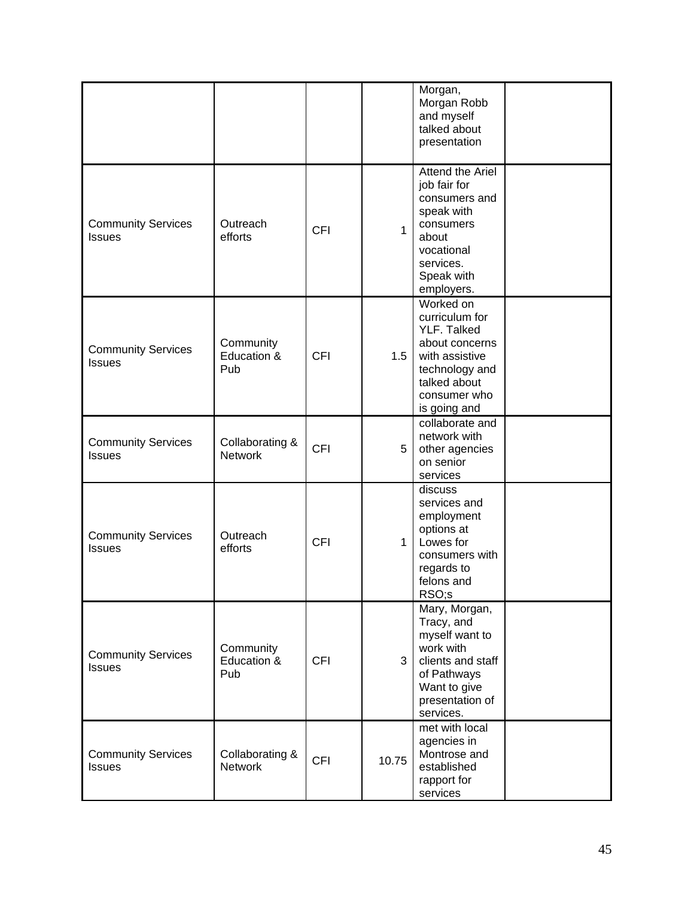|                                            |                                   |            |                | Morgan,<br>Morgan Robb<br>and myself<br>talked about<br>presentation                                                                             |  |
|--------------------------------------------|-----------------------------------|------------|----------------|--------------------------------------------------------------------------------------------------------------------------------------------------|--|
| <b>Community Services</b><br><b>Issues</b> | Outreach<br>efforts               | <b>CFI</b> | $\mathbf{1}$   | Attend the Ariel<br>job fair for<br>consumers and<br>speak with<br>consumers<br>about<br>vocational<br>services.<br>Speak with<br>employers.     |  |
| <b>Community Services</b><br><b>Issues</b> | Community<br>Education &<br>Pub   | <b>CFI</b> | 1.5            | Worked on<br>curriculum for<br>YLF. Talked<br>about concerns<br>with assistive<br>technology and<br>talked about<br>consumer who<br>is going and |  |
| <b>Community Services</b><br><b>Issues</b> | Collaborating &<br><b>Network</b> | <b>CFI</b> | 5              | collaborate and<br>network with<br>other agencies<br>on senior<br>services                                                                       |  |
| <b>Community Services</b><br><b>Issues</b> | Outreach<br>efforts               | <b>CFI</b> | $\mathbf{1}$   | discuss<br>services and<br>employment<br>options at<br>Lowes for<br>consumers with<br>regards to<br>felons and<br>RSO;s                          |  |
| <b>Community Services</b><br><b>Issues</b> | Community<br>Education &<br>Pub   | <b>CFI</b> | 3 <sup>1</sup> | Mary, Morgan,<br>Tracy, and<br>myself want to<br>work with<br>clients and staff<br>of Pathways<br>Want to give<br>presentation of<br>services.   |  |
| <b>Community Services</b><br><b>Issues</b> | Collaborating &<br><b>Network</b> | <b>CFI</b> | 10.75          | met with local<br>agencies in<br>Montrose and<br>established<br>rapport for<br>services                                                          |  |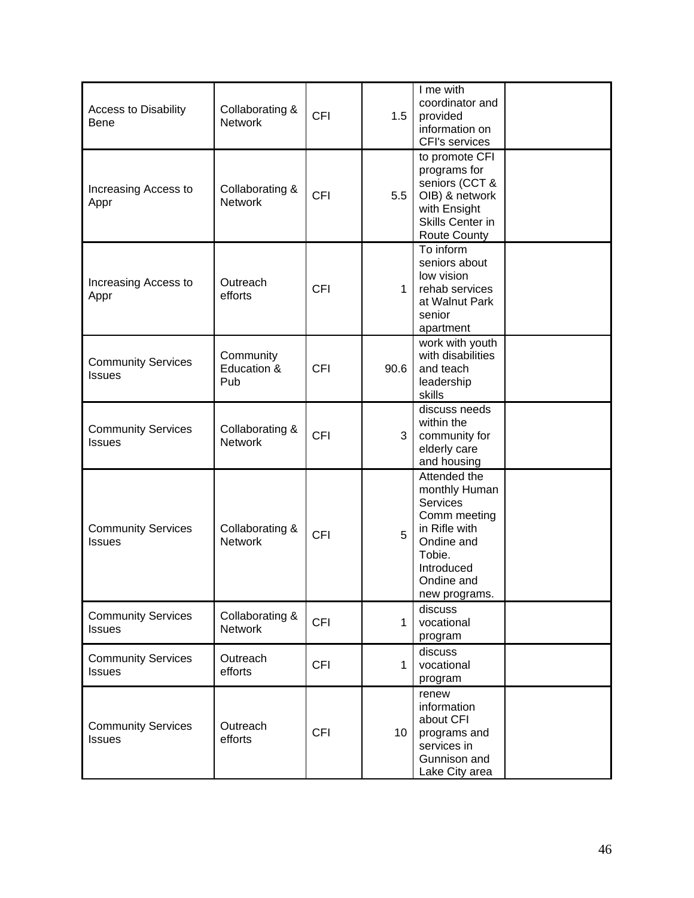| <b>Access to Disability</b><br><b>Bene</b> | Collaborating &<br><b>Network</b> | <b>CFI</b> | 1.5             | I me with<br>coordinator and<br>provided<br>information on<br>CFI's services                                                                    |  |
|--------------------------------------------|-----------------------------------|------------|-----------------|-------------------------------------------------------------------------------------------------------------------------------------------------|--|
| Increasing Access to<br>Appr               | Collaborating &<br><b>Network</b> | <b>CFI</b> | 5.5             | to promote CFI<br>programs for<br>seniors (CCT &<br>OIB) & network<br>with Ensight<br>Skills Center in<br><b>Route County</b>                   |  |
| Increasing Access to<br>Appr               | Outreach<br>efforts               | <b>CFI</b> | $\mathbf 1$     | To inform<br>seniors about<br>low vision<br>rehab services<br>at Walnut Park<br>senior<br>apartment                                             |  |
| <b>Community Services</b><br><b>Issues</b> | Community<br>Education &<br>Pub   | <b>CFI</b> | 90.6            | work with youth<br>with disabilities<br>and teach<br>leadership<br>skills                                                                       |  |
| <b>Community Services</b><br><b>Issues</b> | Collaborating &<br><b>Network</b> | <b>CFI</b> | 3               | discuss needs<br>within the<br>community for<br>elderly care<br>and housing                                                                     |  |
| <b>Community Services</b><br><b>Issues</b> | Collaborating &<br><b>Network</b> | <b>CFI</b> | 5               | Attended the<br>monthly Human<br>Services<br>Comm meeting<br>in Rifle with<br>Ondine and<br>Tobie.<br>Introduced<br>Ondine and<br>new programs. |  |
| <b>Community Services</b><br><b>Issues</b> | Collaborating &<br><b>Network</b> | <b>CFI</b> | $\mathbf{1}$    | discuss<br>vocational<br>program                                                                                                                |  |
| <b>Community Services</b><br><b>Issues</b> | Outreach<br>efforts               | <b>CFI</b> | $\mathbf{1}$    | discuss<br>vocational<br>program                                                                                                                |  |
| <b>Community Services</b><br><b>Issues</b> | Outreach<br>efforts               | <b>CFI</b> | 10 <sup>°</sup> | renew<br>information<br>about CFI<br>programs and<br>services in<br>Gunnison and<br>Lake City area                                              |  |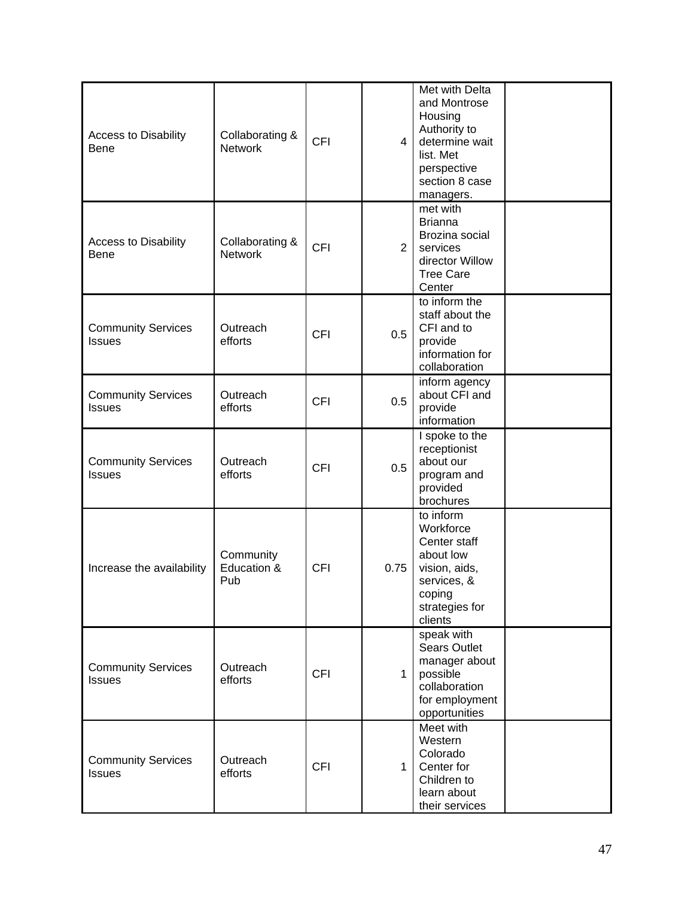| <b>Access to Disability</b><br>Bene        | Collaborating &<br><b>Network</b> | <b>CFI</b> | $\overline{4}$ | Met with Delta<br>and Montrose<br>Housing<br>Authority to<br>determine wait<br>list. Met<br>perspective<br>section 8 case<br>managers. |  |
|--------------------------------------------|-----------------------------------|------------|----------------|----------------------------------------------------------------------------------------------------------------------------------------|--|
| <b>Access to Disability</b><br><b>Bene</b> | Collaborating &<br><b>Network</b> | <b>CFI</b> | $\overline{2}$ | met with<br><b>Brianna</b><br>Brozina social<br>services<br>director Willow<br><b>Tree Care</b><br>Center                              |  |
| <b>Community Services</b><br><b>Issues</b> | Outreach<br>efforts               | <b>CFI</b> | 0.5            | to inform the<br>staff about the<br>CFI and to<br>provide<br>information for<br>collaboration                                          |  |
| <b>Community Services</b><br><b>Issues</b> | Outreach<br>efforts               | <b>CFI</b> | 0.5            | inform agency<br>about CFI and<br>provide<br>information                                                                               |  |
| <b>Community Services</b><br><b>Issues</b> | Outreach<br>efforts               | <b>CFI</b> | 0.5            | I spoke to the<br>receptionist<br>about our<br>program and<br>provided<br>brochures                                                    |  |
| Increase the availability                  | Community<br>Education &<br>Pub   | <b>CFI</b> | 0.75           | to inform<br>Workforce<br>Center staff<br>about low<br>vision, aids,<br>services, &<br>coping<br>strategies for<br>clients             |  |
| <b>Community Services</b><br><b>Issues</b> | Outreach<br>efforts               | <b>CFI</b> | $\mathbf{1}$   | speak with<br><b>Sears Outlet</b><br>manager about<br>possible<br>collaboration<br>for employment<br>opportunities                     |  |
| <b>Community Services</b><br><b>Issues</b> | Outreach<br>efforts               | <b>CFI</b> | $\mathbf{1}$   | Meet with<br>Western<br>Colorado<br>Center for<br>Children to<br>learn about<br>their services                                         |  |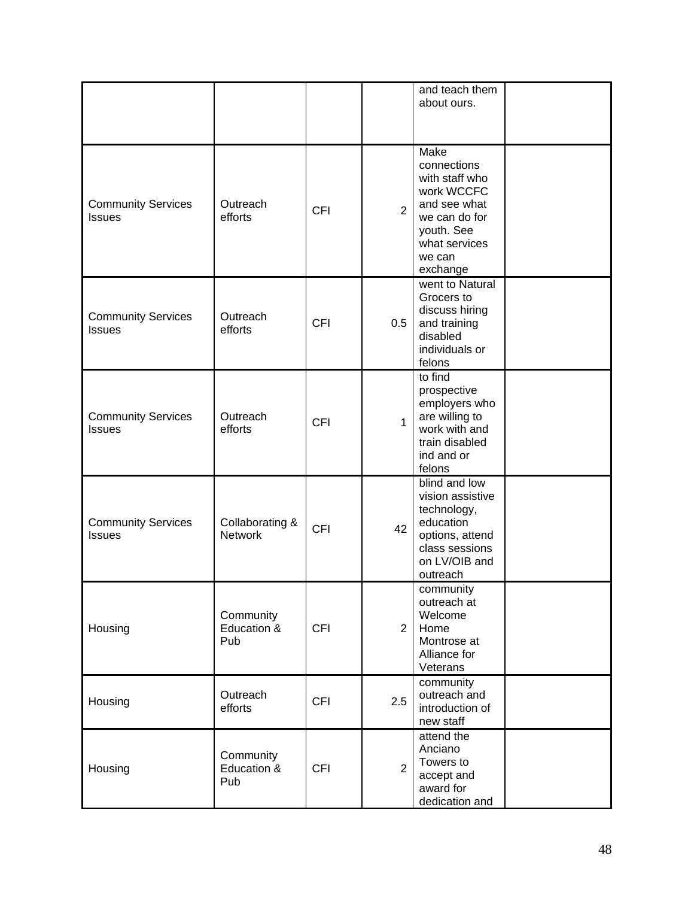|                                            |                                   |            |                | and teach them<br>about ours.                                                                                                             |  |
|--------------------------------------------|-----------------------------------|------------|----------------|-------------------------------------------------------------------------------------------------------------------------------------------|--|
| <b>Community Services</b><br><b>Issues</b> | Outreach<br>efforts               | <b>CFI</b> | $\overline{2}$ | Make<br>connections<br>with staff who<br>work WCCFC<br>and see what<br>we can do for<br>youth. See<br>what services<br>we can<br>exchange |  |
| <b>Community Services</b><br><b>Issues</b> | Outreach<br>efforts               | <b>CFI</b> | 0.5            | went to Natural<br>Grocers to<br>discuss hiring<br>and training<br>disabled<br>individuals or<br>felons                                   |  |
| <b>Community Services</b><br><b>Issues</b> | Outreach<br>efforts               | <b>CFI</b> | $\mathbf{1}$   | to find<br>prospective<br>employers who<br>are willing to<br>work with and<br>train disabled<br>ind and or<br>felons                      |  |
| <b>Community Services</b><br><b>Issues</b> | Collaborating &<br><b>Network</b> | <b>CFI</b> | 42             | blind and low<br>vision assistive<br>technology,<br>education<br>options, attend<br>class sessions<br>on LV/OIB and<br>outreach           |  |
| Housing                                    | Community<br>Education &<br>Pub   | <b>CFI</b> | $\overline{2}$ | community<br>outreach at<br>Welcome<br>Home<br>Montrose at<br>Alliance for<br>Veterans                                                    |  |
| Housing                                    | Outreach<br>efforts               | <b>CFI</b> | 2.5            | community<br>outreach and<br>introduction of<br>new staff                                                                                 |  |
| Housing                                    | Community<br>Education &<br>Pub   | <b>CFI</b> | $\overline{2}$ | attend the<br>Anciano<br>Towers to<br>accept and<br>award for<br>dedication and                                                           |  |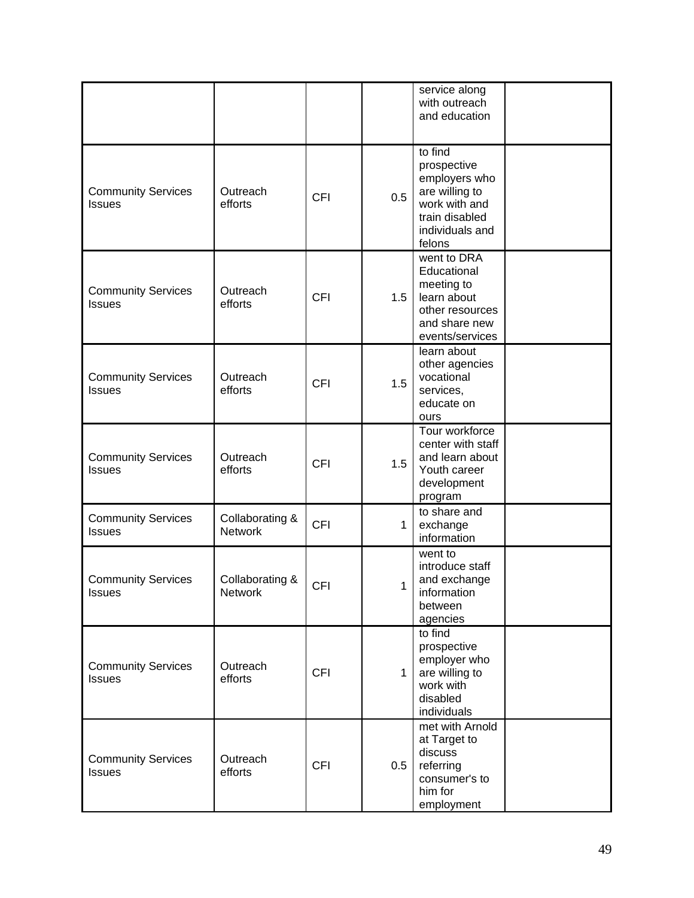|                                            |                                   |            |              | service along<br>with outreach<br>and education                                                                           |  |
|--------------------------------------------|-----------------------------------|------------|--------------|---------------------------------------------------------------------------------------------------------------------------|--|
| <b>Community Services</b><br><b>Issues</b> | Outreach<br>efforts               | <b>CFI</b> | 0.5          | to find<br>prospective<br>employers who<br>are willing to<br>work with and<br>train disabled<br>individuals and<br>felons |  |
| <b>Community Services</b><br><b>Issues</b> | Outreach<br>efforts               | <b>CFI</b> | 1.5          | went to DRA<br>Educational<br>meeting to<br>learn about<br>other resources<br>and share new<br>events/services            |  |
| <b>Community Services</b><br><b>Issues</b> | Outreach<br>efforts               | <b>CFI</b> | 1.5          | learn about<br>other agencies<br>vocational<br>services,<br>educate on<br>ours                                            |  |
| <b>Community Services</b><br><b>Issues</b> | Outreach<br>efforts               | <b>CFI</b> | 1.5          | Tour workforce<br>center with staff<br>and learn about<br>Youth career<br>development<br>program                          |  |
| <b>Community Services</b><br><b>Issues</b> | Collaborating &<br><b>Network</b> | <b>CFI</b> | 1            | to share and<br>exchange<br>information                                                                                   |  |
| <b>Community Services</b><br><b>Issues</b> | Collaborating &<br><b>Network</b> | <b>CFI</b> | 1            | went to<br>introduce staff<br>and exchange<br>information<br>between<br>agencies                                          |  |
| <b>Community Services</b><br><b>Issues</b> | Outreach<br>efforts               | <b>CFI</b> | $\mathbf{1}$ | to find<br>prospective<br>employer who<br>are willing to<br>work with<br>disabled<br>individuals                          |  |
| <b>Community Services</b><br><b>Issues</b> | Outreach<br>efforts               | <b>CFI</b> | 0.5          | met with Arnold<br>at Target to<br>discuss<br>referring<br>consumer's to<br>him for<br>employment                         |  |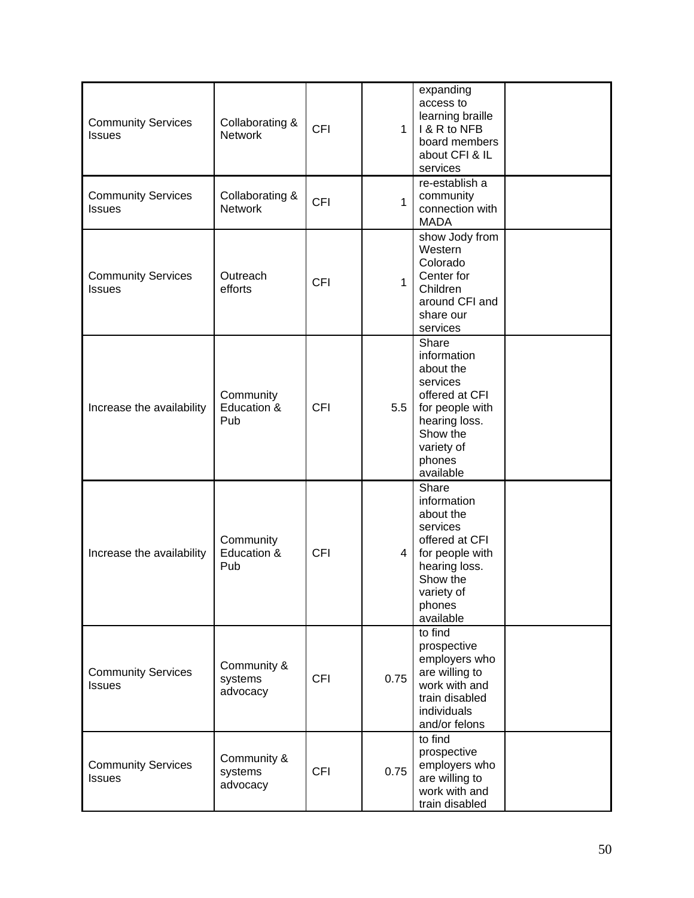| <b>Community Services</b><br><b>Issues</b> | Collaborating &<br><b>Network</b>  | <b>CFI</b> | $\mathbf{1}$   | expanding<br>access to<br>learning braille<br>1 & R to NFB<br>board members<br>about CFI & IL<br>services                                            |  |
|--------------------------------------------|------------------------------------|------------|----------------|------------------------------------------------------------------------------------------------------------------------------------------------------|--|
| <b>Community Services</b><br><b>Issues</b> | Collaborating &<br><b>Network</b>  | <b>CFI</b> | $\mathbf{1}$   | re-establish a<br>community<br>connection with<br><b>MADA</b>                                                                                        |  |
| <b>Community Services</b><br><b>Issues</b> | Outreach<br>efforts                | <b>CFI</b> | $\mathbf{1}$   | show Jody from<br>Western<br>Colorado<br>Center for<br>Children<br>around CFI and<br>share our<br>services                                           |  |
| Increase the availability                  | Community<br>Education &<br>Pub    | <b>CFI</b> | 5.5            | Share<br>information<br>about the<br>services<br>offered at CFI<br>for people with<br>hearing loss.<br>Show the<br>variety of<br>phones<br>available |  |
| Increase the availability                  | Community<br>Education &<br>Pub    | <b>CFI</b> | 4 <sup>1</sup> | Share<br>information<br>about the<br>services<br>offered at CFI<br>for people with<br>hearing loss.<br>Show the<br>variety of<br>phones<br>available |  |
| <b>Community Services</b><br><b>Issues</b> | Community &<br>systems<br>advocacy | <b>CFI</b> | 0.75           | to find<br>prospective<br>employers who<br>are willing to<br>work with and<br>train disabled<br>individuals<br>and/or felons                         |  |
| <b>Community Services</b><br><b>Issues</b> | Community &<br>systems<br>advocacy | <b>CFI</b> | 0.75           | to find<br>prospective<br>employers who<br>are willing to<br>work with and<br>train disabled                                                         |  |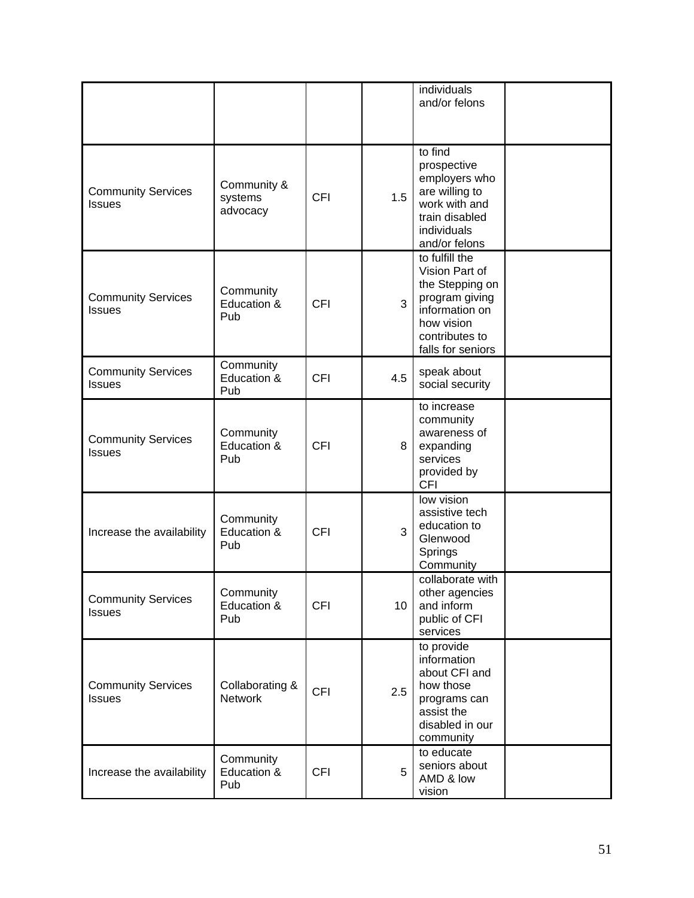|                                            |                                    |            |     | individuals<br>and/or felons                                                                                                                 |  |
|--------------------------------------------|------------------------------------|------------|-----|----------------------------------------------------------------------------------------------------------------------------------------------|--|
| <b>Community Services</b><br><b>Issues</b> | Community &<br>systems<br>advocacy | <b>CFI</b> | 1.5 | to find<br>prospective<br>employers who<br>are willing to<br>work with and<br>train disabled<br>individuals<br>and/or felons                 |  |
| <b>Community Services</b><br><b>Issues</b> | Community<br>Education &<br>Pub    | <b>CFI</b> | 3   | to fulfill the<br>Vision Part of<br>the Stepping on<br>program giving<br>information on<br>how vision<br>contributes to<br>falls for seniors |  |
| <b>Community Services</b><br><b>Issues</b> | Community<br>Education &<br>Pub    | <b>CFI</b> | 4.5 | speak about<br>social security                                                                                                               |  |
| <b>Community Services</b><br><b>Issues</b> | Community<br>Education &<br>Pub    | <b>CFI</b> | 8   | to increase<br>community<br>awareness of<br>expanding<br>services<br>provided by<br><b>CFI</b>                                               |  |
| Increase the availability                  | Community<br>Education &<br>Pub    | <b>CFI</b> | 3   | low vision<br>assistive tech<br>education to<br>Glenwood<br>Springs<br>Community                                                             |  |
| <b>Community Services</b><br><b>Issues</b> | Community<br>Education &<br>Pub    | <b>CFI</b> | 10  | collaborate with<br>other agencies<br>and inform<br>public of CFI<br>services                                                                |  |
| <b>Community Services</b><br><b>Issues</b> | Collaborating &<br><b>Network</b>  | <b>CFI</b> | 2.5 | to provide<br>information<br>about CFI and<br>how those<br>programs can<br>assist the<br>disabled in our<br>community                        |  |
| Increase the availability                  | Community<br>Education &<br>Pub    | <b>CFI</b> | 5   | to educate<br>seniors about<br>AMD & low<br>vision                                                                                           |  |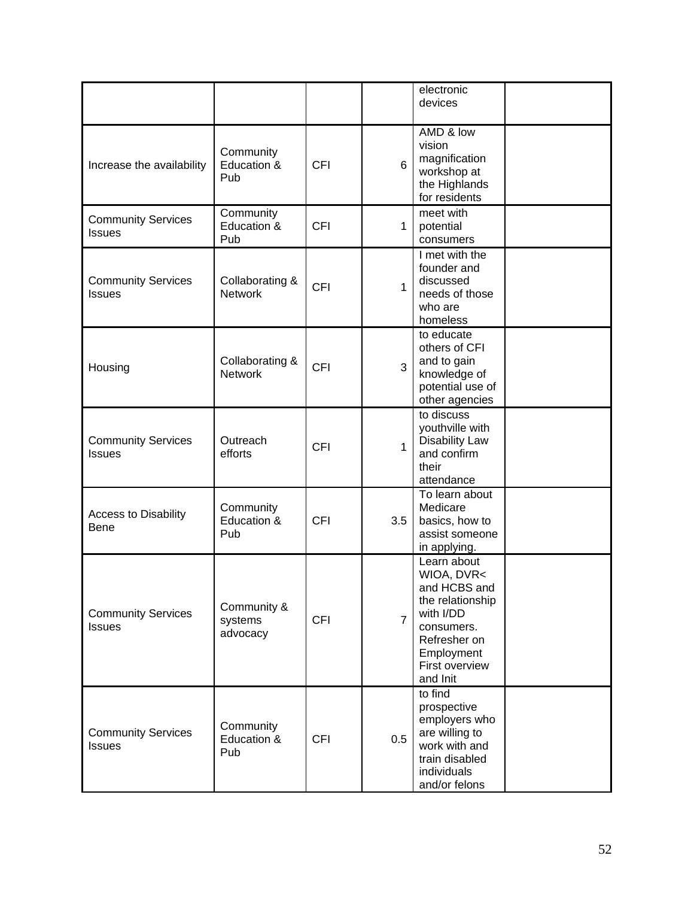|                                            |                                    |            |                | electronic<br>devices                                                                                                                                |  |
|--------------------------------------------|------------------------------------|------------|----------------|------------------------------------------------------------------------------------------------------------------------------------------------------|--|
| Increase the availability                  | Community<br>Education &<br>Pub    | <b>CFI</b> | 6              | AMD & low<br>vision<br>magnification<br>workshop at<br>the Highlands<br>for residents                                                                |  |
| <b>Community Services</b><br><b>Issues</b> | Community<br>Education &<br>Pub    | <b>CFI</b> | $\mathbf{1}$   | meet with<br>potential<br>consumers                                                                                                                  |  |
| <b>Community Services</b><br><b>Issues</b> | Collaborating &<br><b>Network</b>  | <b>CFI</b> | $\mathbf{1}$   | I met with the<br>founder and<br>discussed<br>needs of those<br>who are<br>homeless                                                                  |  |
| Housing                                    | Collaborating &<br><b>Network</b>  | <b>CFI</b> | 3              | to educate<br>others of CFI<br>and to gain<br>knowledge of<br>potential use of<br>other agencies                                                     |  |
| <b>Community Services</b><br><b>Issues</b> | Outreach<br>efforts                | <b>CFI</b> | $\mathbf{1}$   | to discuss<br>youthville with<br><b>Disability Law</b><br>and confirm<br>their<br>attendance                                                         |  |
| <b>Access to Disability</b><br><b>Bene</b> | Community<br>Education &<br>Pub    | <b>CFI</b> | 3.5            | To learn about<br>Medicare<br>basics, how to<br>assist someone<br>in applying.                                                                       |  |
| <b>Community Services</b><br><b>Issues</b> | Community &<br>systems<br>advocacy | <b>CFI</b> | $\overline{7}$ | Learn about<br>WIOA, DVR<<br>and HCBS and<br>the relationship<br>with I/DD<br>consumers.<br>Refresher on<br>Employment<br>First overview<br>and Init |  |
| <b>Community Services</b><br><b>Issues</b> | Community<br>Education &<br>Pub    | <b>CFI</b> | 0.5            | to find<br>prospective<br>employers who<br>are willing to<br>work with and<br>train disabled<br>individuals<br>and/or felons                         |  |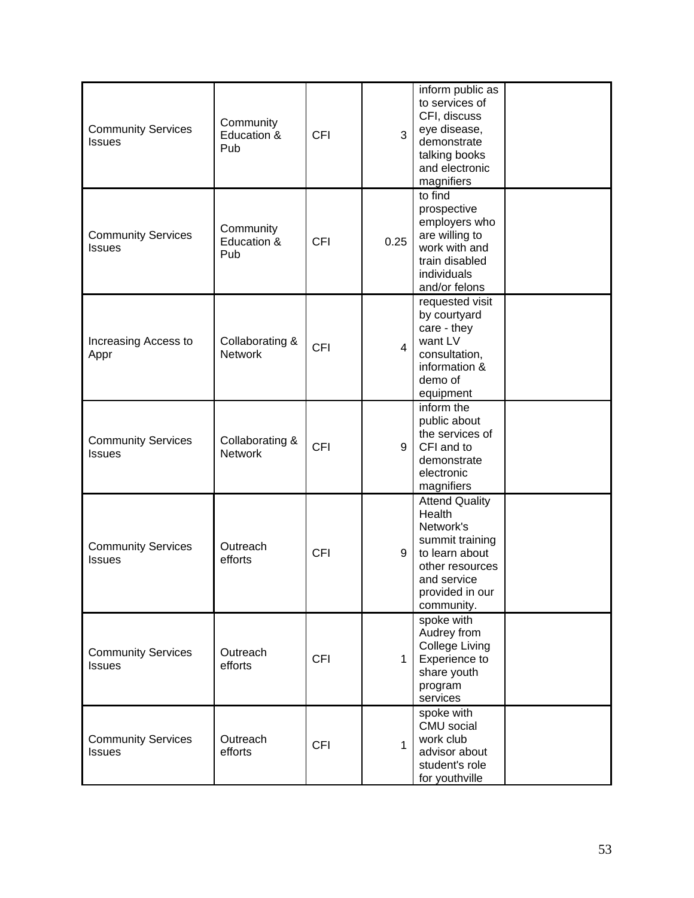| <b>Community Services</b><br><b>Issues</b> | Community<br>Education &<br>Pub   | <b>CFI</b> | 3              | inform public as<br>to services of<br>CFI, discuss<br>eye disease,<br>demonstrate<br>talking books<br>and electronic<br>magnifiers                   |  |
|--------------------------------------------|-----------------------------------|------------|----------------|------------------------------------------------------------------------------------------------------------------------------------------------------|--|
| <b>Community Services</b><br><b>Issues</b> | Community<br>Education &<br>Pub   | <b>CFI</b> | 0.25           | to find<br>prospective<br>employers who<br>are willing to<br>work with and<br>train disabled<br>individuals<br>and/or felons                         |  |
| Increasing Access to<br>Appr               | Collaborating &<br><b>Network</b> | <b>CFI</b> | $\overline{4}$ | requested visit<br>by courtyard<br>care - they<br>want LV<br>consultation,<br>information &<br>demo of<br>equipment                                  |  |
| <b>Community Services</b><br><b>Issues</b> | Collaborating &<br><b>Network</b> | <b>CFI</b> | 9              | inform the<br>public about<br>the services of<br>CFI and to<br>demonstrate<br>electronic<br>magnifiers                                               |  |
| <b>Community Services</b><br><b>Issues</b> | Outreach<br>efforts               | <b>CFI</b> | 9              | <b>Attend Quality</b><br>Health<br>Network's<br>summit training<br>to learn about<br>other resources<br>and service<br>provided in our<br>community. |  |
| <b>Community Services</b><br><b>Issues</b> | Outreach<br>efforts               | <b>CFI</b> | $\mathbf{1}$   | spoke with<br>Audrey from<br><b>College Living</b><br>Experience to<br>share youth<br>program<br>services                                            |  |
| <b>Community Services</b><br><b>Issues</b> | Outreach<br>efforts               | <b>CFI</b> | $\mathbf{1}$   | spoke with<br>CMU social<br>work club<br>advisor about<br>student's role<br>for youthville                                                           |  |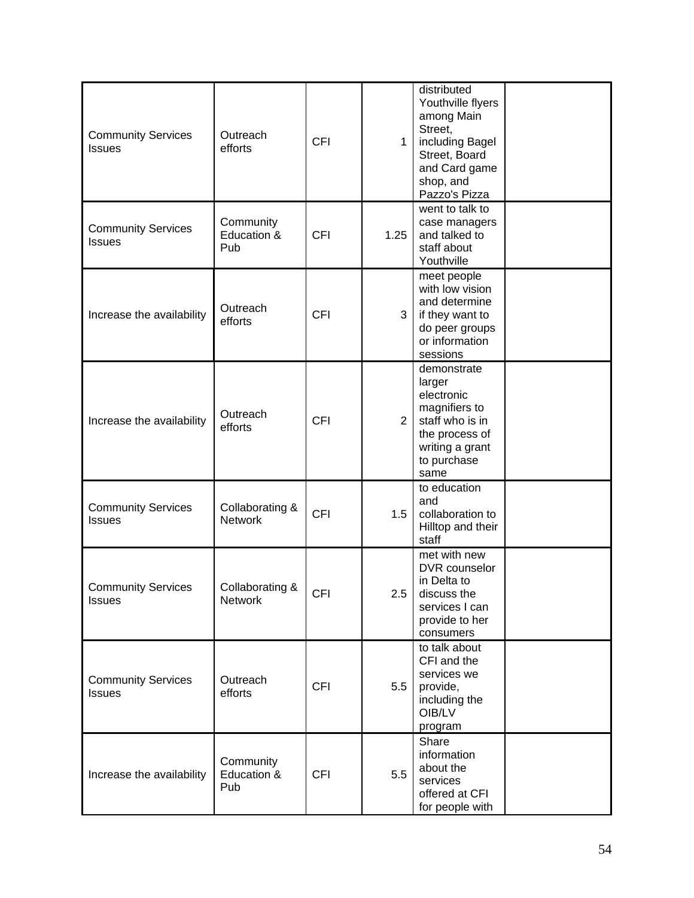| <b>Community Services</b><br><b>Issues</b> | Outreach<br>efforts               | <b>CFI</b> | $\mathbf{1}$   | distributed<br>Youthville flyers<br>among Main<br>Street,<br>including Bagel<br>Street, Board<br>and Card game<br>shop, and<br>Pazzo's Pizza |  |
|--------------------------------------------|-----------------------------------|------------|----------------|----------------------------------------------------------------------------------------------------------------------------------------------|--|
| <b>Community Services</b><br><b>Issues</b> | Community<br>Education &<br>Pub   | <b>CFI</b> | 1.25           | went to talk to<br>case managers<br>and talked to<br>staff about<br>Youthville                                                               |  |
| Increase the availability                  | Outreach<br>efforts               | <b>CFI</b> | 3              | meet people<br>with low vision<br>and determine<br>if they want to<br>do peer groups<br>or information<br>sessions                           |  |
| Increase the availability                  | Outreach<br>efforts               | <b>CFI</b> | $\overline{2}$ | demonstrate<br>larger<br>electronic<br>magnifiers to<br>staff who is in<br>the process of<br>writing a grant<br>to purchase<br>same          |  |
| <b>Community Services</b><br><b>Issues</b> | Collaborating &<br><b>Network</b> | <b>CFI</b> | 1.5            | to education<br>and<br>collaboration to<br>Hilltop and their<br>staff                                                                        |  |
| <b>Community Services</b><br><b>Issues</b> | Collaborating &<br><b>Network</b> | <b>CFI</b> | 2.5            | met with new<br>DVR counselor<br>in Delta to<br>discuss the<br>services I can<br>provide to her<br>consumers                                 |  |
| <b>Community Services</b><br><b>Issues</b> | Outreach<br>efforts               | <b>CFI</b> | 5.5            | to talk about<br>CFI and the<br>services we<br>provide,<br>including the<br>OIB/LV<br>program                                                |  |
| Increase the availability                  | Community<br>Education &<br>Pub   | <b>CFI</b> | 5.5            | Share<br>information<br>about the<br>services<br>offered at CFI<br>for people with                                                           |  |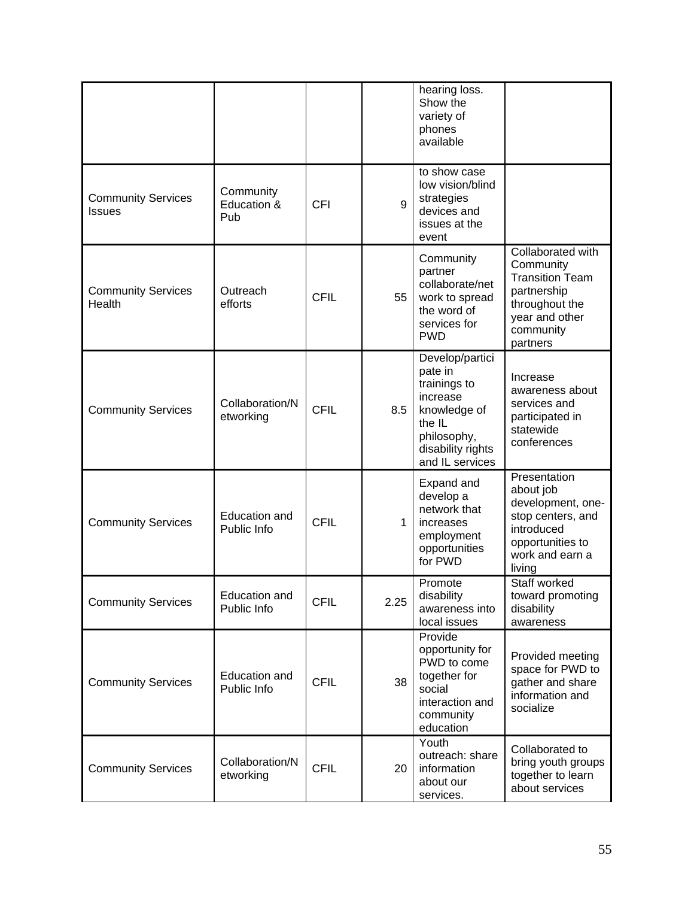|                                            |                                 |             |      | hearing loss.<br>Show the<br>variety of<br>phones<br>available                                                                          |                                                                                                                                      |
|--------------------------------------------|---------------------------------|-------------|------|-----------------------------------------------------------------------------------------------------------------------------------------|--------------------------------------------------------------------------------------------------------------------------------------|
| <b>Community Services</b><br><b>Issues</b> | Community<br>Education &<br>Pub | <b>CFI</b>  | 9    | to show case<br>low vision/blind<br>strategies<br>devices and<br>issues at the<br>event                                                 |                                                                                                                                      |
| <b>Community Services</b><br>Health        | Outreach<br>efforts             | <b>CFIL</b> | 55   | Community<br>partner<br>collaborate/net<br>work to spread<br>the word of<br>services for<br><b>PWD</b>                                  | Collaborated with<br>Community<br><b>Transition Team</b><br>partnership<br>throughout the<br>year and other<br>community<br>partners |
| <b>Community Services</b>                  | Collaboration/N<br>etworking    | <b>CFIL</b> | 8.5  | Develop/partici<br>pate in<br>trainings to<br>increase<br>knowledge of<br>the IL<br>philosophy,<br>disability rights<br>and IL services | Increase<br>awareness about<br>services and<br>participated in<br>statewide<br>conferences                                           |
| <b>Community Services</b>                  | Education and<br>Public Info    | <b>CFIL</b> | 1    | Expand and<br>develop a<br>network that<br>increases<br>employment<br>opportunities<br>for PWD                                          | Presentation<br>about job<br>development, one-<br>stop centers, and<br>introduced<br>opportunities to<br>work and earn a<br>living   |
| <b>Community Services</b>                  | Education and<br>Public Info    | <b>CFIL</b> | 2.25 | Promote<br>disability<br>awareness into<br>local issues                                                                                 | Staff worked<br>toward promoting<br>disability<br>awareness                                                                          |
| <b>Community Services</b>                  | Education and<br>Public Info    | <b>CFIL</b> | 38   | Provide<br>opportunity for<br>PWD to come<br>together for<br>social<br>interaction and<br>community<br>education                        | Provided meeting<br>space for PWD to<br>gather and share<br>information and<br>socialize                                             |
| <b>Community Services</b>                  | Collaboration/N<br>etworking    | <b>CFIL</b> | 20   | Youth<br>outreach: share<br>information<br>about our<br>services.                                                                       | Collaborated to<br>bring youth groups<br>together to learn<br>about services                                                         |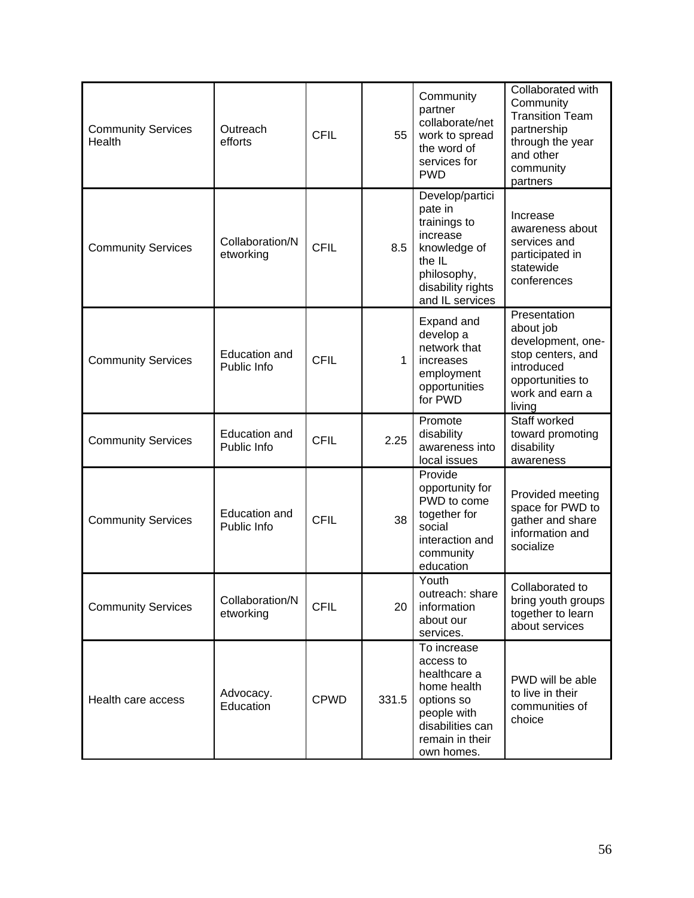| <b>Community Services</b><br>Health | Outreach<br>efforts                 | <b>CFIL</b> | 55           | Community<br>partner<br>collaborate/net<br>work to spread<br>the word of<br>services for<br><b>PWD</b>                                    | Collaborated with<br>Community<br><b>Transition Team</b><br>partnership<br>through the year<br>and other<br>community<br>partners  |
|-------------------------------------|-------------------------------------|-------------|--------------|-------------------------------------------------------------------------------------------------------------------------------------------|------------------------------------------------------------------------------------------------------------------------------------|
| <b>Community Services</b>           | Collaboration/N<br>etworking        | <b>CFIL</b> | 8.5          | Develop/partici<br>pate in<br>trainings to<br>increase<br>knowledge of<br>the IL<br>philosophy,<br>disability rights<br>and IL services   | Increase<br>awareness about<br>services and<br>participated in<br>statewide<br>conferences                                         |
| <b>Community Services</b>           | <b>Education and</b><br>Public Info | <b>CFIL</b> | $\mathbf{1}$ | Expand and<br>develop a<br>network that<br>increases<br>employment<br>opportunities<br>for PWD                                            | Presentation<br>about job<br>development, one-<br>stop centers, and<br>introduced<br>opportunities to<br>work and earn a<br>living |
| <b>Community Services</b>           | Education and<br>Public Info        | <b>CFIL</b> | 2.25         | Promote<br>disability<br>awareness into<br>local issues                                                                                   | Staff worked<br>toward promoting<br>disability<br>awareness                                                                        |
| <b>Community Services</b>           | <b>Education and</b><br>Public Info | <b>CFIL</b> | 38           | Provide<br>opportunity for<br>PWD to come<br>together for<br>social<br>interaction and<br>community<br>education                          | Provided meeting<br>space for PWD to<br>gather and share<br>information and<br>socialize                                           |
| <b>Community Services</b>           | Collaboration/N<br>etworking        | <b>CFIL</b> | 20           | Youth<br>outreach: share<br>information<br>about our<br>services.                                                                         | Collaborated to<br>bring youth groups<br>together to learn<br>about services                                                       |
| Health care access                  | Advocacy.<br>Education              | <b>CPWD</b> | 331.5        | To increase<br>access to<br>healthcare a<br>home health<br>options so<br>people with<br>disabilities can<br>remain in their<br>own homes. | PWD will be able<br>to live in their<br>communities of<br>choice                                                                   |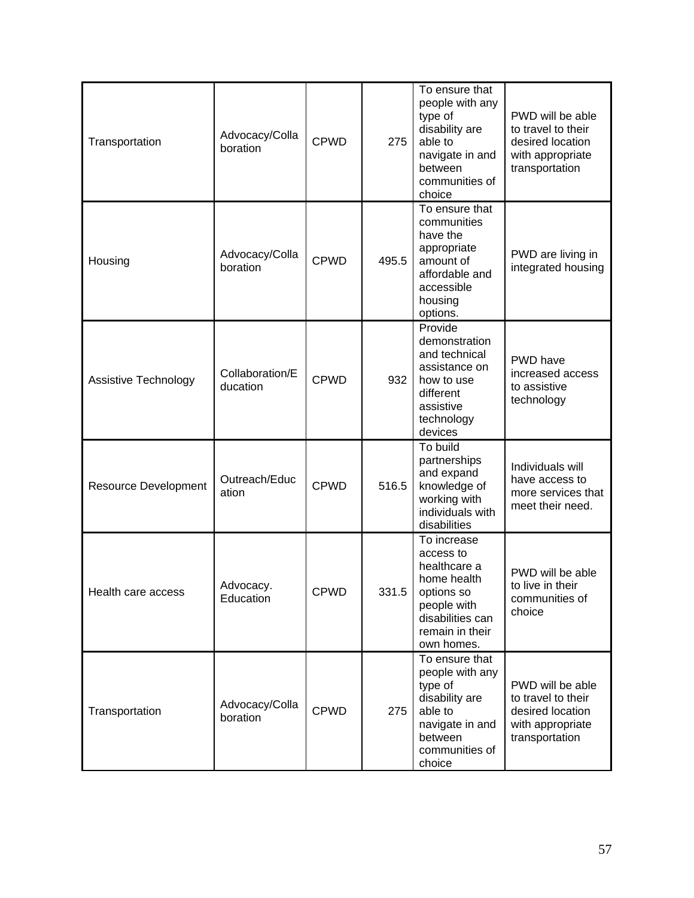| Transportation              | Advocacy/Colla<br>boration  | <b>CPWD</b> | 275   | To ensure that<br>people with any<br>type of<br>disability are<br>able to<br>navigate in and<br>between<br>communities of<br>choice       | PWD will be able<br>to travel to their<br>desired location<br>with appropriate<br>transportation |
|-----------------------------|-----------------------------|-------------|-------|-------------------------------------------------------------------------------------------------------------------------------------------|--------------------------------------------------------------------------------------------------|
| Housing                     | Advocacy/Colla<br>boration  | <b>CPWD</b> | 495.5 | To ensure that<br>communities<br>have the<br>appropriate<br>amount of<br>affordable and<br>accessible<br>housing<br>options.              | PWD are living in<br>integrated housing                                                          |
| Assistive Technology        | Collaboration/E<br>ducation | <b>CPWD</b> | 932   | Provide<br>demonstration<br>and technical<br>assistance on<br>how to use<br>different<br>assistive<br>technology<br>devices               | PWD have<br>increased access<br>to assistive<br>technology                                       |
| <b>Resource Development</b> | Outreach/Educ<br>ation      | <b>CPWD</b> | 516.5 | To build<br>partnerships<br>and expand<br>knowledge of<br>working with<br>individuals with<br>disabilities                                | Individuals will<br>have access to<br>more services that<br>meet their need.                     |
| Health care access          | Advocacy.<br>Education      | <b>CPWD</b> | 331.5 | To increase<br>access to<br>healthcare a<br>home health<br>options so<br>people with<br>disabilities can<br>remain in their<br>own homes. | PWD will be able<br>to live in their<br>communities of<br>choice                                 |
| Transportation              | Advocacy/Colla<br>boration  | <b>CPWD</b> | 275   | To ensure that<br>people with any<br>type of<br>disability are<br>able to<br>navigate in and<br>between<br>communities of<br>choice       | PWD will be able<br>to travel to their<br>desired location<br>with appropriate<br>transportation |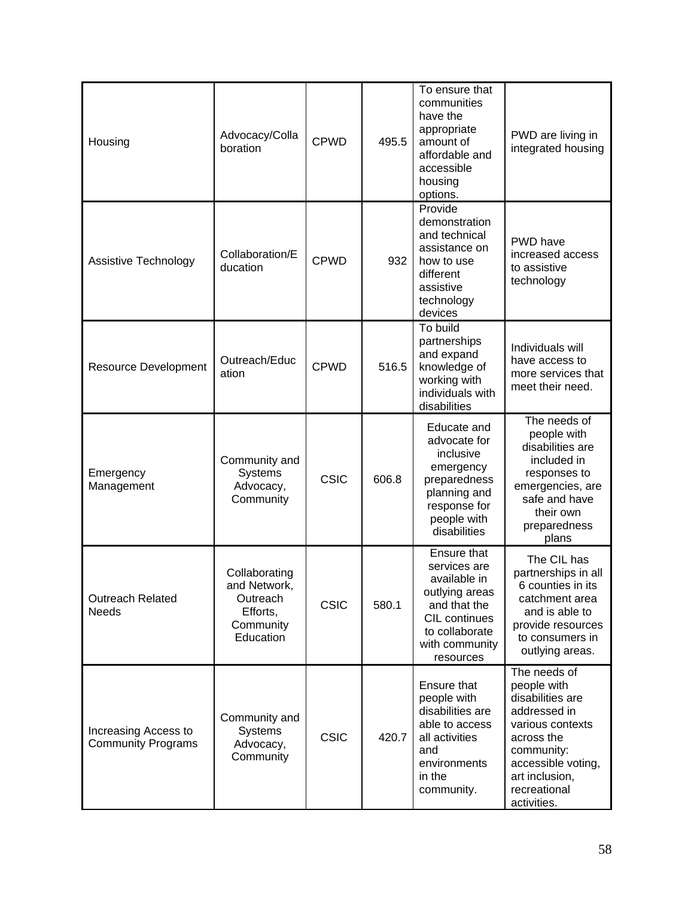| Housing                                           | Advocacy/Colla<br>boration                                                      | <b>CPWD</b> | 495.5 | To ensure that<br>communities<br>have the<br>appropriate<br>amount of<br>affordable and<br>accessible<br>housing<br>options.                    | PWD are living in<br>integrated housing                                                                                                                                                |
|---------------------------------------------------|---------------------------------------------------------------------------------|-------------|-------|-------------------------------------------------------------------------------------------------------------------------------------------------|----------------------------------------------------------------------------------------------------------------------------------------------------------------------------------------|
| Assistive Technology                              | Collaboration/E<br>ducation                                                     | <b>CPWD</b> | 932   | Provide<br>demonstration<br>and technical<br>assistance on<br>how to use<br>different<br>assistive<br>technology<br>devices                     | PWD have<br>increased access<br>to assistive<br>technology                                                                                                                             |
| <b>Resource Development</b>                       | Outreach/Educ<br>ation                                                          | <b>CPWD</b> | 516.5 | To build<br>partnerships<br>and expand<br>knowledge of<br>working with<br>individuals with<br>disabilities                                      | Individuals will<br>have access to<br>more services that<br>meet their need.                                                                                                           |
| Emergency<br>Management                           | Community and<br><b>Systems</b><br>Advocacy,<br>Community                       | <b>CSIC</b> | 606.8 | Educate and<br>advocate for<br>inclusive<br>emergency<br>preparedness<br>planning and<br>response for<br>people with<br>disabilities            | The needs of<br>people with<br>disabilities are<br>included in<br>responses to<br>emergencies, are<br>safe and have<br>their own<br>preparedness<br>plans                              |
| <b>Outreach Related</b><br><b>Needs</b>           | Collaborating<br>and Network,<br>Outreach<br>Efforts,<br>Community<br>Education | <b>CSIC</b> | 580.1 | Ensure that<br>services are<br>available in<br>outlying areas<br>and that the<br>CIL continues<br>to collaborate<br>with community<br>resources | The CIL has<br>partnerships in all<br>6 counties in its<br>catchment area<br>and is able to<br>provide resources<br>to consumers in<br>outlying areas.                                 |
| Increasing Access to<br><b>Community Programs</b> | Community and<br><b>Systems</b><br>Advocacy,<br>Community                       | <b>CSIC</b> | 420.7 | Ensure that<br>people with<br>disabilities are<br>able to access<br>all activities<br>and<br>environments<br>in the<br>community.               | The needs of<br>people with<br>disabilities are<br>addressed in<br>various contexts<br>across the<br>community:<br>accessible voting,<br>art inclusion,<br>recreational<br>activities. |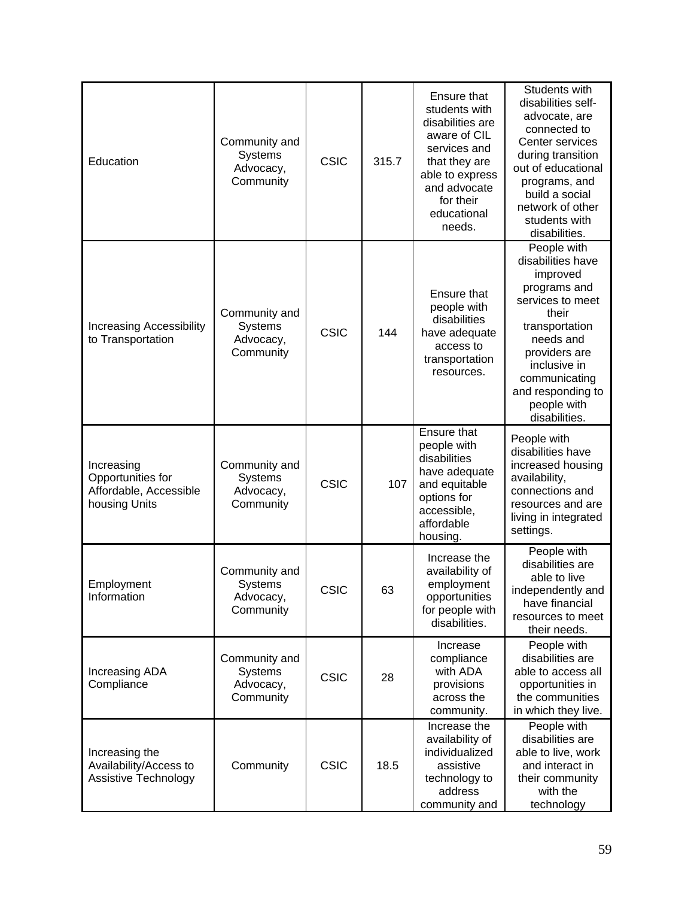| Education                                                                  | Community and<br><b>Systems</b><br>Advocacy,<br>Community | <b>CSIC</b> | 315.7 | Ensure that<br>students with<br>disabilities are<br>aware of CIL<br>services and<br>that they are<br>able to express<br>and advocate<br>for their<br>educational<br>needs. | Students with<br>disabilities self-<br>advocate, are<br>connected to<br>Center services<br>during transition<br>out of educational<br>programs, and<br>build a social<br>network of other<br>students with<br>disabilities.     |
|----------------------------------------------------------------------------|-----------------------------------------------------------|-------------|-------|----------------------------------------------------------------------------------------------------------------------------------------------------------------------------|---------------------------------------------------------------------------------------------------------------------------------------------------------------------------------------------------------------------------------|
| <b>Increasing Accessibility</b><br>to Transportation                       | Community and<br><b>Systems</b><br>Advocacy,<br>Community | <b>CSIC</b> | 144   | Ensure that<br>people with<br>disabilities<br>have adequate<br>access to<br>transportation<br>resources.                                                                   | People with<br>disabilities have<br>improved<br>programs and<br>services to meet<br>their<br>transportation<br>needs and<br>providers are<br>inclusive in<br>communicating<br>and responding to<br>people with<br>disabilities. |
| Increasing<br>Opportunities for<br>Affordable, Accessible<br>housing Units | Community and<br><b>Systems</b><br>Advocacy,<br>Community | <b>CSIC</b> | 107   | Ensure that<br>people with<br>disabilities<br>have adequate<br>and equitable<br>options for<br>accessible,<br>affordable<br>housing.                                       | People with<br>disabilities have<br>increased housing<br>availability,<br>connections and<br>resources and are<br>living in integrated<br>settings.                                                                             |
| Employment<br>Information                                                  | Community and<br>Systems<br>Advocacy,<br>Community        | <b>CSIC</b> | 63    | Increase the<br>availability of<br>employment<br>opportunities<br>for people with<br>disabilities.                                                                         | People with<br>disabilities are<br>able to live<br>independently and<br>have financial<br>resources to meet<br>their needs.                                                                                                     |
| Increasing ADA<br>Compliance                                               | Community and<br><b>Systems</b><br>Advocacy,<br>Community | <b>CSIC</b> | 28    | Increase<br>compliance<br>with ADA<br>provisions<br>across the<br>community.                                                                                               | People with<br>disabilities are<br>able to access all<br>opportunities in<br>the communities<br>in which they live.                                                                                                             |
| Increasing the<br>Availability/Access to<br>Assistive Technology           | Community                                                 | <b>CSIC</b> | 18.5  | Increase the<br>availability of<br>individualized<br>assistive<br>technology to<br>address<br>community and                                                                | People with<br>disabilities are<br>able to live, work<br>and interact in<br>their community<br>with the<br>technology                                                                                                           |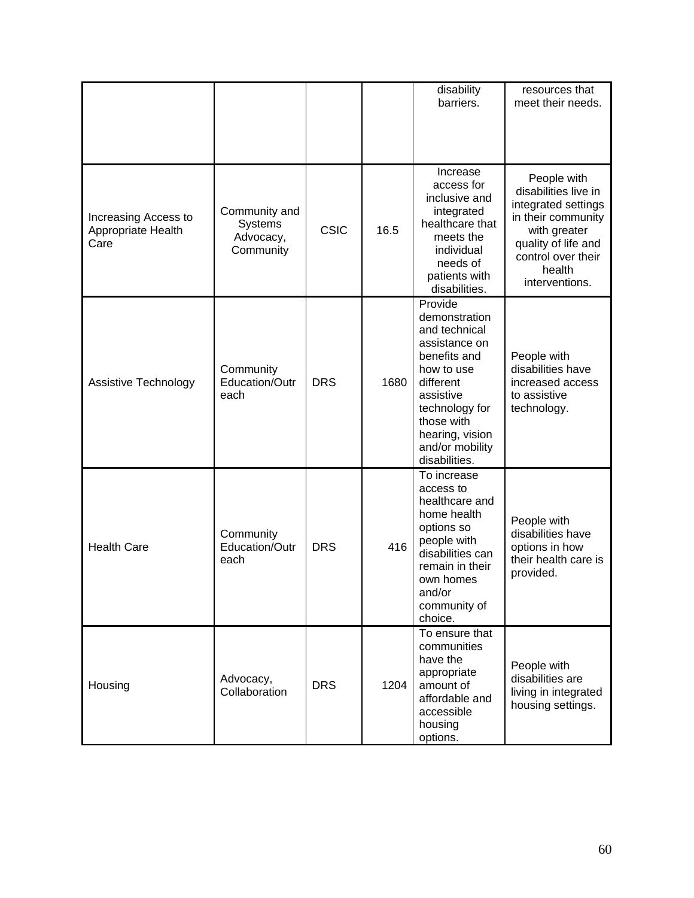|                                                    |                                                    |             |      | disability<br>barriers.                                                                                                                                                                                   | resources that<br>meet their needs.                                                                                                                                       |
|----------------------------------------------------|----------------------------------------------------|-------------|------|-----------------------------------------------------------------------------------------------------------------------------------------------------------------------------------------------------------|---------------------------------------------------------------------------------------------------------------------------------------------------------------------------|
| Increasing Access to<br>Appropriate Health<br>Care | Community and<br>Systems<br>Advocacy,<br>Community | <b>CSIC</b> | 16.5 | Increase<br>access for<br>inclusive and<br>integrated<br>healthcare that<br>meets the<br>individual<br>needs of<br>patients with<br>disabilities.                                                         | People with<br>disabilities live in<br>integrated settings<br>in their community<br>with greater<br>quality of life and<br>control over their<br>health<br>interventions. |
| Assistive Technology                               | Community<br>Education/Outr<br>each                | <b>DRS</b>  | 1680 | Provide<br>demonstration<br>and technical<br>assistance on<br>benefits and<br>how to use<br>different<br>assistive<br>technology for<br>those with<br>hearing, vision<br>and/or mobility<br>disabilities. | People with<br>disabilities have<br>increased access<br>to assistive<br>technology.                                                                                       |
| <b>Health Care</b>                                 | Community<br>Education/Outr<br>each                | <b>DRS</b>  | 416  | To increase<br>access to<br>healthcare and<br>home health<br>options so<br>people with<br>disabilities can<br>remain in their<br>own homes<br>and/or<br>community of<br>choice.                           | People with<br>disabilities have<br>options in how<br>their health care is<br>provided.                                                                                   |
| Housing                                            | Advocacy,<br>Collaboration                         | <b>DRS</b>  | 1204 | To ensure that<br>communities<br>have the<br>appropriate<br>amount of<br>affordable and<br>accessible<br>housing<br>options.                                                                              | People with<br>disabilities are<br>living in integrated<br>housing settings.                                                                                              |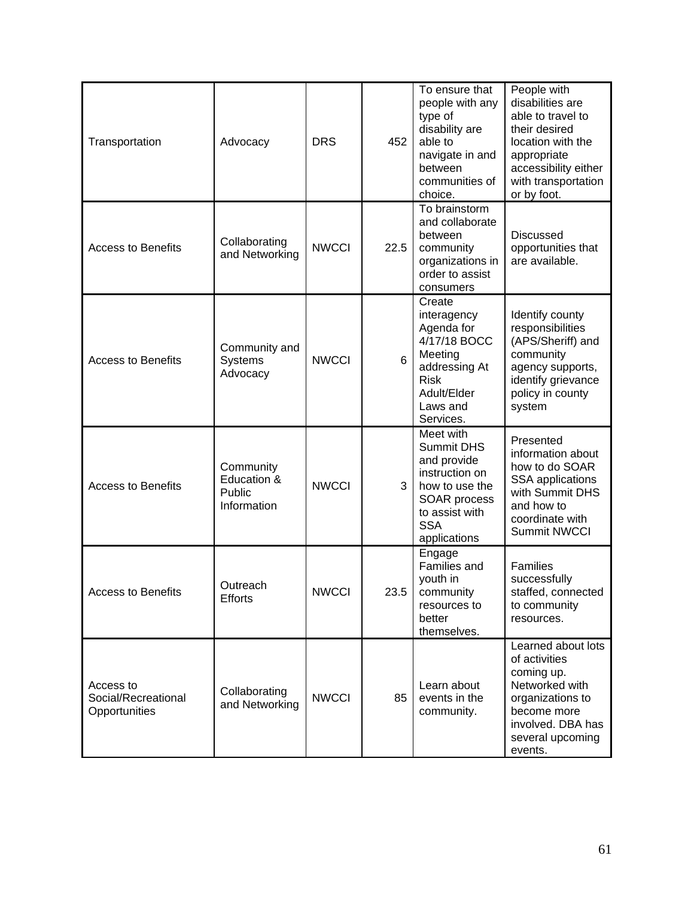| Transportation                                    | Advocacy                                          | <b>DRS</b>   | 452  | To ensure that<br>people with any<br>type of<br>disability are<br>able to<br>navigate in and<br>between<br>communities of<br>choice.              | People with<br>disabilities are<br>able to travel to<br>their desired<br>location with the<br>appropriate<br>accessibility either<br>with transportation<br>or by foot. |
|---------------------------------------------------|---------------------------------------------------|--------------|------|---------------------------------------------------------------------------------------------------------------------------------------------------|-------------------------------------------------------------------------------------------------------------------------------------------------------------------------|
| <b>Access to Benefits</b>                         | Collaborating<br>and Networking                   | <b>NWCCI</b> | 22.5 | To brainstorm<br>and collaborate<br>between<br>community<br>organizations in<br>order to assist<br>consumers                                      | <b>Discussed</b><br>opportunities that<br>are available.                                                                                                                |
| <b>Access to Benefits</b>                         | Community and<br>Systems<br>Advocacy              | <b>NWCCI</b> | 6    | Create<br>interagency<br>Agenda for<br>4/17/18 BOCC<br>Meeting<br>addressing At<br><b>Risk</b><br>Adult/Elder<br>Laws and<br>Services.            | Identify county<br>responsibilities<br>(APS/Sheriff) and<br>community<br>agency supports,<br>identify grievance<br>policy in county<br>system                           |
| <b>Access to Benefits</b>                         | Community<br>Education &<br>Public<br>Information | <b>NWCCI</b> | 3    | Meet with<br><b>Summit DHS</b><br>and provide<br>instruction on<br>how to use the<br>SOAR process<br>to assist with<br><b>SSA</b><br>applications | Presented<br>information about<br>how to do SOAR<br><b>SSA</b> applications<br>with Summit DHS<br>and how to<br>coordinate with<br><b>Summit NWCCI</b>                  |
| <b>Access to Benefits</b>                         | Outreach<br><b>Efforts</b>                        | <b>NWCCI</b> | 23.5 | Engage<br>Families and<br>youth in<br>community<br>resources to<br>better<br>themselves.                                                          | Families<br>successfully<br>staffed, connected<br>to community<br>resources.                                                                                            |
| Access to<br>Social/Recreational<br>Opportunities | Collaborating<br>and Networking                   | <b>NWCCI</b> | 85   | Learn about<br>events in the<br>community.                                                                                                        | Learned about lots<br>of activities<br>coming up.<br>Networked with<br>organizations to<br>become more<br>involved. DBA has<br>several upcoming<br>events.              |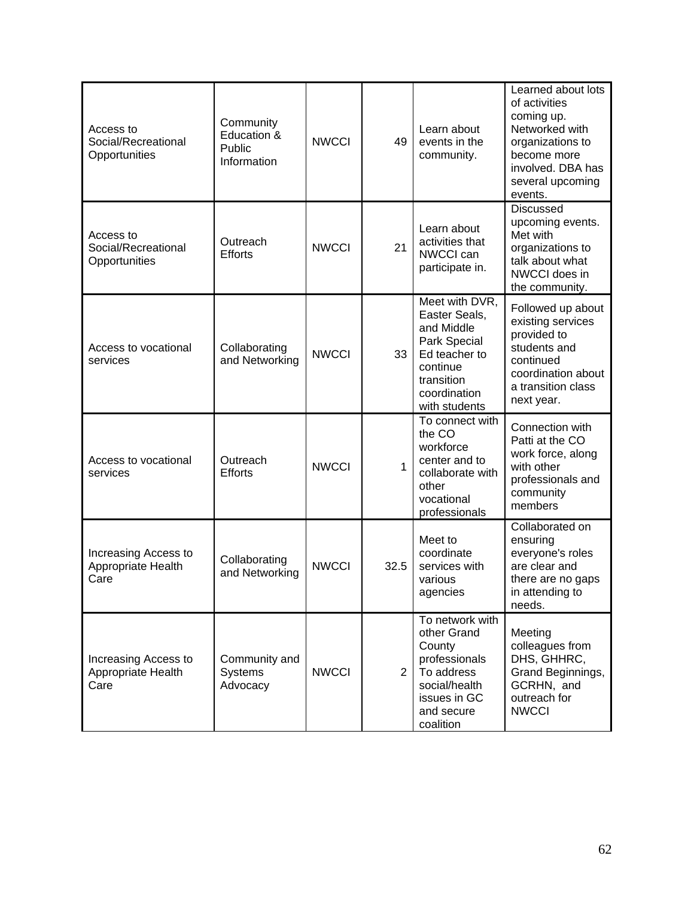| Access to<br>Social/Recreational<br>Opportunities  | Community<br>Education &<br>Public<br>Information | <b>NWCCI</b> | 49             | Learn about<br>events in the<br>community.                                                                                                | Learned about lots<br>of activities<br>coming up.<br>Networked with<br>organizations to<br>become more<br>involved. DBA has<br>several upcoming<br>events. |
|----------------------------------------------------|---------------------------------------------------|--------------|----------------|-------------------------------------------------------------------------------------------------------------------------------------------|------------------------------------------------------------------------------------------------------------------------------------------------------------|
| Access to<br>Social/Recreational<br>Opportunities  | Outreach<br><b>Efforts</b>                        | <b>NWCCI</b> | 21             | Learn about<br>activities that<br>NWCCI can<br>participate in.                                                                            | <b>Discussed</b><br>upcoming events.<br>Met with<br>organizations to<br>talk about what<br>NWCCI does in<br>the community.                                 |
| Access to vocational<br>services                   | Collaborating<br>and Networking                   | <b>NWCCI</b> | 33             | Meet with DVR,<br>Easter Seals,<br>and Middle<br>Park Special<br>Ed teacher to<br>continue<br>transition<br>coordination<br>with students | Followed up about<br>existing services<br>provided to<br>students and<br>continued<br>coordination about<br>a transition class<br>next year.               |
| Access to vocational<br>services                   | Outreach<br><b>Efforts</b>                        | <b>NWCCI</b> | $\mathbf{1}$   | To connect with<br>the CO<br>workforce<br>center and to<br>collaborate with<br>other<br>vocational<br>professionals                       | Connection with<br>Patti at the CO<br>work force, along<br>with other<br>professionals and<br>community<br>members                                         |
| Increasing Access to<br>Appropriate Health<br>Care | Collaborating<br>and Networking                   | <b>NWCCI</b> | 32.5           | Meet to<br>coordinate<br>services with<br>various<br>agencies                                                                             | Collaborated on<br>ensuring<br>everyone's roles<br>are clear and<br>there are no gaps<br>in attending to<br>needs.                                         |
| Increasing Access to<br>Appropriate Health<br>Care | Community and<br>Systems<br>Advocacy              | <b>NWCCI</b> | $\overline{2}$ | To network with<br>other Grand<br>County<br>professionals<br>To address<br>social/health<br>issues in GC<br>and secure<br>coalition       | Meeting<br>colleagues from<br>DHS, GHHRC,<br>Grand Beginnings,<br>GCRHN, and<br>outreach for<br><b>NWCCI</b>                                               |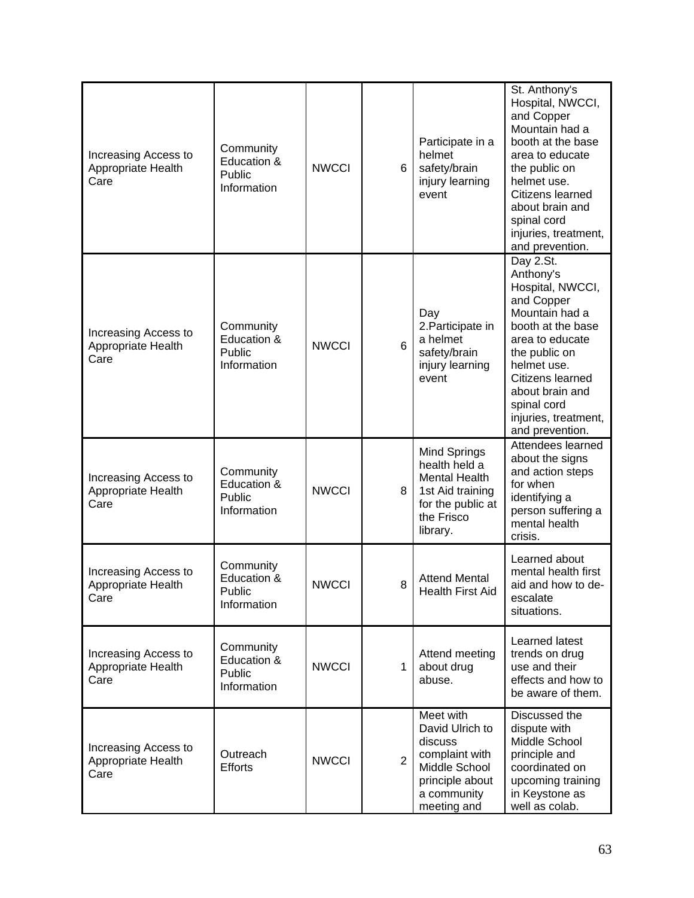| Increasing Access to<br>Appropriate Health<br>Care | Community<br>Education &<br>Public<br>Information | <b>NWCCI</b> | 6              | Participate in a<br>helmet<br>safety/brain<br>injury learning<br>event                                                      | St. Anthony's<br>Hospital, NWCCI,<br>and Copper<br>Mountain had a<br>booth at the base<br>area to educate<br>the public on<br>helmet use.<br>Citizens learned<br>about brain and<br>spinal cord<br>injuries, treatment,<br>and prevention.          |
|----------------------------------------------------|---------------------------------------------------|--------------|----------------|-----------------------------------------------------------------------------------------------------------------------------|-----------------------------------------------------------------------------------------------------------------------------------------------------------------------------------------------------------------------------------------------------|
| Increasing Access to<br>Appropriate Health<br>Care | Community<br>Education &<br>Public<br>Information | <b>NWCCI</b> | 6              | Day<br>2. Participate in<br>a helmet<br>safety/brain<br>injury learning<br>event                                            | Day 2.St.<br>Anthony's<br>Hospital, NWCCI,<br>and Copper<br>Mountain had a<br>booth at the base<br>area to educate<br>the public on<br>helmet use.<br>Citizens learned<br>about brain and<br>spinal cord<br>injuries, treatment,<br>and prevention. |
| Increasing Access to<br>Appropriate Health<br>Care | Community<br>Education &<br>Public<br>Information | <b>NWCCI</b> | 8              | Mind Springs<br>health held a<br>Mental Health<br>1st Aid training<br>for the public at<br>the Frisco<br>library.           | Attendees learned<br>about the signs<br>and action steps<br>for when<br>identifying a<br>person suffering a<br>mental health<br>crisis.                                                                                                             |
| Increasing Access to<br>Appropriate Health<br>Care | Community<br>Education &<br>Public<br>Information | <b>NWCCI</b> | 8              | <b>Attend Mental</b><br><b>Health First Aid</b>                                                                             | Learned about<br>mental health first<br>aid and how to de-<br>escalate<br>situations.                                                                                                                                                               |
| Increasing Access to<br>Appropriate Health<br>Care | Community<br>Education &<br>Public<br>Information | <b>NWCCI</b> | 1              | Attend meeting<br>about drug<br>abuse.                                                                                      | Learned latest<br>trends on drug<br>use and their<br>effects and how to<br>be aware of them.                                                                                                                                                        |
| Increasing Access to<br>Appropriate Health<br>Care | Outreach<br><b>Efforts</b>                        | <b>NWCCI</b> | $\overline{2}$ | Meet with<br>David Ulrich to<br>discuss<br>complaint with<br>Middle School<br>principle about<br>a community<br>meeting and | Discussed the<br>dispute with<br>Middle School<br>principle and<br>coordinated on<br>upcoming training<br>in Keystone as<br>well as colab.                                                                                                          |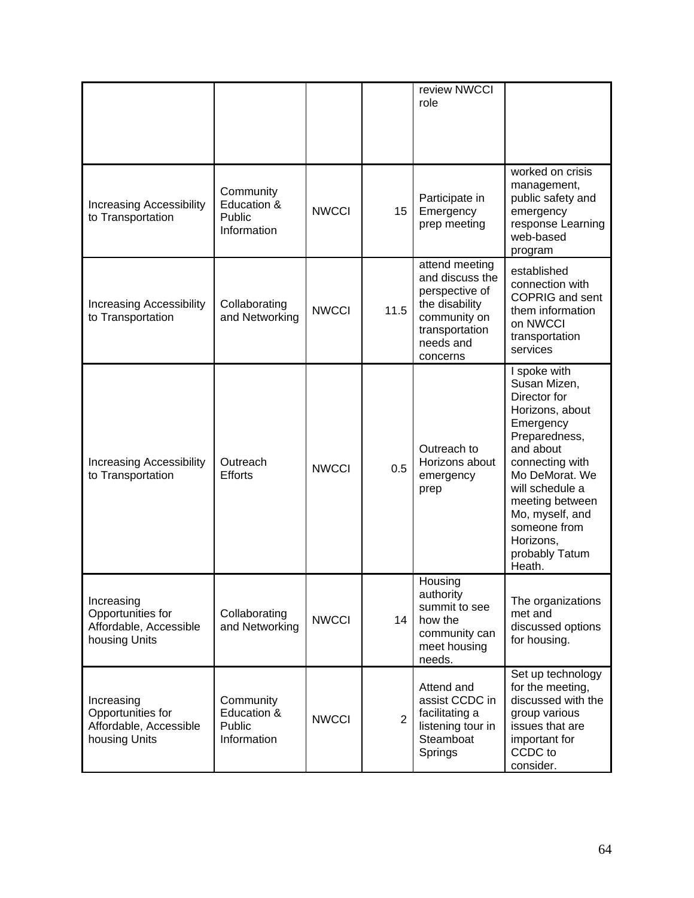|                                                                            |                                                          |              |                | review NWCCI<br>role                                                                                                             |                                                                                                                                                                                                                                                                   |
|----------------------------------------------------------------------------|----------------------------------------------------------|--------------|----------------|----------------------------------------------------------------------------------------------------------------------------------|-------------------------------------------------------------------------------------------------------------------------------------------------------------------------------------------------------------------------------------------------------------------|
| <b>Increasing Accessibility</b><br>to Transportation                       | Community<br>Education &<br><b>Public</b><br>Information | <b>NWCCI</b> | 15             | Participate in<br>Emergency<br>prep meeting                                                                                      | worked on crisis<br>management,<br>public safety and<br>emergency<br>response Learning<br>web-based<br>program                                                                                                                                                    |
| Increasing Accessibility<br>to Transportation                              | Collaborating<br>and Networking                          | <b>NWCCI</b> | 11.5           | attend meeting<br>and discuss the<br>perspective of<br>the disability<br>community on<br>transportation<br>needs and<br>concerns | established<br>connection with<br><b>COPRIG and sent</b><br>them information<br>on NWCCI<br>transportation<br>services                                                                                                                                            |
| <b>Increasing Accessibility</b><br>to Transportation                       | Outreach<br><b>Efforts</b>                               | <b>NWCCI</b> | 0.5            | Outreach to<br>Horizons about<br>emergency<br>prep                                                                               | I spoke with<br>Susan Mizen,<br>Director for<br>Horizons, about<br>Emergency<br>Preparedness,<br>and about<br>connecting with<br>Mo DeMorat. We<br>will schedule a<br>meeting between<br>Mo, myself, and<br>someone from<br>Horizons,<br>probably Tatum<br>Heath. |
| Increasing<br>Opportunities for<br>Affordable, Accessible<br>housing Units | Collaborating<br>and Networking                          | <b>NWCCI</b> | 14             | Housing<br>authority<br>summit to see<br>how the<br>community can<br>meet housing<br>needs.                                      | The organizations<br>met and<br>discussed options<br>for housing.                                                                                                                                                                                                 |
| Increasing<br>Opportunities for<br>Affordable, Accessible<br>housing Units | Community<br>Education &<br>Public<br>Information        | <b>NWCCI</b> | $\overline{2}$ | Attend and<br>assist CCDC in<br>facilitating a<br>listening tour in<br>Steamboat<br>Springs                                      | Set up technology<br>for the meeting,<br>discussed with the<br>group various<br>issues that are<br>important for<br>CCDC to<br>consider.                                                                                                                          |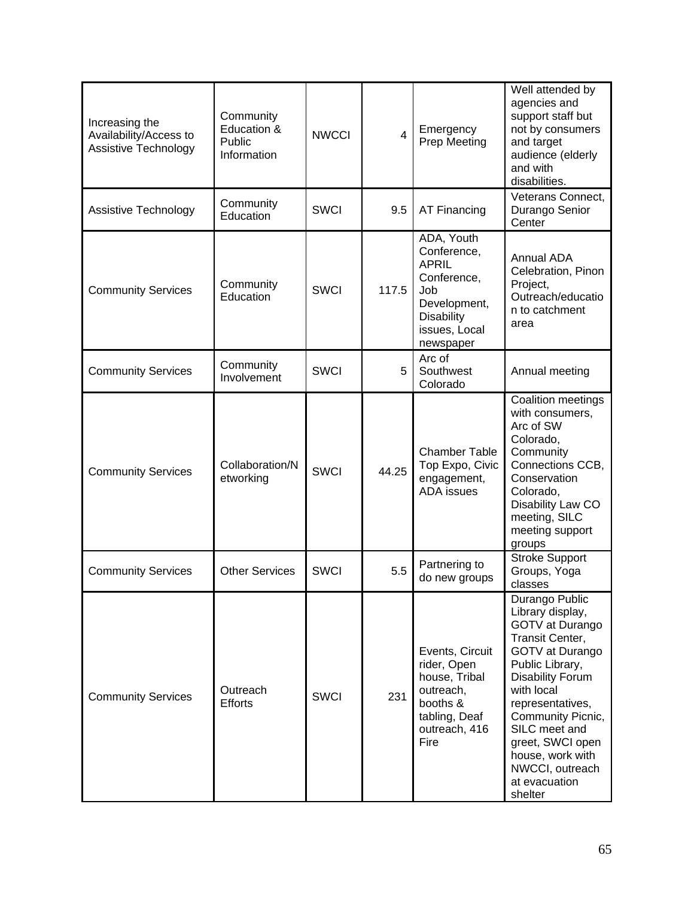| Increasing the<br>Availability/Access to<br><b>Assistive Technology</b> | Community<br>Education &<br>Public<br>Information | <b>NWCCI</b> | $\overline{4}$ | Emergency<br>Prep Meeting                                                                                                          | Well attended by<br>agencies and<br>support staff but<br>not by consumers<br>and target<br>audience (elderly<br>and with<br>disabilities.                                                                                                                                                                |
|-------------------------------------------------------------------------|---------------------------------------------------|--------------|----------------|------------------------------------------------------------------------------------------------------------------------------------|----------------------------------------------------------------------------------------------------------------------------------------------------------------------------------------------------------------------------------------------------------------------------------------------------------|
| Assistive Technology                                                    | Community<br>Education                            | <b>SWCI</b>  | 9.5            | AT Financing                                                                                                                       | Veterans Connect,<br>Durango Senior<br>Center                                                                                                                                                                                                                                                            |
| <b>Community Services</b>                                               | Community<br>Education                            | <b>SWCI</b>  | 117.5          | ADA, Youth<br>Conference,<br><b>APRIL</b><br>Conference,<br>Job<br>Development,<br><b>Disability</b><br>issues, Local<br>newspaper | <b>Annual ADA</b><br>Celebration, Pinon<br>Project,<br>Outreach/educatio<br>n to catchment<br>area                                                                                                                                                                                                       |
| <b>Community Services</b>                                               | Community<br>Involvement                          | <b>SWCI</b>  | 5              | Arc of<br>Southwest<br>Colorado                                                                                                    | Annual meeting                                                                                                                                                                                                                                                                                           |
| <b>Community Services</b>                                               | Collaboration/N<br>etworking                      | <b>SWCI</b>  | 44.25          | <b>Chamber Table</b><br>Top Expo, Civic<br>engagement,<br><b>ADA</b> issues                                                        | Coalition meetings<br>with consumers,<br>Arc of SW<br>Colorado,<br>Community<br>Connections CCB,<br>Conservation<br>Colorado,<br>Disability Law CO<br>meeting, SILC<br>meeting support<br>groups                                                                                                         |
| <b>Community Services</b>                                               | <b>Other Services</b>                             | <b>SWCI</b>  | 5.5            | Partnering to<br>do new groups                                                                                                     | <b>Stroke Support</b><br>Groups, Yoga<br>classes                                                                                                                                                                                                                                                         |
| <b>Community Services</b>                                               | Outreach<br><b>Efforts</b>                        | <b>SWCI</b>  | 231            | Events, Circuit<br>rider, Open<br>house, Tribal<br>outreach,<br>booths &<br>tabling, Deaf<br>outreach, 416<br>Fire                 | Durango Public<br>Library display,<br>GOTV at Durango<br>Transit Center,<br>GOTV at Durango<br>Public Library,<br><b>Disability Forum</b><br>with local<br>representatives,<br>Community Picnic,<br>SILC meet and<br>greet, SWCI open<br>house, work with<br>NWCCI, outreach<br>at evacuation<br>shelter |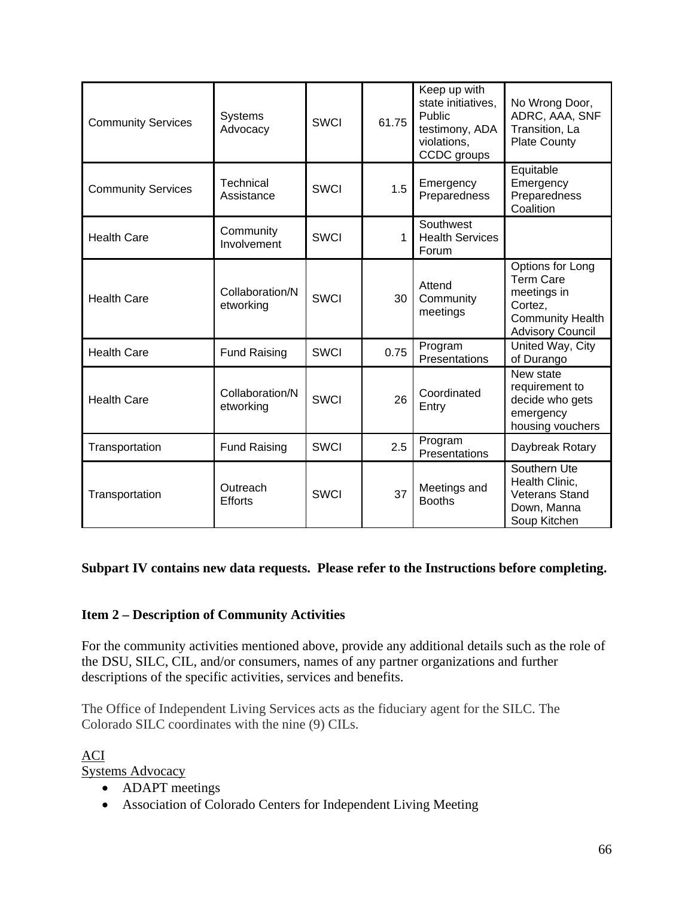| <b>Community Services</b> | <b>Systems</b><br>Advocacy   | <b>SWCI</b> | 61.75 | Keep up with<br>state initiatives,<br>Public<br>testimony, ADA<br>violations,<br>CCDC groups | No Wrong Door,<br>ADRC, AAA, SNF<br>Transition, La<br><b>Plate County</b>                                            |
|---------------------------|------------------------------|-------------|-------|----------------------------------------------------------------------------------------------|----------------------------------------------------------------------------------------------------------------------|
| <b>Community Services</b> | Technical<br>Assistance      | <b>SWCI</b> | 1.5   | Emergency<br>Preparedness                                                                    | Equitable<br>Emergency<br>Preparedness<br>Coalition                                                                  |
| <b>Health Care</b>        | Community<br>Involvement     | <b>SWCI</b> | 1     | Southwest<br><b>Health Services</b><br>Forum                                                 |                                                                                                                      |
| <b>Health Care</b>        | Collaboration/N<br>etworking | <b>SWCI</b> | 30    | Attend<br>Community<br>meetings                                                              | Options for Long<br><b>Term Care</b><br>meetings in<br>Cortez,<br><b>Community Health</b><br><b>Advisory Council</b> |
| <b>Health Care</b>        | <b>Fund Raising</b>          | <b>SWCI</b> | 0.75  | Program<br>Presentations                                                                     | United Way, City<br>of Durango                                                                                       |
| <b>Health Care</b>        | Collaboration/N<br>etworking | <b>SWCI</b> | 26    | Coordinated<br>Entry                                                                         | New state<br>requirement to<br>decide who gets<br>emergency<br>housing vouchers                                      |
| Transportation            | <b>Fund Raising</b>          | <b>SWCI</b> | 2.5   | Program<br>Presentations                                                                     | Daybreak Rotary                                                                                                      |
| Transportation            | Outreach<br><b>Efforts</b>   | <b>SWCI</b> | 37    | Meetings and<br><b>Booths</b>                                                                | Southern Ute<br>Health Clinic,<br><b>Veterans Stand</b><br>Down, Manna<br>Soup Kitchen                               |

### **Subpart IV contains new data requests. Please refer to the Instructions before completing.**

### **Item 2 – Description of Community Activities**

For the community activities mentioned above, provide any additional details such as the role of the DSU, SILC, CIL, and/or consumers, names of any partner organizations and further descriptions of the specific activities, services and benefits.

The Office of Independent Living Services acts as the fiduciary agent for the SILC. The Colorado SILC coordinates with the nine (9) CILs.

ACI Systems Advocacy

- ADAPT meetings
- Association of Colorado Centers for Independent Living Meeting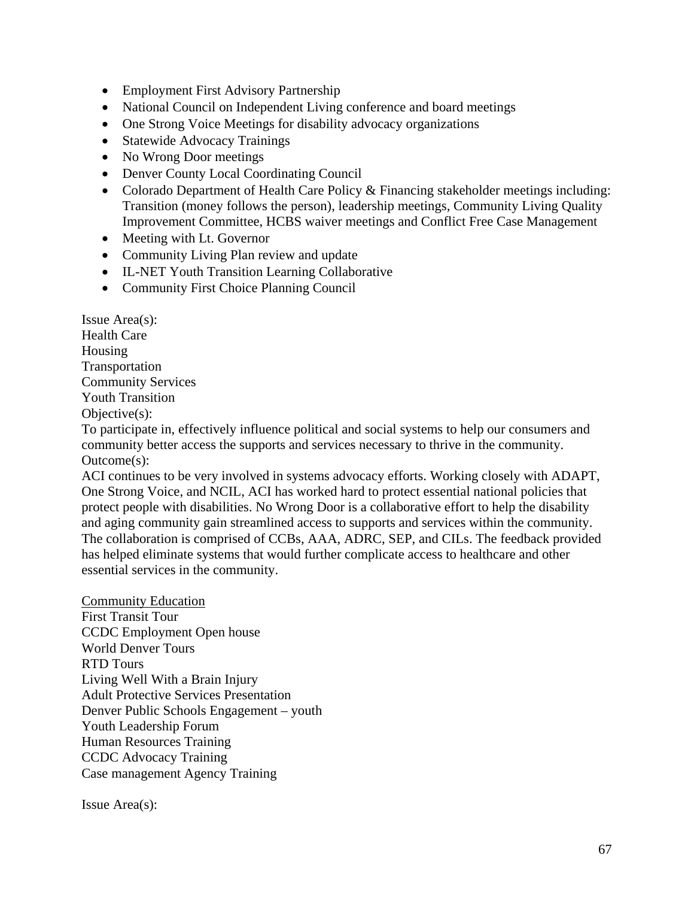- Employment First Advisory Partnership
- National Council on Independent Living conference and board meetings
- One Strong Voice Meetings for disability advocacy organizations
- Statewide Advocacy Trainings
- No Wrong Door meetings
- Denver County Local Coordinating Council
- Colorado Department of Health Care Policy & Financing stakeholder meetings including: Transition (money follows the person), leadership meetings, Community Living Quality Improvement Committee, HCBS waiver meetings and Conflict Free Case Management
- Meeting with Lt. Governor
- Community Living Plan review and update
- IL-NET Youth Transition Learning Collaborative
- Community First Choice Planning Council

Issue Area(s): Health Care Housing Transportation Community Services Youth Transition Objective(s):

To participate in, effectively influence political and social systems to help our consumers and community better access the supports and services necessary to thrive in the community. Outcome(s):

ACI continues to be very involved in systems advocacy efforts. Working closely with ADAPT, One Strong Voice, and NCIL, ACI has worked hard to protect essential national policies that protect people with disabilities. No Wrong Door is a collaborative effort to help the disability and aging community gain streamlined access to supports and services within the community. The collaboration is comprised of CCBs, AAA, ADRC, SEP, and CILs. The feedback provided has helped eliminate systems that would further complicate access to healthcare and other essential services in the community.

Community Education First Transit Tour CCDC Employment Open house World Denver Tours RTD Tours Living Well With a Brain Injury Adult Protective Services Presentation Denver Public Schools Engagement – youth Youth Leadership Forum Human Resources Training CCDC Advocacy Training Case management Agency Training

Issue Area(s):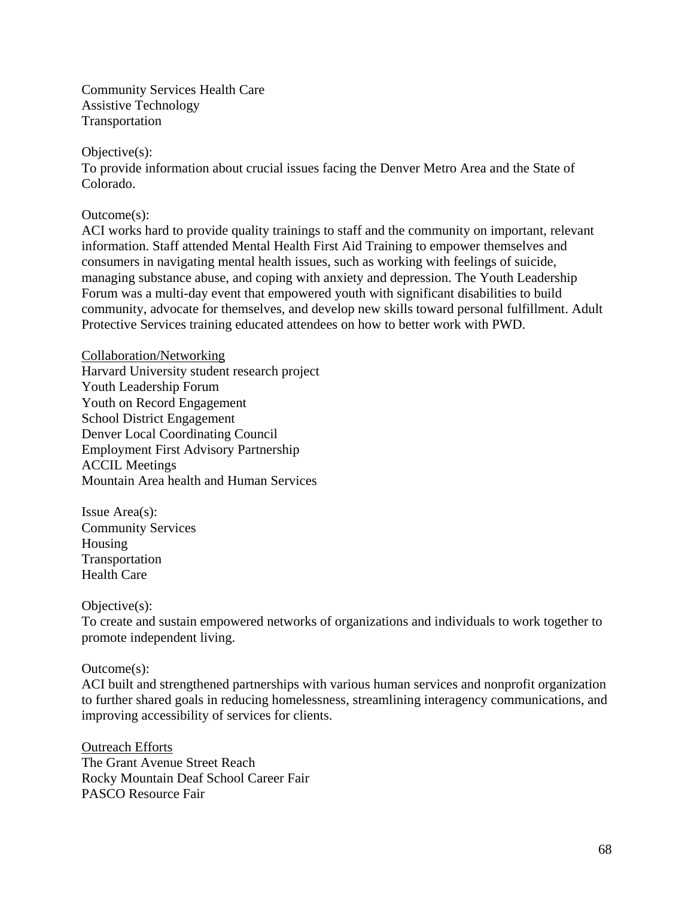Community Services Health Care Assistive Technology Transportation

Objective(s):

To provide information about crucial issues facing the Denver Metro Area and the State of Colorado.

Outcome(s):

ACI works hard to provide quality trainings to staff and the community on important, relevant information. Staff attended Mental Health First Aid Training to empower themselves and consumers in navigating mental health issues, such as working with feelings of suicide, managing substance abuse, and coping with anxiety and depression. The Youth Leadership Forum was a multi-day event that empowered youth with significant disabilities to build community, advocate for themselves, and develop new skills toward personal fulfillment. Adult Protective Services training educated attendees on how to better work with PWD.

Collaboration/Networking Harvard University student research project Youth Leadership Forum Youth on Record Engagement School District Engagement Denver Local Coordinating Council Employment First Advisory Partnership ACCIL Meetings Mountain Area health and Human Services

Issue Area(s): Community Services Housing Transportation Health Care

Objective(s):

To create and sustain empowered networks of organizations and individuals to work together to promote independent living.

Outcome(s):

ACI built and strengthened partnerships with various human services and nonprofit organization to further shared goals in reducing homelessness, streamlining interagency communications, and improving accessibility of services for clients.

Outreach Efforts The Grant Avenue Street Reach Rocky Mountain Deaf School Career Fair PASCO Resource Fair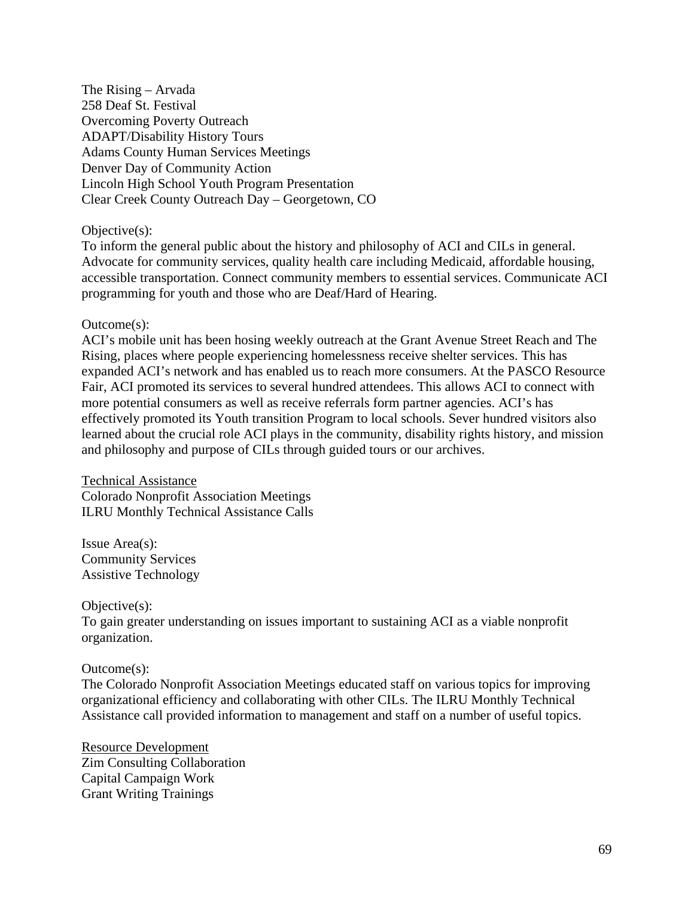The Rising – Arvada 258 Deaf St. Festival Overcoming Poverty Outreach ADAPT/Disability History Tours Adams County Human Services Meetings Denver Day of Community Action Lincoln High School Youth Program Presentation Clear Creek County Outreach Day – Georgetown, CO

Objective(s):

To inform the general public about the history and philosophy of ACI and CILs in general. Advocate for community services, quality health care including Medicaid, affordable housing, accessible transportation. Connect community members to essential services. Communicate ACI programming for youth and those who are Deaf/Hard of Hearing.

#### Outcome(s):

ACI's mobile unit has been hosing weekly outreach at the Grant Avenue Street Reach and The Rising, places where people experiencing homelessness receive shelter services. This has expanded ACI's network and has enabled us to reach more consumers. At the PASCO Resource Fair, ACI promoted its services to several hundred attendees. This allows ACI to connect with more potential consumers as well as receive referrals form partner agencies. ACI's has effectively promoted its Youth transition Program to local schools. Sever hundred visitors also learned about the crucial role ACI plays in the community, disability rights history, and mission and philosophy and purpose of CILs through guided tours or our archives.

Technical Assistance Colorado Nonprofit Association Meetings ILRU Monthly Technical Assistance Calls

Issue Area(s): Community Services Assistive Technology

Objective(s):

To gain greater understanding on issues important to sustaining ACI as a viable nonprofit organization.

#### Outcome(s):

The Colorado Nonprofit Association Meetings educated staff on various topics for improving organizational efficiency and collaborating with other CILs. The ILRU Monthly Technical Assistance call provided information to management and staff on a number of useful topics.

Resource Development Zim Consulting Collaboration Capital Campaign Work Grant Writing Trainings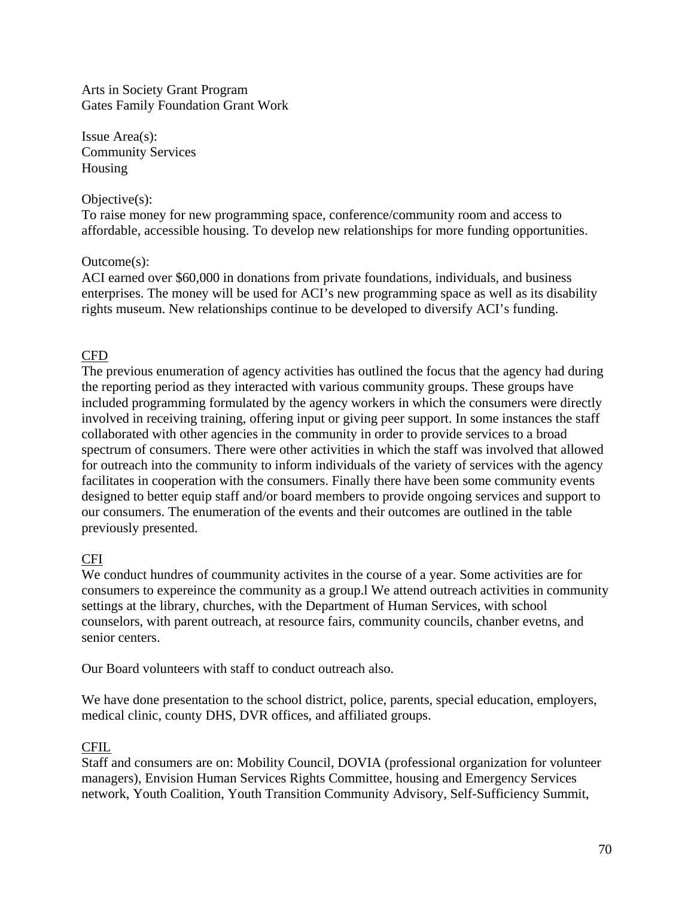Arts in Society Grant Program Gates Family Foundation Grant Work

Issue Area(s): Community Services Housing

#### Objective(s):

To raise money for new programming space, conference/community room and access to affordable, accessible housing. To develop new relationships for more funding opportunities.

### Outcome(s):

ACI earned over \$60,000 in donations from private foundations, individuals, and business enterprises. The money will be used for ACI's new programming space as well as its disability rights museum. New relationships continue to be developed to diversify ACI's funding.

## CFD

The previous enumeration of agency activities has outlined the focus that the agency had during the reporting period as they interacted with various community groups. These groups have included programming formulated by the agency workers in which the consumers were directly involved in receiving training, offering input or giving peer support. In some instances the staff collaborated with other agencies in the community in order to provide services to a broad spectrum of consumers. There were other activities in which the staff was involved that allowed for outreach into the community to inform individuals of the variety of services with the agency facilitates in cooperation with the consumers. Finally there have been some community events designed to better equip staff and/or board members to provide ongoing services and support to our consumers. The enumeration of the events and their outcomes are outlined in the table previously presented.

### CFI

We conduct hundres of coummunity activites in the course of a year. Some activities are for consumers to expereince the community as a group.l We attend outreach activities in community settings at the library, churches, with the Department of Human Services, with school counselors, with parent outreach, at resource fairs, community councils, chanber evetns, and senior centers.

Our Board volunteers with staff to conduct outreach also.

We have done presentation to the school district, police, parents, special education, employers, medical clinic, county DHS, DVR offices, and affiliated groups.

### CFIL

Staff and consumers are on: Mobility Council, DOVIA (professional organization for volunteer managers), Envision Human Services Rights Committee, housing and Emergency Services network, Youth Coalition, Youth Transition Community Advisory, Self-Sufficiency Summit,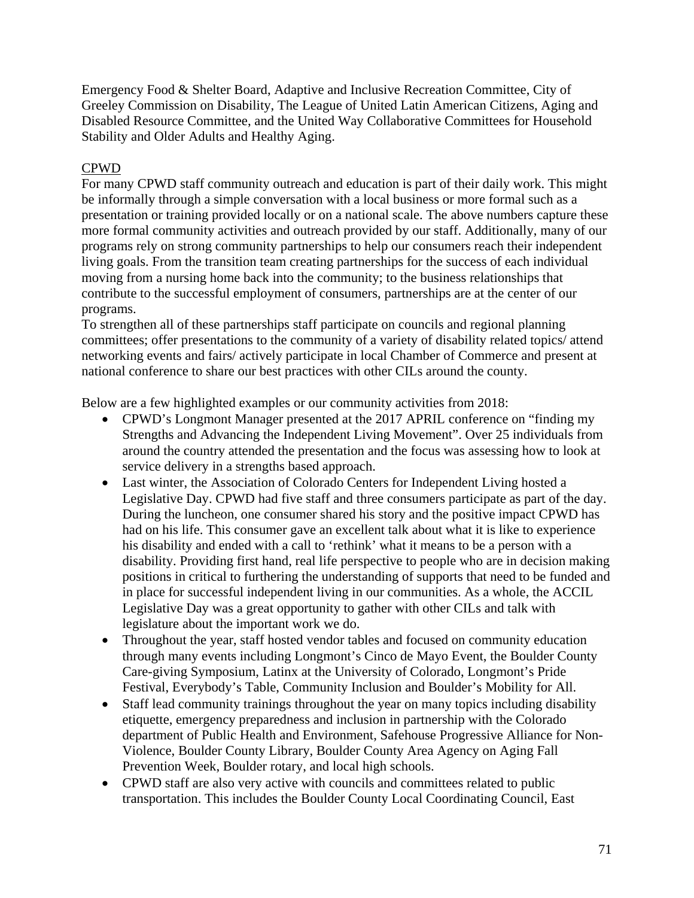Emergency Food & Shelter Board, Adaptive and Inclusive Recreation Committee, City of Greeley Commission on Disability, The League of United Latin American Citizens, Aging and Disabled Resource Committee, and the United Way Collaborative Committees for Household Stability and Older Adults and Healthy Aging.

## CPWD

For many CPWD staff community outreach and education is part of their daily work. This might be informally through a simple conversation with a local business or more formal such as a presentation or training provided locally or on a national scale. The above numbers capture these more formal community activities and outreach provided by our staff. Additionally, many of our programs rely on strong community partnerships to help our consumers reach their independent living goals. From the transition team creating partnerships for the success of each individual moving from a nursing home back into the community; to the business relationships that contribute to the successful employment of consumers, partnerships are at the center of our programs.

To strengthen all of these partnerships staff participate on councils and regional planning committees; offer presentations to the community of a variety of disability related topics/ attend networking events and fairs/ actively participate in local Chamber of Commerce and present at national conference to share our best practices with other CILs around the county.

Below are a few highlighted examples or our community activities from 2018:

- CPWD's Longmont Manager presented at the 2017 APRIL conference on "finding my Strengths and Advancing the Independent Living Movement". Over 25 individuals from around the country attended the presentation and the focus was assessing how to look at service delivery in a strengths based approach.
- Last winter, the Association of Colorado Centers for Independent Living hosted a Legislative Day. CPWD had five staff and three consumers participate as part of the day. During the luncheon, one consumer shared his story and the positive impact CPWD has had on his life. This consumer gave an excellent talk about what it is like to experience his disability and ended with a call to 'rethink' what it means to be a person with a disability. Providing first hand, real life perspective to people who are in decision making positions in critical to furthering the understanding of supports that need to be funded and in place for successful independent living in our communities. As a whole, the ACCIL Legislative Day was a great opportunity to gather with other CILs and talk with legislature about the important work we do.
- Throughout the year, staff hosted vendor tables and focused on community education through many events including Longmont's Cinco de Mayo Event, the Boulder County Care-giving Symposium, Latinx at the University of Colorado, Longmont's Pride Festival, Everybody's Table, Community Inclusion and Boulder's Mobility for All.
- Staff lead community trainings throughout the year on many topics including disability etiquette, emergency preparedness and inclusion in partnership with the Colorado department of Public Health and Environment, Safehouse Progressive Alliance for Non-Violence, Boulder County Library, Boulder County Area Agency on Aging Fall Prevention Week, Boulder rotary, and local high schools.
- CPWD staff are also very active with councils and committees related to public transportation. This includes the Boulder County Local Coordinating Council, East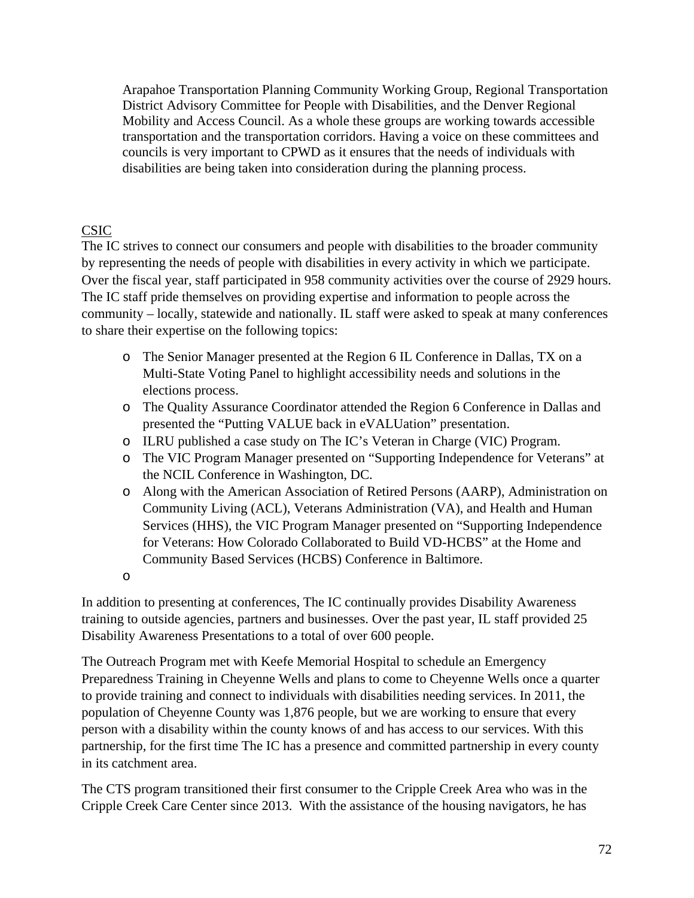Arapahoe Transportation Planning Community Working Group, Regional Transportation District Advisory Committee for People with Disabilities, and the Denver Regional Mobility and Access Council. As a whole these groups are working towards accessible transportation and the transportation corridors. Having a voice on these committees and councils is very important to CPWD as it ensures that the needs of individuals with disabilities are being taken into consideration during the planning process.

# CSIC

The IC strives to connect our consumers and people with disabilities to the broader community by representing the needs of people with disabilities in every activity in which we participate. Over the fiscal year, staff participated in 958 community activities over the course of 2929 hours. The IC staff pride themselves on providing expertise and information to people across the community – locally, statewide and nationally. IL staff were asked to speak at many conferences to share their expertise on the following topics:

- o The Senior Manager presented at the Region 6 IL Conference in Dallas, TX on a Multi-State Voting Panel to highlight accessibility needs and solutions in the elections process.
- o The Quality Assurance Coordinator attended the Region 6 Conference in Dallas and presented the "Putting VALUE back in eVALUation" presentation.
- o ILRU published a case study on The IC's Veteran in Charge (VIC) Program.
- o The VIC Program Manager presented on "Supporting Independence for Veterans" at the NCIL Conference in Washington, DC.
- o Along with the American Association of Retired Persons (AARP), Administration on Community Living (ACL), Veterans Administration (VA), and Health and Human Services (HHS), the VIC Program Manager presented on "Supporting Independence for Veterans: How Colorado Collaborated to Build VD-HCBS" at the Home and Community Based Services (HCBS) Conference in Baltimore.

o

In addition to presenting at conferences, The IC continually provides Disability Awareness training to outside agencies, partners and businesses. Over the past year, IL staff provided 25 Disability Awareness Presentations to a total of over 600 people.

The Outreach Program met with Keefe Memorial Hospital to schedule an Emergency Preparedness Training in Cheyenne Wells and plans to come to Cheyenne Wells once a quarter to provide training and connect to individuals with disabilities needing services. In 2011, the population of Cheyenne County was 1,876 people, but we are working to ensure that every person with a disability within the county knows of and has access to our services. With this partnership, for the first time The IC has a presence and committed partnership in every county in its catchment area.

The CTS program transitioned their first consumer to the Cripple Creek Area who was in the Cripple Creek Care Center since 2013. With the assistance of the housing navigators, he has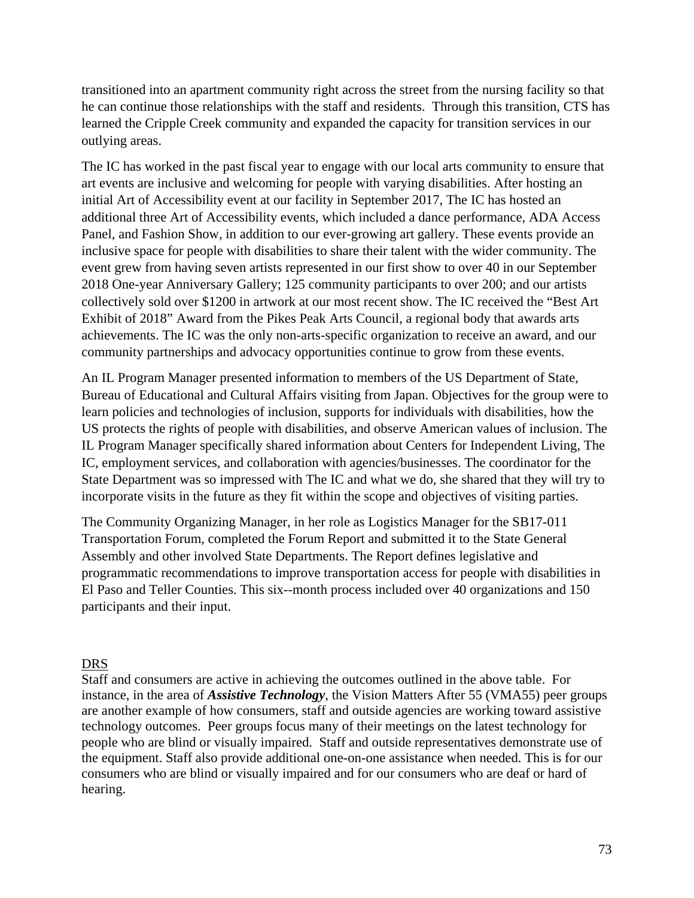transitioned into an apartment community right across the street from the nursing facility so that he can continue those relationships with the staff and residents. Through this transition, CTS has learned the Cripple Creek community and expanded the capacity for transition services in our outlying areas.

The IC has worked in the past fiscal year to engage with our local arts community to ensure that art events are inclusive and welcoming for people with varying disabilities. After hosting an initial Art of Accessibility event at our facility in September 2017, The IC has hosted an additional three Art of Accessibility events, which included a dance performance, ADA Access Panel, and Fashion Show, in addition to our ever-growing art gallery. These events provide an inclusive space for people with disabilities to share their talent with the wider community. The event grew from having seven artists represented in our first show to over 40 in our September 2018 One-year Anniversary Gallery; 125 community participants to over 200; and our artists collectively sold over \$1200 in artwork at our most recent show. The IC received the "Best Art Exhibit of 2018" Award from the Pikes Peak Arts Council, a regional body that awards arts achievements. The IC was the only non-arts-specific organization to receive an award, and our community partnerships and advocacy opportunities continue to grow from these events.

An IL Program Manager presented information to members of the US Department of State, Bureau of Educational and Cultural Affairs visiting from Japan. Objectives for the group were to learn policies and technologies of inclusion, supports for individuals with disabilities, how the US protects the rights of people with disabilities, and observe American values of inclusion. The IL Program Manager specifically shared information about Centers for Independent Living, The IC, employment services, and collaboration with agencies/businesses. The coordinator for the State Department was so impressed with The IC and what we do, she shared that they will try to incorporate visits in the future as they fit within the scope and objectives of visiting parties.

The Community Organizing Manager, in her role as Logistics Manager for the SB17-011 Transportation Forum, completed the Forum Report and submitted it to the State General Assembly and other involved State Departments. The Report defines legislative and programmatic recommendations to improve transportation access for people with disabilities in El Paso and Teller Counties. This six--month process included over 40 organizations and 150 participants and their input.

## DRS

Staff and consumers are active in achieving the outcomes outlined in the above table. For instance, in the area of *Assistive Technology*, the Vision Matters After 55 (VMA55) peer groups are another example of how consumers, staff and outside agencies are working toward assistive technology outcomes. Peer groups focus many of their meetings on the latest technology for people who are blind or visually impaired. Staff and outside representatives demonstrate use of the equipment. Staff also provide additional one-on-one assistance when needed. This is for our consumers who are blind or visually impaired and for our consumers who are deaf or hard of hearing.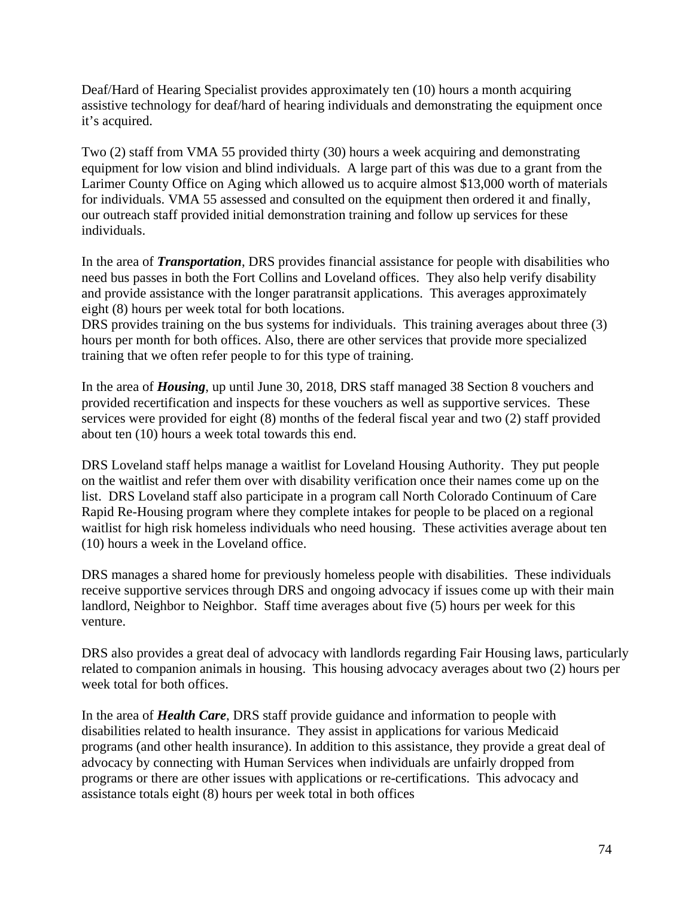Deaf/Hard of Hearing Specialist provides approximately ten (10) hours a month acquiring assistive technology for deaf/hard of hearing individuals and demonstrating the equipment once it's acquired.

Two (2) staff from VMA 55 provided thirty (30) hours a week acquiring and demonstrating equipment for low vision and blind individuals. A large part of this was due to a grant from the Larimer County Office on Aging which allowed us to acquire almost \$13,000 worth of materials for individuals. VMA 55 assessed and consulted on the equipment then ordered it and finally, our outreach staff provided initial demonstration training and follow up services for these individuals.

In the area of *Transportation*, DRS provides financial assistance for people with disabilities who need bus passes in both the Fort Collins and Loveland offices. They also help verify disability and provide assistance with the longer paratransit applications. This averages approximately eight (8) hours per week total for both locations.

DRS provides training on the bus systems for individuals. This training averages about three (3) hours per month for both offices. Also, there are other services that provide more specialized training that we often refer people to for this type of training.

In the area of *Housing*, up until June 30, 2018, DRS staff managed 38 Section 8 vouchers and provided recertification and inspects for these vouchers as well as supportive services. These services were provided for eight (8) months of the federal fiscal year and two (2) staff provided about ten (10) hours a week total towards this end.

DRS Loveland staff helps manage a waitlist for Loveland Housing Authority. They put people on the waitlist and refer them over with disability verification once their names come up on the list. DRS Loveland staff also participate in a program call North Colorado Continuum of Care Rapid Re-Housing program where they complete intakes for people to be placed on a regional waitlist for high risk homeless individuals who need housing. These activities average about ten (10) hours a week in the Loveland office.

DRS manages a shared home for previously homeless people with disabilities. These individuals receive supportive services through DRS and ongoing advocacy if issues come up with their main landlord, Neighbor to Neighbor. Staff time averages about five (5) hours per week for this venture.

DRS also provides a great deal of advocacy with landlords regarding Fair Housing laws, particularly related to companion animals in housing. This housing advocacy averages about two (2) hours per week total for both offices.

In the area of *Health Care*, DRS staff provide guidance and information to people with disabilities related to health insurance. They assist in applications for various Medicaid programs (and other health insurance). In addition to this assistance, they provide a great deal of advocacy by connecting with Human Services when individuals are unfairly dropped from programs or there are other issues with applications or re-certifications. This advocacy and assistance totals eight (8) hours per week total in both offices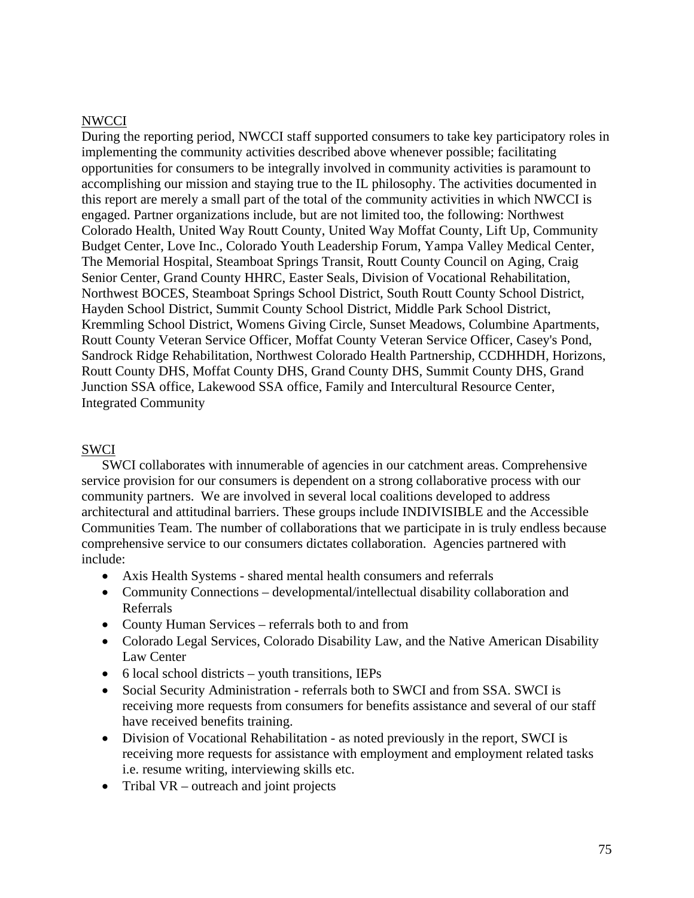#### NWCCI

During the reporting period, NWCCI staff supported consumers to take key participatory roles in implementing the community activities described above whenever possible; facilitating opportunities for consumers to be integrally involved in community activities is paramount to accomplishing our mission and staying true to the IL philosophy. The activities documented in this report are merely a small part of the total of the community activities in which NWCCI is engaged. Partner organizations include, but are not limited too, the following: Northwest Colorado Health, United Way Routt County, United Way Moffat County, Lift Up, Community Budget Center, Love Inc., Colorado Youth Leadership Forum, Yampa Valley Medical Center, The Memorial Hospital, Steamboat Springs Transit, Routt County Council on Aging, Craig Senior Center, Grand County HHRC, Easter Seals, Division of Vocational Rehabilitation, Northwest BOCES, Steamboat Springs School District, South Routt County School District, Hayden School District, Summit County School District, Middle Park School District, Kremmling School District, Womens Giving Circle, Sunset Meadows, Columbine Apartments, Routt County Veteran Service Officer, Moffat County Veteran Service Officer, Casey's Pond, Sandrock Ridge Rehabilitation, Northwest Colorado Health Partnership, CCDHHDH, Horizons, Routt County DHS, Moffat County DHS, Grand County DHS, Summit County DHS, Grand Junction SSA office, Lakewood SSA office, Family and Intercultural Resource Center, Integrated Community

#### SWCI

SWCI collaborates with innumerable of agencies in our catchment areas. Comprehensive service provision for our consumers is dependent on a strong collaborative process with our community partners. We are involved in several local coalitions developed to address architectural and attitudinal barriers. These groups include INDIVISIBLE and the Accessible Communities Team. The number of collaborations that we participate in is truly endless because comprehensive service to our consumers dictates collaboration. Agencies partnered with include:

- Axis Health Systems shared mental health consumers and referrals
- Community Connections developmental/intellectual disability collaboration and Referrals
- County Human Services referrals both to and from
- Colorado Legal Services, Colorado Disability Law, and the Native American Disability Law Center
- 6 local school districts youth transitions, IEPs
- Social Security Administration referrals both to SWCI and from SSA. SWCI is receiving more requests from consumers for benefits assistance and several of our staff have received benefits training.
- Division of Vocational Rehabilitation as noted previously in the report, SWCI is receiving more requests for assistance with employment and employment related tasks i.e. resume writing, interviewing skills etc.
- Tribal VR outreach and joint projects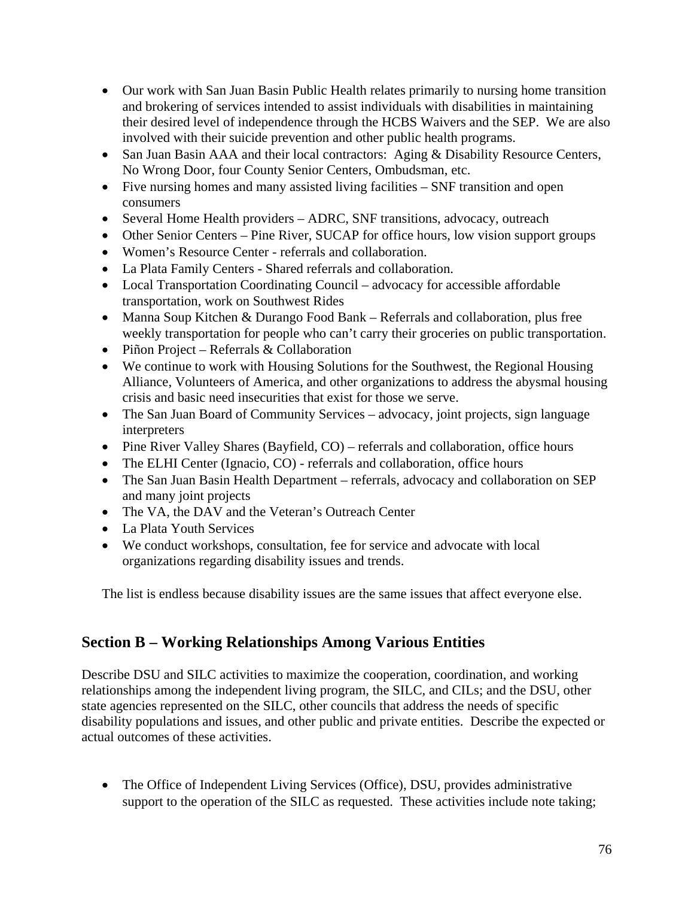- Our work with San Juan Basin Public Health relates primarily to nursing home transition and brokering of services intended to assist individuals with disabilities in maintaining their desired level of independence through the HCBS Waivers and the SEP. We are also involved with their suicide prevention and other public health programs.
- San Juan Basin AAA and their local contractors: Aging & Disability Resource Centers, No Wrong Door, four County Senior Centers, Ombudsman, etc.
- Five nursing homes and many assisted living facilities SNF transition and open consumers
- Several Home Health providers ADRC, SNF transitions, advocacy, outreach
- Other Senior Centers Pine River, SUCAP for office hours, low vision support groups
- Women's Resource Center referrals and collaboration.
- La Plata Family Centers Shared referrals and collaboration.
- Local Transportation Coordinating Council advocacy for accessible affordable transportation, work on Southwest Rides
- Manna Soup Kitchen & Durango Food Bank Referrals and collaboration, plus free weekly transportation for people who can't carry their groceries on public transportation.
- Piñon Project Referrals & Collaboration
- We continue to work with Housing Solutions for the Southwest, the Regional Housing Alliance, Volunteers of America, and other organizations to address the abysmal housing crisis and basic need insecurities that exist for those we serve.
- The San Juan Board of Community Services advocacy, joint projects, sign language interpreters
- Pine River Valley Shares (Bayfield, CO) referrals and collaboration, office hours
- The ELHI Center (Ignacio, CO) referrals and collaboration, office hours
- The San Juan Basin Health Department referrals, advocacy and collaboration on SEP and many joint projects
- The VA, the DAV and the Veteran's Outreach Center
- La Plata Youth Services
- We conduct workshops, consultation, fee for service and advocate with local organizations regarding disability issues and trends.

The list is endless because disability issues are the same issues that affect everyone else.

## **Section B – Working Relationships Among Various Entities**

Describe DSU and SILC activities to maximize the cooperation, coordination, and working relationships among the independent living program, the SILC, and CILs; and the DSU, other state agencies represented on the SILC, other councils that address the needs of specific disability populations and issues, and other public and private entities. Describe the expected or actual outcomes of these activities.

• The Office of Independent Living Services (Office), DSU, provides administrative support to the operation of the SILC as requested. These activities include note taking;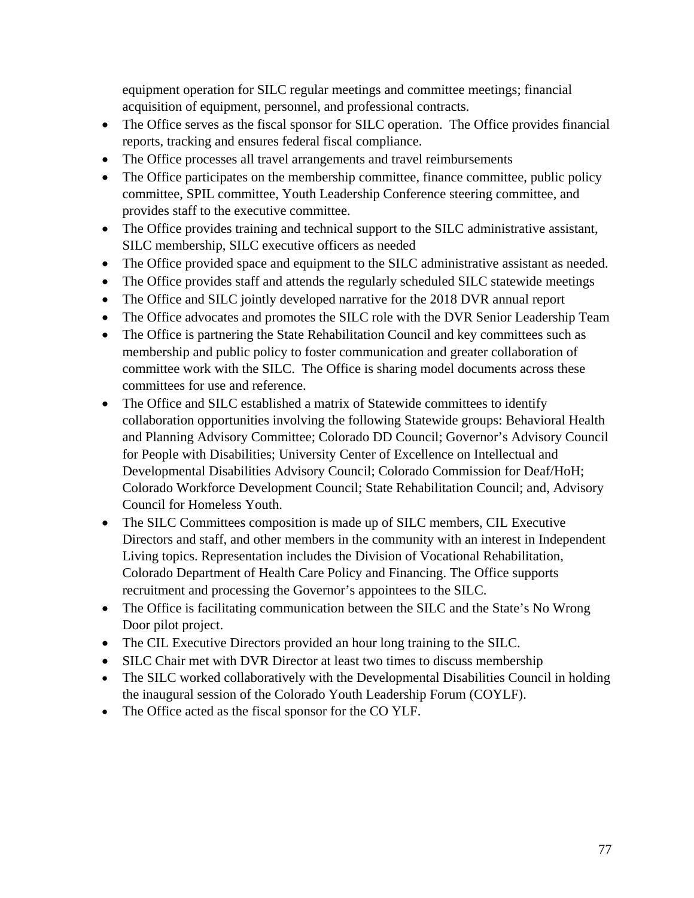equipment operation for SILC regular meetings and committee meetings; financial acquisition of equipment, personnel, and professional contracts.

- The Office serves as the fiscal sponsor for SILC operation. The Office provides financial reports, tracking and ensures federal fiscal compliance.
- The Office processes all travel arrangements and travel reimbursements
- The Office participates on the membership committee, finance committee, public policy committee, SPIL committee, Youth Leadership Conference steering committee, and provides staff to the executive committee.
- The Office provides training and technical support to the SILC administrative assistant, SILC membership, SILC executive officers as needed
- The Office provided space and equipment to the SILC administrative assistant as needed.
- The Office provides staff and attends the regularly scheduled SILC statewide meetings
- The Office and SILC jointly developed narrative for the 2018 DVR annual report
- The Office advocates and promotes the SILC role with the DVR Senior Leadership Team
- The Office is partnering the State Rehabilitation Council and key committees such as membership and public policy to foster communication and greater collaboration of committee work with the SILC. The Office is sharing model documents across these committees for use and reference.
- The Office and SILC established a matrix of Statewide committees to identify collaboration opportunities involving the following Statewide groups: Behavioral Health and Planning Advisory Committee; Colorado DD Council; Governor's Advisory Council for People with Disabilities; University Center of Excellence on Intellectual and Developmental Disabilities Advisory Council; Colorado Commission for Deaf/HoH; Colorado Workforce Development Council; State Rehabilitation Council; and, Advisory Council for Homeless Youth.
- The SILC Committees composition is made up of SILC members, CIL Executive Directors and staff, and other members in the community with an interest in Independent Living topics. Representation includes the Division of Vocational Rehabilitation, Colorado Department of Health Care Policy and Financing. The Office supports recruitment and processing the Governor's appointees to the SILC.
- The Office is facilitating communication between the SILC and the State's No Wrong Door pilot project.
- The CIL Executive Directors provided an hour long training to the SILC.
- SILC Chair met with DVR Director at least two times to discuss membership
- The SILC worked collaboratively with the Developmental Disabilities Council in holding the inaugural session of the Colorado Youth Leadership Forum (COYLF).
- The Office acted as the fiscal sponsor for the CO YLF.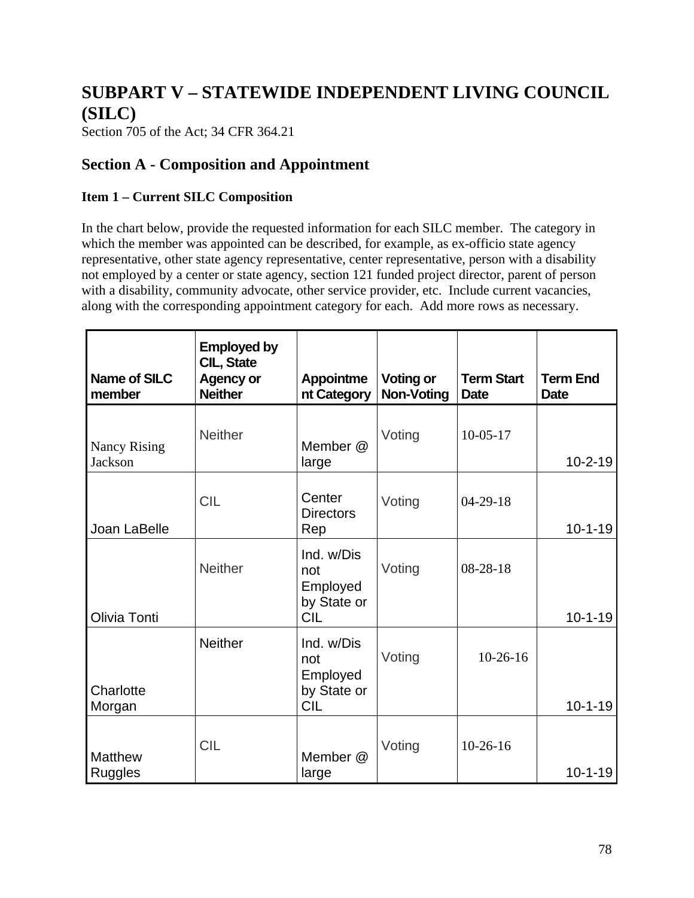# **SUBPART V – STATEWIDE INDEPENDENT LIVING COUNCIL (SILC)**

Section 705 of the Act; 34 CFR 364.21

## **Section A - Composition and Appointment**

## **Item 1 – Current SILC Composition**

In the chart below, provide the requested information for each SILC member. The category in which the member was appointed can be described, for example, as ex-officio state agency representative, other state agency representative, center representative, person with a disability not employed by a center or state agency, section 121 funded project director, parent of person with a disability, community advocate, other service provider, etc. Include current vacancies, along with the corresponding appointment category for each. Add more rows as necessary.

| <b>Name of SILC</b><br>member    | <b>Employed by</b><br>CIL, State<br><b>Agency or</b><br><b>Neither</b> | <b>Appointme</b><br>nt Category                            | <b>Voting or</b><br><b>Non-Voting</b> | <b>Term Start</b><br><b>Date</b> | <b>Term End</b><br><b>Date</b> |
|----------------------------------|------------------------------------------------------------------------|------------------------------------------------------------|---------------------------------------|----------------------------------|--------------------------------|
| <b>Nancy Rising</b><br>Jackson   | <b>Neither</b>                                                         | Member @<br>large                                          | Voting                                | $10-05-17$                       | $10 - 2 - 19$                  |
| Joan LaBelle                     | <b>CIL</b>                                                             | Center<br><b>Directors</b><br>Rep                          | Voting                                | $04 - 29 - 18$                   | $10 - 1 - 19$                  |
| Olivia Tonti                     | <b>Neither</b>                                                         | Ind. w/Dis<br>not<br>Employed<br>by State or<br><b>CIL</b> | Voting                                | $08 - 28 - 18$                   | $10 - 1 - 19$                  |
| Charlotte<br>Morgan              | <b>Neither</b>                                                         | Ind. w/Dis<br>not<br>Employed<br>by State or<br><b>CIL</b> | Voting                                | $10-26-16$                       | $10 - 1 - 19$                  |
| <b>Matthew</b><br><b>Ruggles</b> | <b>CIL</b>                                                             | Member @<br>large                                          | Voting                                | $10-26-16$                       | $10 - 1 - 19$                  |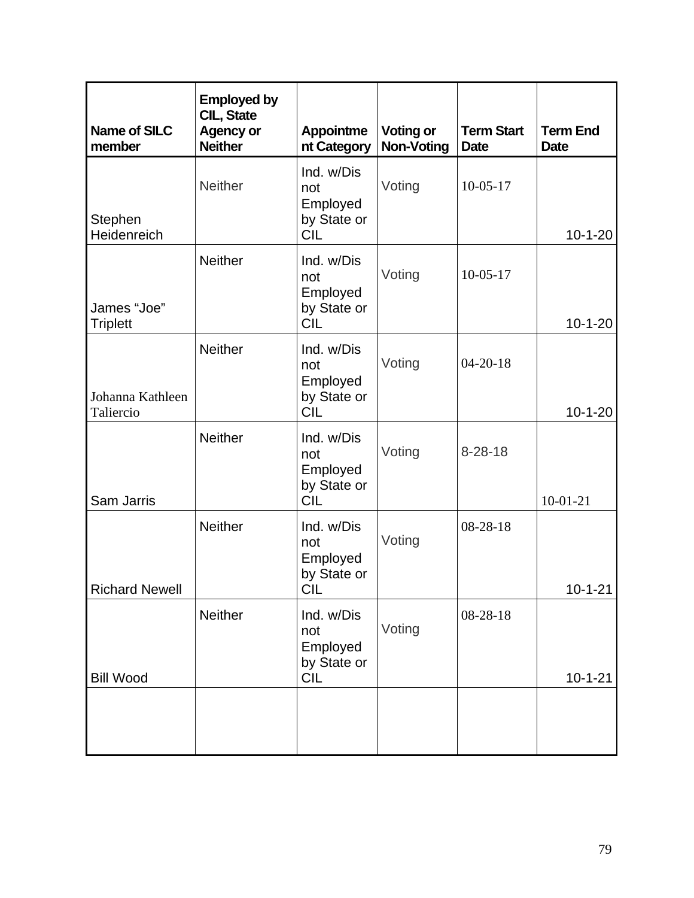| <b>Name of SILC</b><br>member  | <b>Employed by</b><br>CIL, State<br><b>Agency or</b><br><b>Neither</b> | <b>Appointme</b><br>nt Category                            | <b>Voting or</b><br><b>Non-Voting</b> | <b>Term Start</b><br><b>Date</b> | <b>Term End</b><br><b>Date</b> |
|--------------------------------|------------------------------------------------------------------------|------------------------------------------------------------|---------------------------------------|----------------------------------|--------------------------------|
| Stephen<br>Heidenreich         | <b>Neither</b>                                                         | Ind. w/Dis<br>not<br>Employed<br>by State or<br><b>CIL</b> | Voting                                | $10-05-17$                       | $10 - 1 - 20$                  |
| James "Joe"<br><b>Triplett</b> | <b>Neither</b>                                                         | Ind. w/Dis<br>not<br>Employed<br>by State or<br><b>CIL</b> | Voting                                | $10-05-17$                       | $10 - 1 - 20$                  |
| Johanna Kathleen<br>Taliercio  | <b>Neither</b>                                                         | Ind. w/Dis<br>not<br>Employed<br>by State or<br><b>CIL</b> | Voting                                | $04 - 20 - 18$                   | $10 - 1 - 20$                  |
| Sam Jarris                     | <b>Neither</b>                                                         | Ind. w/Dis<br>not<br>Employed<br>by State or<br><b>CIL</b> | Voting                                | $8 - 28 - 18$                    | $10-01-21$                     |
| <b>Richard Newell</b>          | <b>Neither</b>                                                         | Ind. w/Dis<br>not<br>Employed<br>by State or<br><b>CIL</b> | Voting                                | $08 - 28 - 18$                   | $10 - 1 - 21$                  |
| <b>Bill Wood</b>               | Neither                                                                | Ind. w/Dis<br>not<br>Employed<br>by State or<br><b>CIL</b> | Voting                                | 08-28-18                         | $10 - 1 - 21$                  |
|                                |                                                                        |                                                            |                                       |                                  |                                |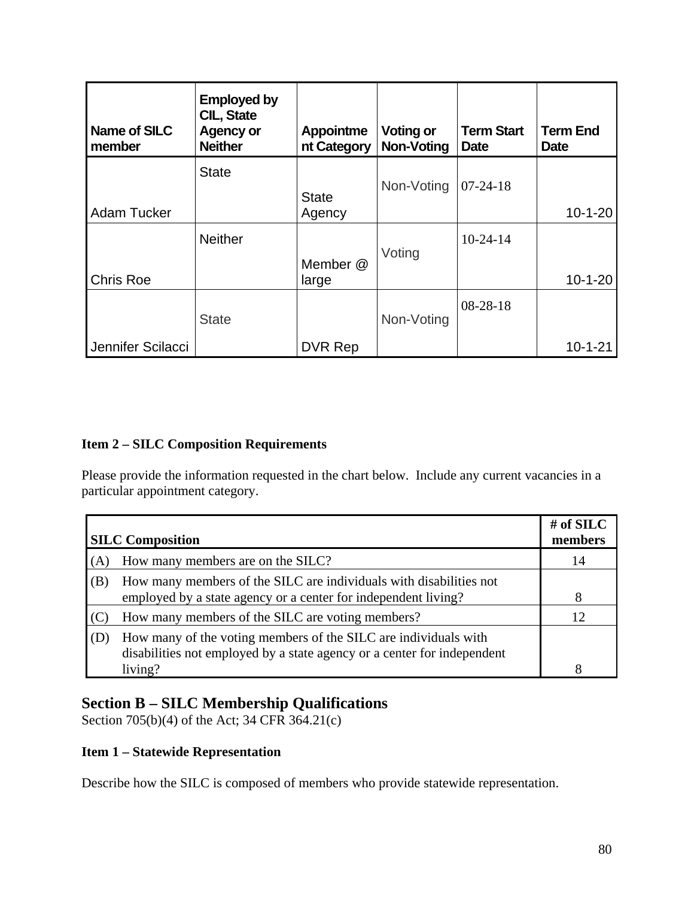| Name of SILC<br>member | <b>Employed by</b><br><b>CIL, State</b><br><b>Agency or</b><br><b>Neither</b> | <b>Appointme</b><br>nt Category | <b>Voting or</b><br><b>Non-Voting</b> | <b>Term Start</b><br>Date | <b>Term End</b><br>Date |
|------------------------|-------------------------------------------------------------------------------|---------------------------------|---------------------------------------|---------------------------|-------------------------|
|                        | <b>State</b>                                                                  | <b>State</b>                    | Non-Voting                            | $07 - 24 - 18$            |                         |
| <b>Adam Tucker</b>     |                                                                               | Agency                          |                                       |                           | $10 - 1 - 20$           |
|                        | <b>Neither</b>                                                                | Member @                        | Voting                                | $10-24-14$                |                         |
| Chris Roe              |                                                                               | large                           |                                       |                           | $10 - 1 - 20$           |
|                        | <b>State</b>                                                                  |                                 | Non-Voting                            | $08 - 28 - 18$            |                         |
| Jennifer Scilacci      |                                                                               | DVR Rep                         |                                       |                           | $10 - 1 - 21$           |

## **Item 2 – SILC Composition Requirements**

Please provide the information requested in the chart below. Include any current vacancies in a particular appointment category.

|     | <b>SILC</b> Composition                                                                                                                    | # of SILC<br>members |
|-----|--------------------------------------------------------------------------------------------------------------------------------------------|----------------------|
| (A) | How many members are on the SILC?                                                                                                          | 14                   |
| (B) | How many members of the SILC are individuals with disabilities not<br>employed by a state agency or a center for independent living?       | 8                    |
|     | How many members of the SILC are voting members?                                                                                           | 12 <sub>1</sub>      |
| (D) | How many of the voting members of the SILC are individuals with<br>disabilities not employed by a state agency or a center for independent |                      |
|     | living?                                                                                                                                    | я                    |

# **Section B – SILC Membership Qualifications**

Section 705(b)(4) of the Act; 34 CFR 364.21(c)

## **Item 1 – Statewide Representation**

Describe how the SILC is composed of members who provide statewide representation.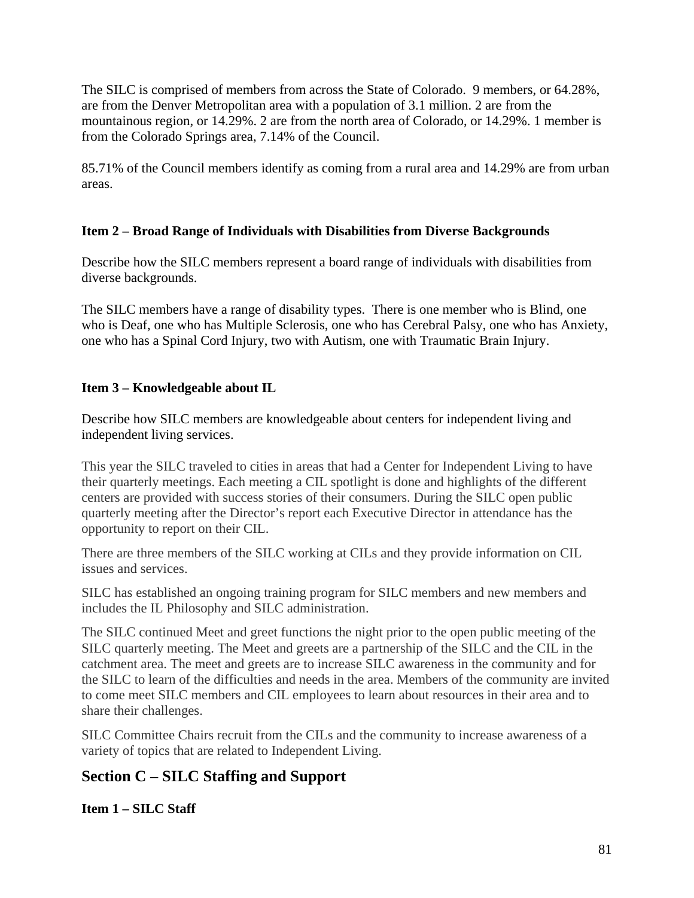The SILC is comprised of members from across the State of Colorado. 9 members, or 64.28%, are from the Denver Metropolitan area with a population of 3.1 million. 2 are from the mountainous region, or 14.29%. 2 are from the north area of Colorado, or 14.29%. 1 member is from the Colorado Springs area, 7.14% of the Council.

85.71% of the Council members identify as coming from a rural area and 14.29% are from urban areas.

## **Item 2 – Broad Range of Individuals with Disabilities from Diverse Backgrounds**

Describe how the SILC members represent a board range of individuals with disabilities from diverse backgrounds.

The SILC members have a range of disability types. There is one member who is Blind, one who is Deaf, one who has Multiple Sclerosis, one who has Cerebral Palsy, one who has Anxiety, one who has a Spinal Cord Injury, two with Autism, one with Traumatic Brain Injury.

## **Item 3 – Knowledgeable about IL**

Describe how SILC members are knowledgeable about centers for independent living and independent living services.

This year the SILC traveled to cities in areas that had a Center for Independent Living to have their quarterly meetings. Each meeting a CIL spotlight is done and highlights of the different centers are provided with success stories of their consumers. During the SILC open public quarterly meeting after the Director's report each Executive Director in attendance has the opportunity to report on their CIL.

There are three members of the SILC working at CILs and they provide information on CIL issues and services.

SILC has established an ongoing training program for SILC members and new members and includes the IL Philosophy and SILC administration.

The SILC continued Meet and greet functions the night prior to the open public meeting of the SILC quarterly meeting. The Meet and greets are a partnership of the SILC and the CIL in the catchment area. The meet and greets are to increase SILC awareness in the community and for the SILC to learn of the difficulties and needs in the area. Members of the community are invited to come meet SILC members and CIL employees to learn about resources in their area and to share their challenges.

SILC Committee Chairs recruit from the CILs and the community to increase awareness of a variety of topics that are related to Independent Living.

# **Section C – SILC Staffing and Support**

**Item 1 – SILC Staff**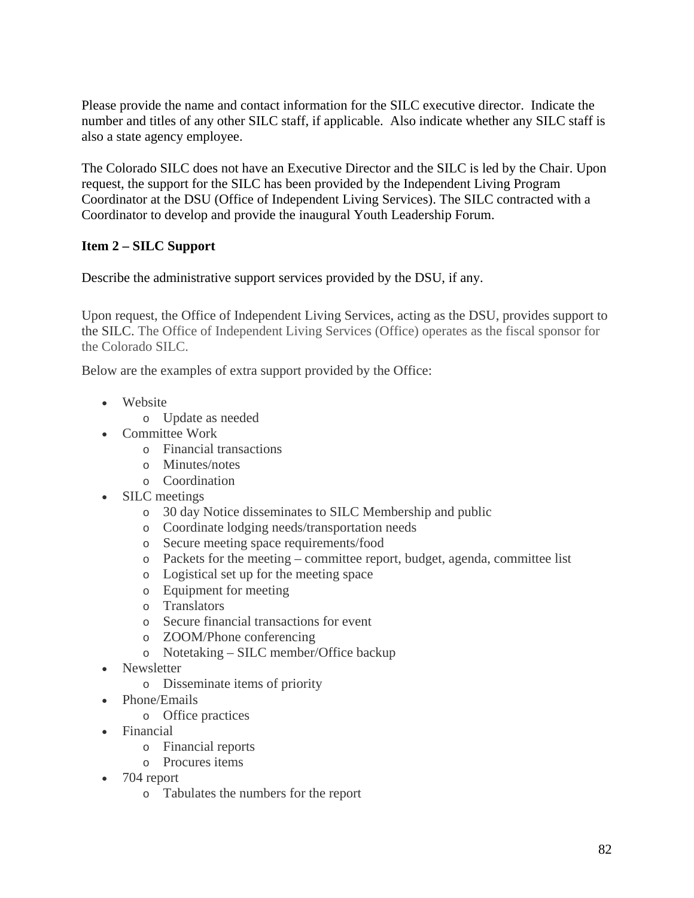Please provide the name and contact information for the SILC executive director. Indicate the number and titles of any other SILC staff, if applicable. Also indicate whether any SILC staff is also a state agency employee.

The Colorado SILC does not have an Executive Director and the SILC is led by the Chair. Upon request, the support for the SILC has been provided by the Independent Living Program Coordinator at the DSU (Office of Independent Living Services). The SILC contracted with a Coordinator to develop and provide the inaugural Youth Leadership Forum.

## **Item 2 – SILC Support**

Describe the administrative support services provided by the DSU, if any.

Upon request, the Office of Independent Living Services, acting as the DSU, provides support to the SILC. The Office of Independent Living Services (Office) operates as the fiscal sponsor for the Colorado SILC.

Below are the examples of extra support provided by the Office:

- Website
	- o Update as needed
- Committee Work
	- o Financial transactions
	- o Minutes/notes
	- o Coordination
- SILC meetings
	- o 30 day Notice disseminates to SILC Membership and public
	- o Coordinate lodging needs/transportation needs
	- o Secure meeting space requirements/food
	- o Packets for the meeting committee report, budget, agenda, committee list
	- o Logistical set up for the meeting space
	- o Equipment for meeting
	- o Translators
	- o Secure financial transactions for event
	- o ZOOM/Phone conferencing
	- o Notetaking SILC member/Office backup
- Newsletter
	- o Disseminate items of priority
- Phone/Emails
	- o Office practices
- Financial
	- o Financial reports
	- o Procures items
- 704 report
	- o Tabulates the numbers for the report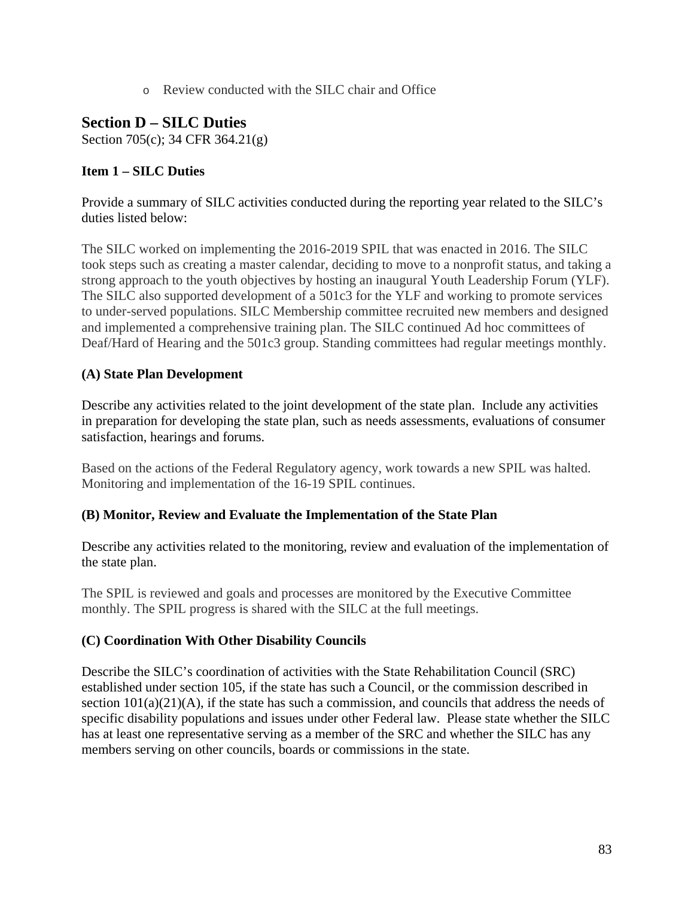o Review conducted with the SILC chair and Office

## **Section D – SILC Duties**

Section 705(c); 34 CFR 364.21(g)

## **Item 1 – SILC Duties**

Provide a summary of SILC activities conducted during the reporting year related to the SILC's duties listed below:

The SILC worked on implementing the 2016-2019 SPIL that was enacted in 2016. The SILC took steps such as creating a master calendar, deciding to move to a nonprofit status, and taking a strong approach to the youth objectives by hosting an inaugural Youth Leadership Forum (YLF). The SILC also supported development of a 501c3 for the YLF and working to promote services to under-served populations. SILC Membership committee recruited new members and designed and implemented a comprehensive training plan. The SILC continued Ad hoc committees of Deaf/Hard of Hearing and the 501c3 group. Standing committees had regular meetings monthly.

## **(A) State Plan Development**

Describe any activities related to the joint development of the state plan. Include any activities in preparation for developing the state plan, such as needs assessments, evaluations of consumer satisfaction, hearings and forums.

Based on the actions of the Federal Regulatory agency, work towards a new SPIL was halted. Monitoring and implementation of the 16-19 SPIL continues.

## **(B) Monitor, Review and Evaluate the Implementation of the State Plan**

Describe any activities related to the monitoring, review and evaluation of the implementation of the state plan.

The SPIL is reviewed and goals and processes are monitored by the Executive Committee monthly. The SPIL progress is shared with the SILC at the full meetings.

## **(C) Coordination With Other Disability Councils**

Describe the SILC's coordination of activities with the State Rehabilitation Council (SRC) established under section 105, if the state has such a Council, or the commission described in section  $101(a)(21)(A)$ , if the state has such a commission, and councils that address the needs of specific disability populations and issues under other Federal law. Please state whether the SILC has at least one representative serving as a member of the SRC and whether the SILC has any members serving on other councils, boards or commissions in the state.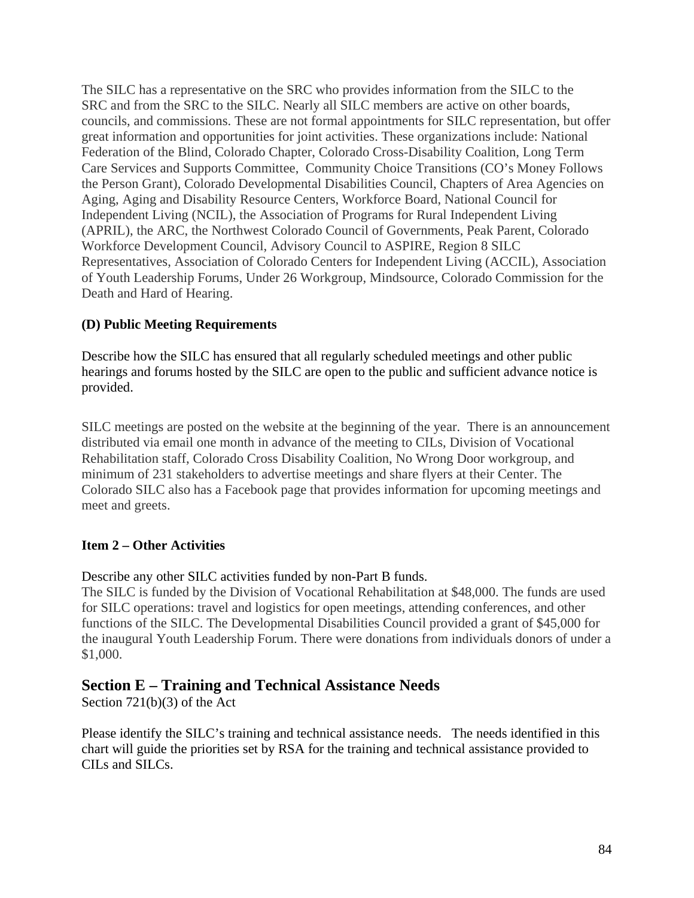The SILC has a representative on the SRC who provides information from the SILC to the SRC and from the SRC to the SILC. Nearly all SILC members are active on other boards, councils, and commissions. These are not formal appointments for SILC representation, but offer great information and opportunities for joint activities. These organizations include: National Federation of the Blind, Colorado Chapter, Colorado Cross-Disability Coalition, Long Term Care Services and Supports Committee, Community Choice Transitions (CO's Money Follows the Person Grant), Colorado Developmental Disabilities Council, Chapters of Area Agencies on Aging, Aging and Disability Resource Centers, Workforce Board, National Council for Independent Living (NCIL), the Association of Programs for Rural Independent Living (APRIL), the ARC, the Northwest Colorado Council of Governments, Peak Parent, Colorado Workforce Development Council, Advisory Council to ASPIRE, Region 8 SILC Representatives, Association of Colorado Centers for Independent Living (ACCIL), Association of Youth Leadership Forums, Under 26 Workgroup, Mindsource, Colorado Commission for the Death and Hard of Hearing.

## **(D) Public Meeting Requirements**

Describe how the SILC has ensured that all regularly scheduled meetings and other public hearings and forums hosted by the SILC are open to the public and sufficient advance notice is provided.

SILC meetings are posted on the website at the beginning of the year. There is an announcement distributed via email one month in advance of the meeting to CILs, Division of Vocational Rehabilitation staff, Colorado Cross Disability Coalition, No Wrong Door workgroup, and minimum of 231 stakeholders to advertise meetings and share flyers at their Center. The Colorado SILC also has a Facebook page that provides information for upcoming meetings and meet and greets.

## **Item 2 – Other Activities**

Describe any other SILC activities funded by non-Part B funds.

The SILC is funded by the Division of Vocational Rehabilitation at \$48,000. The funds are used for SILC operations: travel and logistics for open meetings, attending conferences, and other functions of the SILC. The Developmental Disabilities Council provided a grant of \$45,000 for the inaugural Youth Leadership Forum. There were donations from individuals donors of under a \$1,000.

## **Section E – Training and Technical Assistance Needs**

Section 721(b)(3) of the Act

Please identify the SILC's training and technical assistance needs. The needs identified in this chart will guide the priorities set by RSA for the training and technical assistance provided to CILs and SILCs.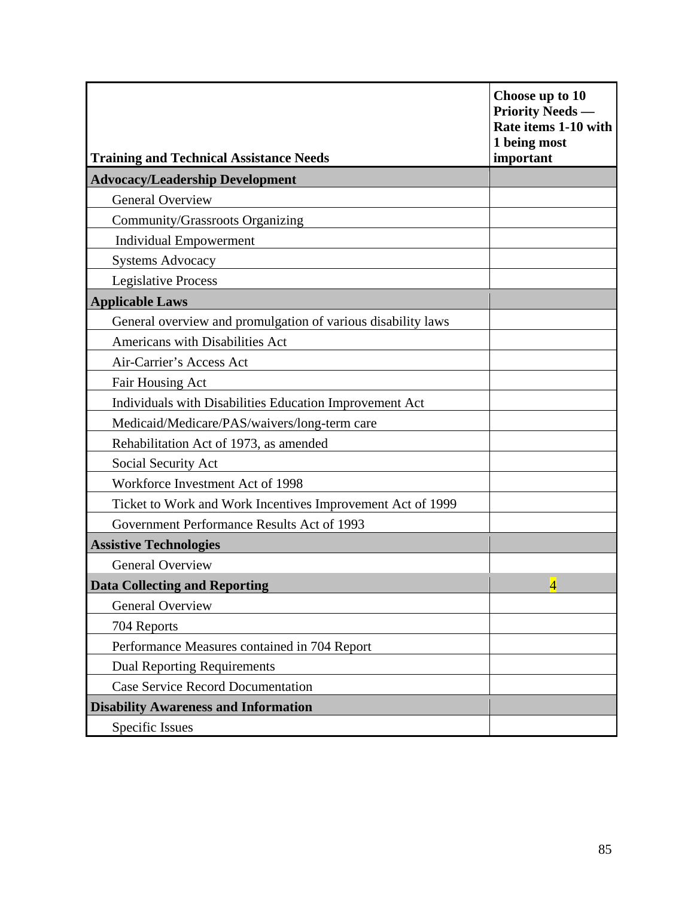| <b>Training and Technical Assistance Needs</b>               | Choose up to 10<br><b>Priority Needs</b> —<br>Rate items 1-10 with<br>1 being most<br>important |
|--------------------------------------------------------------|-------------------------------------------------------------------------------------------------|
| <b>Advocacy/Leadership Development</b>                       |                                                                                                 |
| <b>General Overview</b>                                      |                                                                                                 |
| Community/Grassroots Organizing                              |                                                                                                 |
| <b>Individual Empowerment</b>                                |                                                                                                 |
| <b>Systems Advocacy</b>                                      |                                                                                                 |
| <b>Legislative Process</b>                                   |                                                                                                 |
| <b>Applicable Laws</b>                                       |                                                                                                 |
| General overview and promulgation of various disability laws |                                                                                                 |
| Americans with Disabilities Act                              |                                                                                                 |
| Air-Carrier's Access Act                                     |                                                                                                 |
| Fair Housing Act                                             |                                                                                                 |
| Individuals with Disabilities Education Improvement Act      |                                                                                                 |
| Medicaid/Medicare/PAS/waivers/long-term care                 |                                                                                                 |
| Rehabilitation Act of 1973, as amended                       |                                                                                                 |
| Social Security Act                                          |                                                                                                 |
| Workforce Investment Act of 1998                             |                                                                                                 |
| Ticket to Work and Work Incentives Improvement Act of 1999   |                                                                                                 |
| Government Performance Results Act of 1993                   |                                                                                                 |
| <b>Assistive Technologies</b>                                |                                                                                                 |
| <b>General Overview</b>                                      |                                                                                                 |
| <b>Data Collecting and Reporting</b>                         | $\overline{4}$                                                                                  |
| General Overview                                             |                                                                                                 |
| 704 Reports                                                  |                                                                                                 |
| Performance Measures contained in 704 Report                 |                                                                                                 |
| <b>Dual Reporting Requirements</b>                           |                                                                                                 |
| <b>Case Service Record Documentation</b>                     |                                                                                                 |
| <b>Disability Awareness and Information</b>                  |                                                                                                 |
| Specific Issues                                              |                                                                                                 |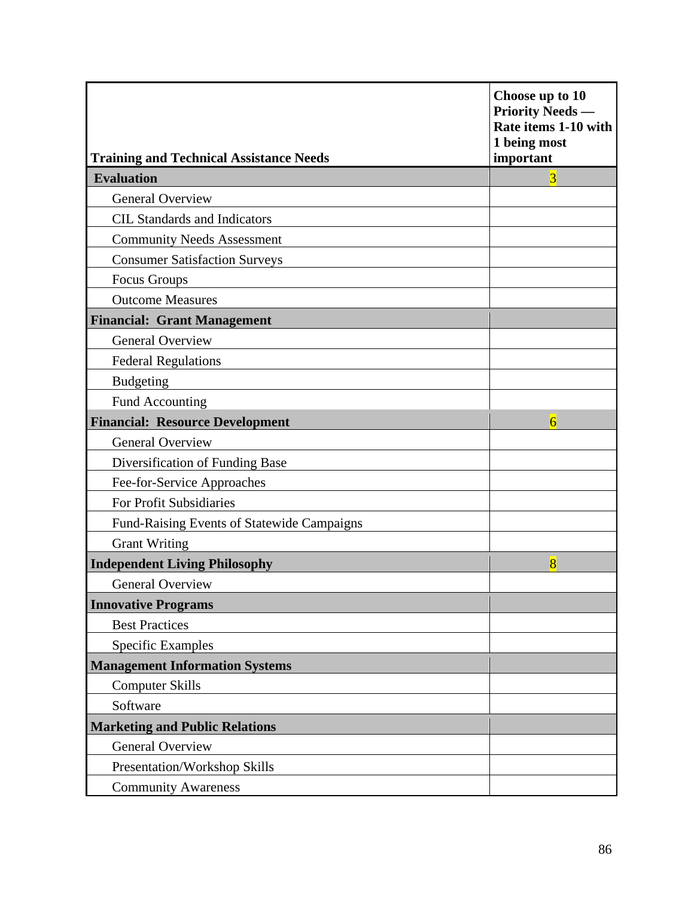| <b>Training and Technical Assistance Needs</b> | Choose up to 10<br><b>Priority Needs</b> —<br>Rate items 1-10 with<br>1 being most<br>important |
|------------------------------------------------|-------------------------------------------------------------------------------------------------|
| <b>Evaluation</b>                              | $\overline{3}$                                                                                  |
| <b>General Overview</b>                        |                                                                                                 |
| <b>CIL Standards and Indicators</b>            |                                                                                                 |
| <b>Community Needs Assessment</b>              |                                                                                                 |
| <b>Consumer Satisfaction Surveys</b>           |                                                                                                 |
| Focus Groups                                   |                                                                                                 |
| <b>Outcome Measures</b>                        |                                                                                                 |
| <b>Financial: Grant Management</b>             |                                                                                                 |
| <b>General Overview</b>                        |                                                                                                 |
| <b>Federal Regulations</b>                     |                                                                                                 |
| <b>Budgeting</b>                               |                                                                                                 |
| Fund Accounting                                |                                                                                                 |
| <b>Financial: Resource Development</b>         | $\overline{6}$                                                                                  |
| <b>General Overview</b>                        |                                                                                                 |
| Diversification of Funding Base                |                                                                                                 |
| Fee-for-Service Approaches                     |                                                                                                 |
| For Profit Subsidiaries                        |                                                                                                 |
| Fund-Raising Events of Statewide Campaigns     |                                                                                                 |
| <b>Grant Writing</b>                           |                                                                                                 |
| <b>Independent Living Philosophy</b>           | $\overline{8}$                                                                                  |
| <b>General Overview</b>                        |                                                                                                 |
| <b>Innovative Programs</b>                     |                                                                                                 |
| <b>Best Practices</b>                          |                                                                                                 |
| <b>Specific Examples</b>                       |                                                                                                 |
| <b>Management Information Systems</b>          |                                                                                                 |
| <b>Computer Skills</b>                         |                                                                                                 |
| Software                                       |                                                                                                 |
| <b>Marketing and Public Relations</b>          |                                                                                                 |
| <b>General Overview</b>                        |                                                                                                 |
| Presentation/Workshop Skills                   |                                                                                                 |
| <b>Community Awareness</b>                     |                                                                                                 |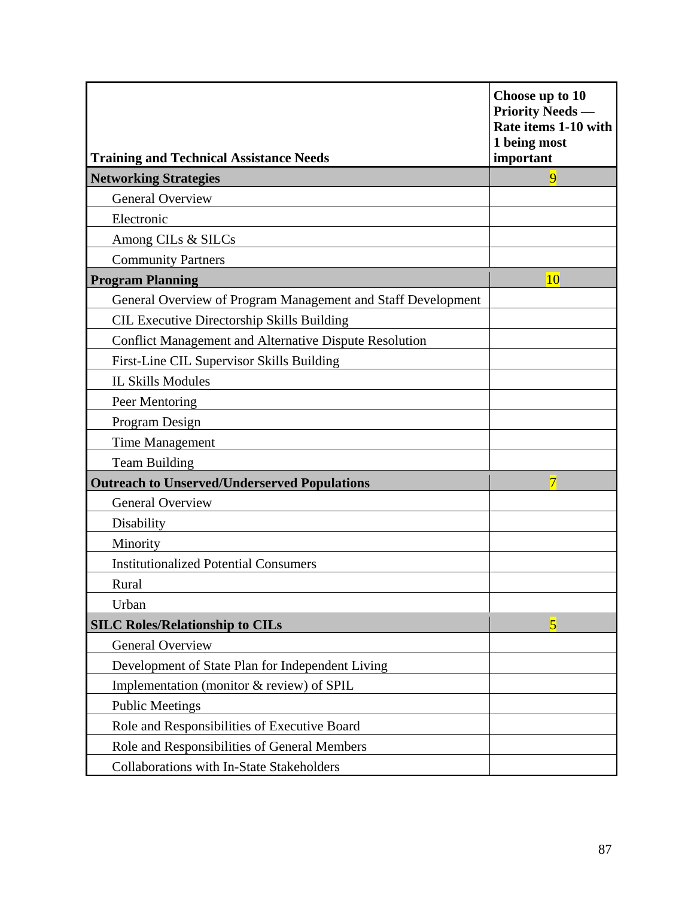| <b>Training and Technical Assistance Needs</b>                | Choose up to 10<br><b>Priority Needs —</b><br>Rate items 1-10 with<br>1 being most<br>important |
|---------------------------------------------------------------|-------------------------------------------------------------------------------------------------|
| <b>Networking Strategies</b>                                  | 9                                                                                               |
| <b>General Overview</b>                                       |                                                                                                 |
| Electronic                                                    |                                                                                                 |
| Among CILs & SILCs                                            |                                                                                                 |
| <b>Community Partners</b>                                     |                                                                                                 |
| <b>Program Planning</b>                                       | 10                                                                                              |
| General Overview of Program Management and Staff Development  |                                                                                                 |
| <b>CIL Executive Directorship Skills Building</b>             |                                                                                                 |
| <b>Conflict Management and Alternative Dispute Resolution</b> |                                                                                                 |
| First-Line CIL Supervisor Skills Building                     |                                                                                                 |
| <b>IL Skills Modules</b>                                      |                                                                                                 |
| Peer Mentoring                                                |                                                                                                 |
| Program Design                                                |                                                                                                 |
| <b>Time Management</b>                                        |                                                                                                 |
| <b>Team Building</b>                                          |                                                                                                 |
| <b>Outreach to Unserved/Underserved Populations</b>           |                                                                                                 |
| <b>General Overview</b>                                       |                                                                                                 |
| Disability                                                    |                                                                                                 |
| Minority                                                      |                                                                                                 |
| <b>Institutionalized Potential Consumers</b>                  |                                                                                                 |
| Rural                                                         |                                                                                                 |
| Urban                                                         |                                                                                                 |
| <b>SILC Roles/Relationship to CILs</b>                        | $\overline{5}$                                                                                  |
| <b>General Overview</b>                                       |                                                                                                 |
| Development of State Plan for Independent Living              |                                                                                                 |
| Implementation (monitor & review) of SPIL                     |                                                                                                 |
| <b>Public Meetings</b>                                        |                                                                                                 |
| Role and Responsibilities of Executive Board                  |                                                                                                 |
| Role and Responsibilities of General Members                  |                                                                                                 |
| Collaborations with In-State Stakeholders                     |                                                                                                 |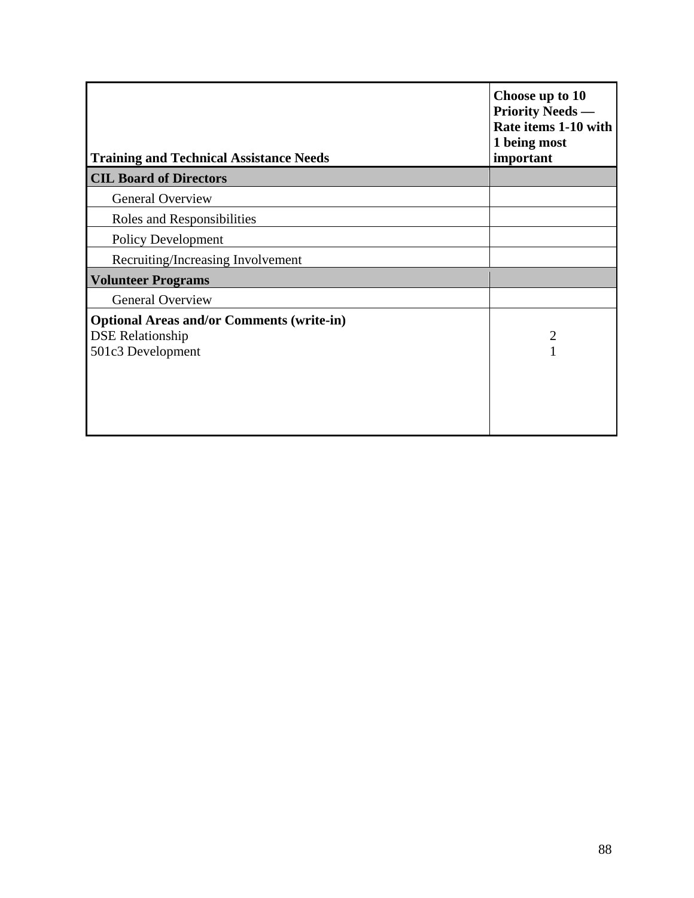| <b>Training and Technical Assistance Needs</b>   | Choose up to 10<br><b>Priority Needs</b> —<br>Rate items 1-10 with<br>1 being most<br>important |
|--------------------------------------------------|-------------------------------------------------------------------------------------------------|
| <b>CIL Board of Directors</b>                    |                                                                                                 |
| <b>General Overview</b>                          |                                                                                                 |
| Roles and Responsibilities                       |                                                                                                 |
| <b>Policy Development</b>                        |                                                                                                 |
| Recruiting/Increasing Involvement                |                                                                                                 |
| <b>Volunteer Programs</b>                        |                                                                                                 |
| <b>General Overview</b>                          |                                                                                                 |
| <b>Optional Areas and/or Comments (write-in)</b> |                                                                                                 |
| <b>DSE Relationship</b>                          | $\overline{2}$                                                                                  |
| 501c3 Development                                |                                                                                                 |
|                                                  |                                                                                                 |
|                                                  |                                                                                                 |
|                                                  |                                                                                                 |
|                                                  |                                                                                                 |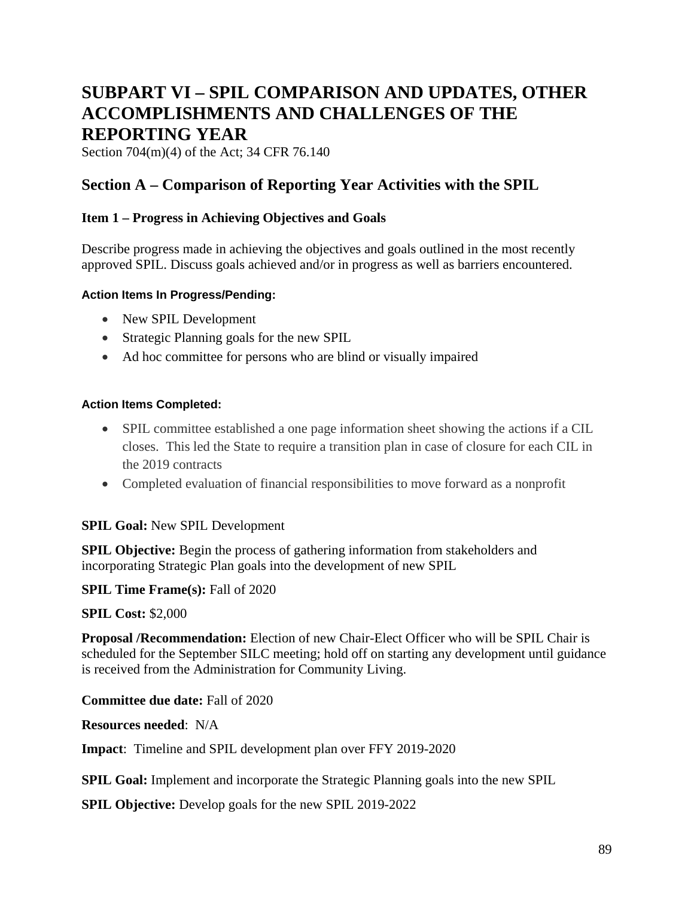# **SUBPART VI – SPIL COMPARISON AND UPDATES, OTHER ACCOMPLISHMENTS AND CHALLENGES OF THE REPORTING YEAR**

Section 704(m)(4) of the Act; 34 CFR 76.140

## **Section A – Comparison of Reporting Year Activities with the SPIL**

## **Item 1 – Progress in Achieving Objectives and Goals**

Describe progress made in achieving the objectives and goals outlined in the most recently approved SPIL. Discuss goals achieved and/or in progress as well as barriers encountered.

#### **Action Items In Progress/Pending:**

- New SPIL Development
- Strategic Planning goals for the new SPIL
- Ad hoc committee for persons who are blind or visually impaired

#### **Action Items Completed:**

- SPIL committee established a one page information sheet showing the actions if a CIL closes. This led the State to require a transition plan in case of closure for each CIL in the 2019 contracts
- Completed evaluation of financial responsibilities to move forward as a nonprofit

## **SPIL Goal:** New SPIL Development

**SPIL Objective:** Begin the process of gathering information from stakeholders and incorporating Strategic Plan goals into the development of new SPIL

## **SPIL Time Frame(s): Fall of 2020**

## **SPIL Cost:** \$2,000

**Proposal /Recommendation:** Election of new Chair-Elect Officer who will be SPIL Chair is scheduled for the September SILC meeting; hold off on starting any development until guidance is received from the Administration for Community Living.

**Committee due date:** Fall of 2020

**Resources needed**: N/A

**Impact**: Timeline and SPIL development plan over FFY 2019-2020

**SPIL Goal:** Implement and incorporate the Strategic Planning goals into the new SPIL

**SPIL Objective:** Develop goals for the new SPIL 2019-2022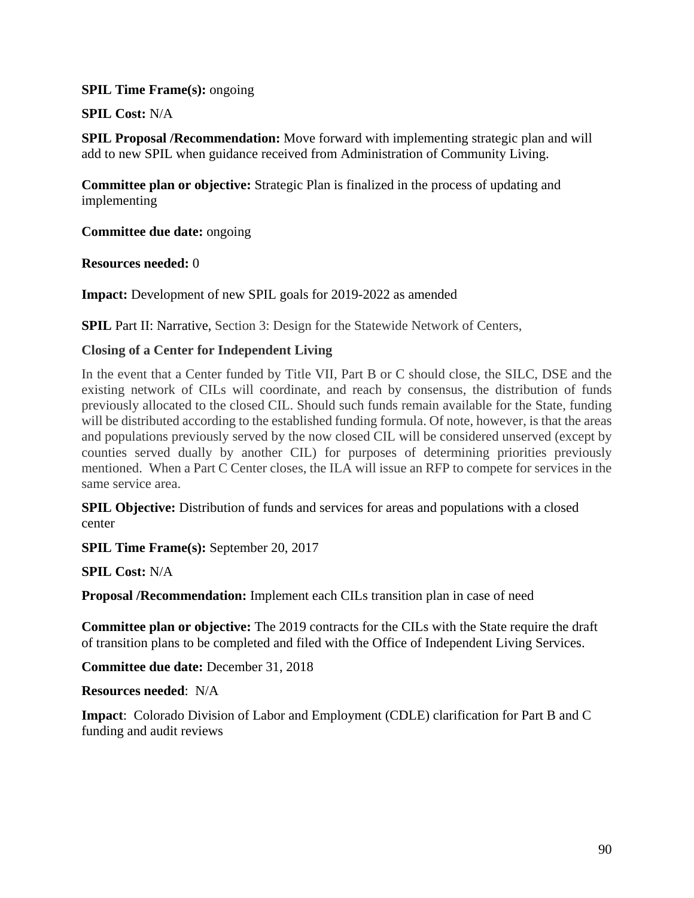#### **SPIL Time Frame(s): ongoing**

**SPIL Cost:** N/A

**SPIL Proposal /Recommendation:** Move forward with implementing strategic plan and will add to new SPIL when guidance received from Administration of Community Living.

**Committee plan or objective:** Strategic Plan is finalized in the process of updating and implementing

**Committee due date:** ongoing

#### **Resources needed:** 0

**Impact:** Development of new SPIL goals for 2019-2022 as amended

**SPIL Part II: Narrative, Section 3: Design for the Statewide Network of Centers,** 

## **Closing of a Center for Independent Living**

In the event that a Center funded by Title VII, Part B or C should close, the SILC, DSE and the existing network of CILs will coordinate, and reach by consensus, the distribution of funds previously allocated to the closed CIL. Should such funds remain available for the State, funding will be distributed according to the established funding formula. Of note, however, is that the areas and populations previously served by the now closed CIL will be considered unserved (except by counties served dually by another CIL) for purposes of determining priorities previously mentioned. When a Part C Center closes, the ILA will issue an RFP to compete for services in the same service area.

**SPIL Objective:** Distribution of funds and services for areas and populations with a closed center

**SPIL Time Frame(s):** September 20, 2017

**SPIL Cost:** N/A

**Proposal /Recommendation:** Implement each CILs transition plan in case of need

**Committee plan or objective:** The 2019 contracts for the CILs with the State require the draft of transition plans to be completed and filed with the Office of Independent Living Services.

**Committee due date:** December 31, 2018

**Resources needed**: N/A

**Impact**: Colorado Division of Labor and Employment (CDLE) clarification for Part B and C funding and audit reviews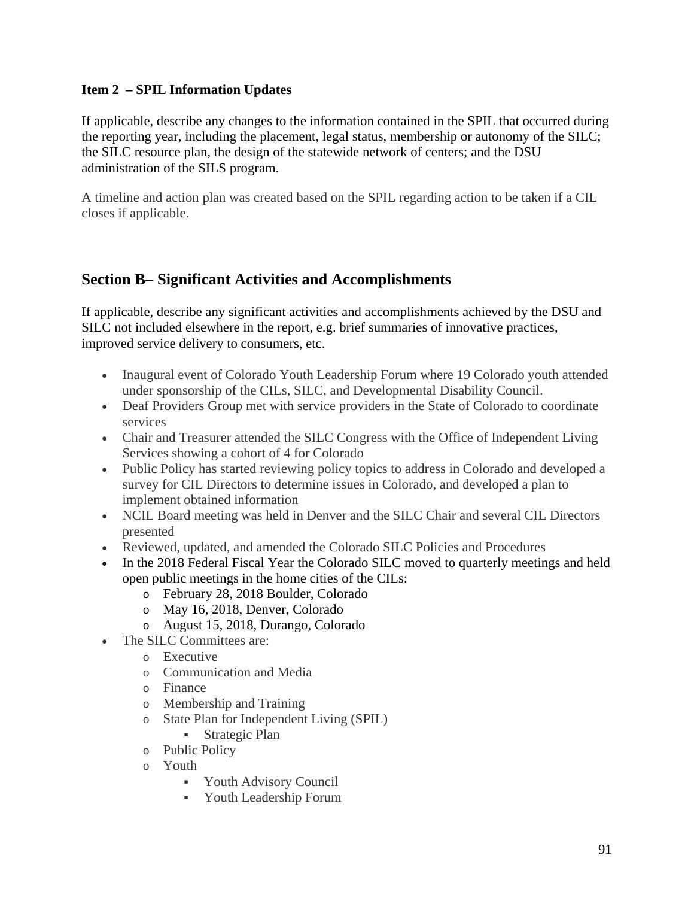## **Item 2 – SPIL Information Updates**

If applicable, describe any changes to the information contained in the SPIL that occurred during the reporting year, including the placement, legal status, membership or autonomy of the SILC; the SILC resource plan, the design of the statewide network of centers; and the DSU administration of the SILS program.

A timeline and action plan was created based on the SPIL regarding action to be taken if a CIL closes if applicable.

## **Section B– Significant Activities and Accomplishments**

If applicable, describe any significant activities and accomplishments achieved by the DSU and SILC not included elsewhere in the report, e.g. brief summaries of innovative practices, improved service delivery to consumers, etc.

- Inaugural event of Colorado Youth Leadership Forum where 19 Colorado youth attended under sponsorship of the CILs, SILC, and Developmental Disability Council.
- Deaf Providers Group met with service providers in the State of Colorado to coordinate services
- Chair and Treasurer attended the SILC Congress with the Office of Independent Living Services showing a cohort of 4 for Colorado
- Public Policy has started reviewing policy topics to address in Colorado and developed a survey for CIL Directors to determine issues in Colorado, and developed a plan to implement obtained information
- NCIL Board meeting was held in Denver and the SILC Chair and several CIL Directors presented
- Reviewed, updated, and amended the Colorado SILC Policies and Procedures
- In the 2018 Federal Fiscal Year the Colorado SILC moved to quarterly meetings and held open public meetings in the home cities of the CILs:
	- o February 28, 2018 Boulder, Colorado
	- o May 16, 2018, Denver, Colorado
	- o August 15, 2018, Durango, Colorado
- The SILC Committees are:
	- o Executive
	- o Communication and Media
	- o Finance
	- o Membership and Training
	- o State Plan for Independent Living (SPIL)
		- Strategic Plan
	- o Public Policy
	- o Youth
		- Youth Advisory Council
		- Youth Leadership Forum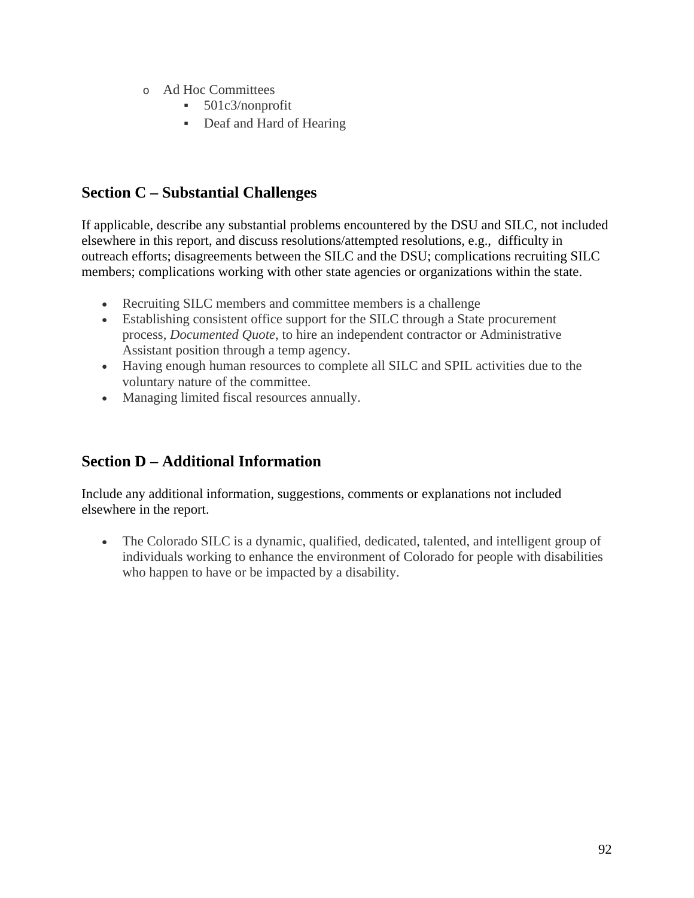- o Ad Hoc Committees
	- 501c3/nonprofit
	- Deaf and Hard of Hearing

# **Section C – Substantial Challenges**

If applicable, describe any substantial problems encountered by the DSU and SILC, not included elsewhere in this report, and discuss resolutions/attempted resolutions, e.g., difficulty in outreach efforts; disagreements between the SILC and the DSU; complications recruiting SILC members; complications working with other state agencies or organizations within the state.

- Recruiting SILC members and committee members is a challenge
- Establishing consistent office support for the SILC through a State procurement process, *Documented Quote*, to hire an independent contractor or Administrative Assistant position through a temp agency.
- Having enough human resources to complete all SILC and SPIL activities due to the voluntary nature of the committee.
- Managing limited fiscal resources annually.

## **Section D – Additional Information**

Include any additional information, suggestions, comments or explanations not included elsewhere in the report.

• The Colorado SILC is a dynamic, qualified, dedicated, talented, and intelligent group of individuals working to enhance the environment of Colorado for people with disabilities who happen to have or be impacted by a disability.